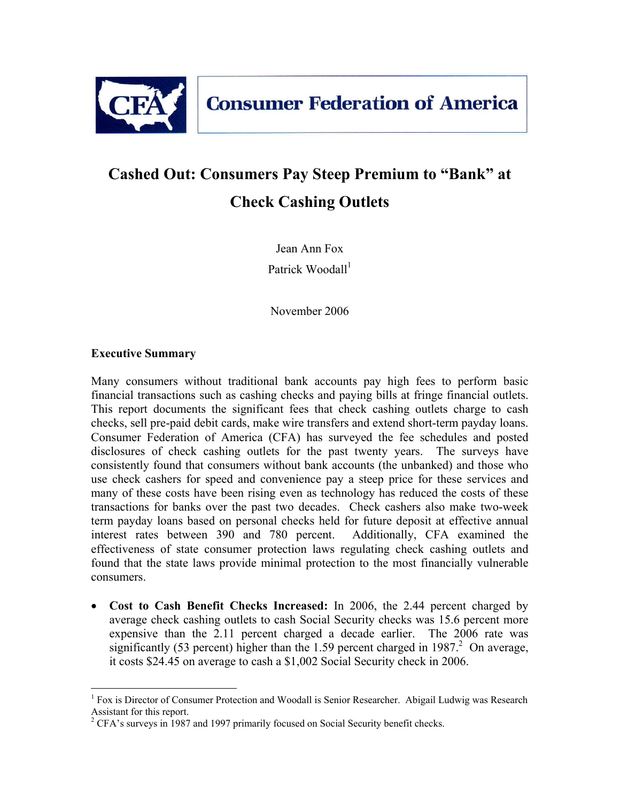

# **Cashed Out: Consumers Pay Steep Premium to "Bank" at Check Cashing Outlets**

Jean Ann Fox Patrick Woodall $<sup>1</sup>$ </sup>

November 2006

#### **Executive Summary**

1

Many consumers without traditional bank accounts pay high fees to perform basic financial transactions such as cashing checks and paying bills at fringe financial outlets. This report documents the significant fees that check cashing outlets charge to cash checks, sell pre-paid debit cards, make wire transfers and extend short-term payday loans. Consumer Federation of America (CFA) has surveyed the fee schedules and posted disclosures of check cashing outlets for the past twenty years. The surveys have consistently found that consumers without bank accounts (the unbanked) and those who use check cashers for speed and convenience pay a steep price for these services and many of these costs have been rising even as technology has reduced the costs of these transactions for banks over the past two decades.Check cashers also make two-week term payday loans based on personal checks held for future deposit at effective annual interest rates between 390 and 780 percent. Additionally, CFA examined the effectiveness of state consumer protection laws regulating check cashing outlets and found that the state laws provide minimal protection to the most financially vulnerable consumers.

• **Cost to Cash Benefit Checks Increased:** In 2006, the 2.44 percent charged by average check cashing outlets to cash Social Security checks was 15.6 percent more expensive than the 2.11 percent charged a decade earlier. The 2006 rate was significantly (53 percent) higher than the 1.59 percent charged in  $1987<sup>2</sup>$  On average, it costs \$24.45 on average to cash a \$1,002 Social Security check in 2006.

<sup>&</sup>lt;sup>1</sup> Fox is Director of Consumer Protection and Woodall is Senior Researcher. Abigail Ludwig was Research Assistant for this report.

 $2^2$  CFA's surveys in 1987 and 1997 primarily focused on Social Security benefit checks.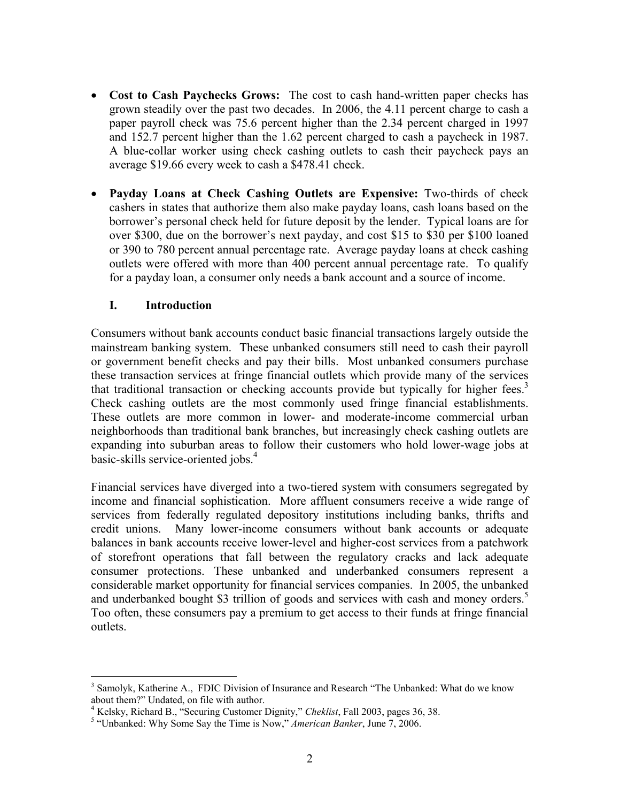- **Cost to Cash Paychecks Grows:** The cost to cash hand-written paper checks has grown steadily over the past two decades. In 2006, the 4.11 percent charge to cash a paper payroll check was 75.6 percent higher than the 2.34 percent charged in 1997 and 152.7 percent higher than the 1.62 percent charged to cash a paycheck in 1987. A blue-collar worker using check cashing outlets to cash their paycheck pays an average \$19.66 every week to cash a \$478.41 check.
- **Payday Loans at Check Cashing Outlets are Expensive:** Two-thirds of check cashers in states that authorize them also make payday loans, cash loans based on the borrower's personal check held for future deposit by the lender. Typical loans are for over \$300, due on the borrower's next payday, and cost \$15 to \$30 per \$100 loaned or 390 to 780 percent annual percentage rate. Average payday loans at check cashing outlets were offered with more than 400 percent annual percentage rate. To qualify for a payday loan, a consumer only needs a bank account and a source of income.

#### **I. Introduction**

 $\overline{a}$ 

Consumers without bank accounts conduct basic financial transactions largely outside the mainstream banking system. These unbanked consumers still need to cash their payroll or government benefit checks and pay their bills. Most unbanked consumers purchase these transaction services at fringe financial outlets which provide many of the services that traditional transaction or checking accounts provide but typically for higher fees.<sup>3</sup> Check cashing outlets are the most commonly used fringe financial establishments. These outlets are more common in lower- and moderate-income commercial urban neighborhoods than traditional bank branches, but increasingly check cashing outlets are expanding into suburban areas to follow their customers who hold lower-wage jobs at basic-skills service-oriented jobs.<sup>4</sup>

Financial services have diverged into a two-tiered system with consumers segregated by income and financial sophistication. More affluent consumers receive a wide range of services from federally regulated depository institutions including banks, thrifts and credit unions. Many lower-income consumers without bank accounts or adequate balances in bank accounts receive lower-level and higher-cost services from a patchwork of storefront operations that fall between the regulatory cracks and lack adequate consumer protections. These unbanked and underbanked consumers represent a considerable market opportunity for financial services companies. In 2005, the unbanked and underbanked bought \$3 trillion of goods and services with cash and money orders.<sup>5</sup> Too often, these consumers pay a premium to get access to their funds at fringe financial outlets.

<sup>&</sup>lt;sup>3</sup> Samolyk, Katherine A., FDIC Division of Insurance and Research "The Unbanked: What do we know about them?" Undated, on file with author.

<sup>&</sup>lt;sup>4</sup> Kelsky, Richard B., "Securing Customer Dignity," *Cheklist*, Fall 2003, pages 36, 38.<br><sup>5</sup> "Unhanked: Why Some Say the Time is Now." *American Pankey*, June 7, 2006

<sup>&</sup>lt;sup>5</sup> "Unbanked: Why Some Say the Time is Now," American Banker, June 7, 2006.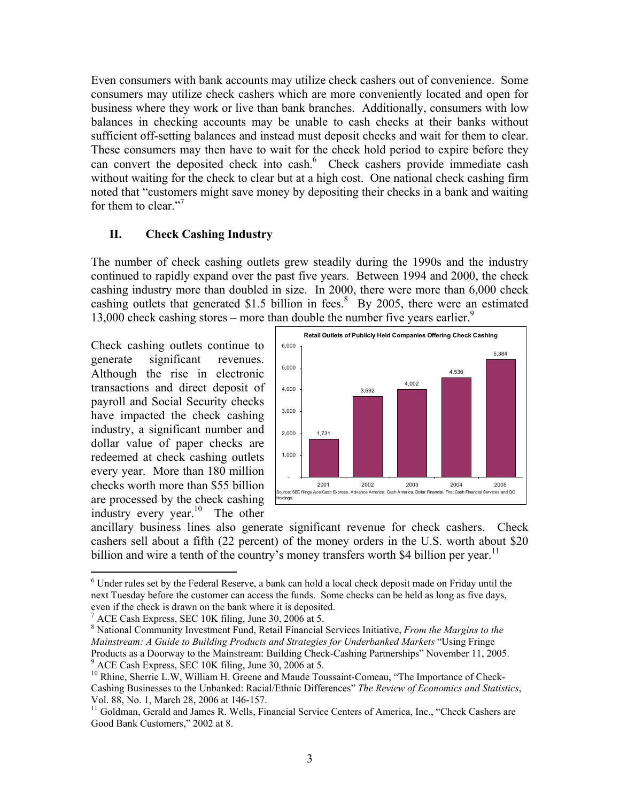Even consumers with bank accounts may utilize check cashers out of convenience. Some consumers may utilize check cashers which are more conveniently located and open for business where they work or live than bank branches. Additionally, consumers with low balances in checking accounts may be unable to cash checks at their banks without sufficient off-setting balances and instead must deposit checks and wait for them to clear. These consumers may then have to wait for the check hold period to expire before they can convert the deposited check into cash.<sup>6</sup> Check cashers provide immediate cash without waiting for the check to clear but at a high cost. One national check cashing firm noted that "customers might save money by depositing their checks in a bank and waiting for them to clear."<sup>7</sup>

#### **II. Check Cashing Industry**

The number of check cashing outlets grew steadily during the 1990s and the industry continued to rapidly expand over the past five years. Between 1994 and 2000, the check cashing industry more than doubled in size. In 2000, there were more than 6,000 check cashing outlets that generated \$1.5 billion in fees. $8\overline{B}$  By 2005, there were an estimated 13,000 check cashing stores – more than double the number five years earlier.<sup>9</sup>

Check cashing outlets continue to generate significant revenues. Although the rise in electronic transactions and direct deposit of payroll and Social Security checks have impacted the check cashing industry, a significant number and dollar value of paper checks are redeemed at check cashing outlets every year. More than 180 million checks worth more than \$55 billion are processed by the check cashing industry every year.<sup>10</sup> The other

1



ancillary business lines also generate significant revenue for check cashers. Check cashers sell about a fifth (22 percent) of the money orders in the U.S. worth about \$20 billion and wire a tenth of the country's money transfers worth \$4 billion per year.<sup>11</sup>

<sup>&</sup>lt;sup>6</sup> Under rules set by the Federal Reserve, a bank can hold a local check deposit made on Friday until the next Tuesday before the customer can access the funds. Some checks can be held as long as five days, even if the check is drawn on the bank where it is deposited.

<sup>7</sup> ACE Cash Express, SEC 10K filing, June 30, 2006 at 5.

<sup>8</sup> National Community Investment Fund, Retail Financial Services Initiative, *From the Margins to the Mainstream: A Guide to Building Products and Strategies for Underbanked Markets* "Using Fringe Products as a Doorway to the Mainstream: Building Check-Cashing Partnerships" November 11, 2005. ACE Cash Express, SEC 10K filing, June 30, 2006 at 5.

<sup>&</sup>lt;sup>10</sup> Rhine, Sherrie L.W, William H. Greene and Maude Toussaint-Comeau, "The Importance of Check-Cashing Businesses to the Unbanked: Racial/Ethnic Differences" *The Review of Economics and Statistics*, Vol. 88, No. 1, March 28, 2006 at 146-157.

<sup>&</sup>lt;sup>11</sup> Goldman, Gerald and James R. Wells, Financial Service Centers of America, Inc., "Check Cashers are Good Bank Customers," 2002 at 8.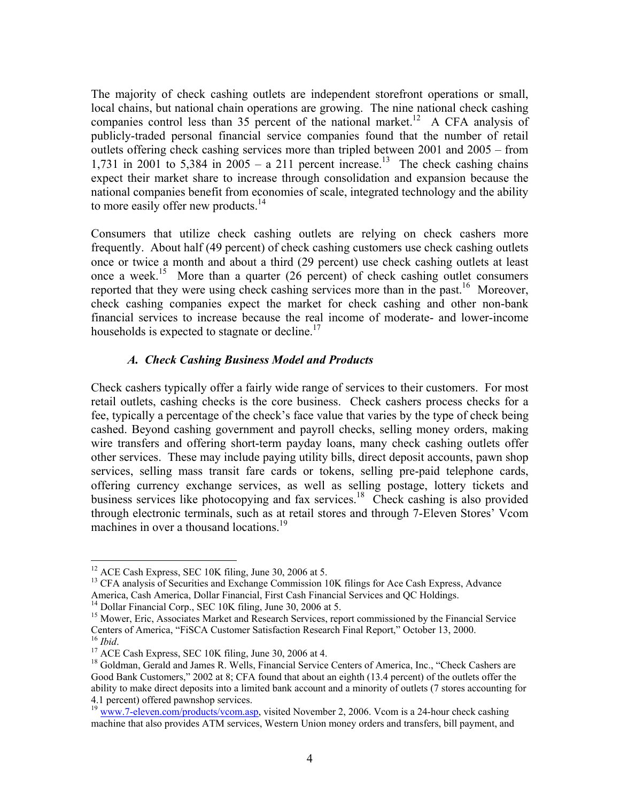The majority of check cashing outlets are independent storefront operations or small, local chains, but national chain operations are growing. The nine national check cashing companies control less than 35 percent of the national market.<sup>12</sup> A CFA analysis of publicly-traded personal financial service companies found that the number of retail outlets offering check cashing services more than tripled between 2001 and 2005 – from 1,731 in 2001 to 5,384 in  $2005 - a$  211 percent increase.<sup>13</sup> The check cashing chains expect their market share to increase through consolidation and expansion because the national companies benefit from economies of scale, integrated technology and the ability to more easily offer new products. $14$ 

Consumers that utilize check cashing outlets are relying on check cashers more frequently. About half (49 percent) of check cashing customers use check cashing outlets once or twice a month and about a third (29 percent) use check cashing outlets at least once a week.<sup>15</sup> More than a quarter  $(26$  percent) of check cashing outlet consumers reported that they were using check cashing services more than in the past.<sup>16</sup> Moreover, check cashing companies expect the market for check cashing and other non-bank financial services to increase because the real income of moderate- and lower-income households is expected to stagnate or decline.<sup>17</sup>

#### *A. Check Cashing Business Model and Products*

Check cashers typically offer a fairly wide range of services to their customers. For most retail outlets, cashing checks is the core business. Check cashers process checks for a fee, typically a percentage of the check's face value that varies by the type of check being cashed. Beyond cashing government and payroll checks, selling money orders, making wire transfers and offering short-term payday loans, many check cashing outlets offer other services. These may include paying utility bills, direct deposit accounts, pawn shop services, selling mass transit fare cards or tokens, selling pre-paid telephone cards, offering currency exchange services, as well as selling postage, lottery tickets and business services like photocopying and fax services.<sup>18</sup> Check cashing is also provided through electronic terminals, such as at retail stores and through 7-Eleven Stores' Vcom machines in over a thousand locations.<sup>19</sup>

 $12$  ACE Cash Express, SEC 10K filing, June 30, 2006 at 5.

<sup>&</sup>lt;sup>13</sup> CFA analysis of Securities and Exchange Commission 10K filings for Ace Cash Express, Advance America, Cash America, Dollar Financial, First Cash Financial Services and QC Holdings.

<sup>&</sup>lt;sup>14</sup> Dollar Financial Corp., SEC 10K filing, June 30, 2006 at 5.

<sup>&</sup>lt;sup>15</sup> Mower, Eric, Associates Market and Research Services, report commissioned by the Financial Service<br>Centers of America, "FISCA Customer Satisfaction Research Final Report," October 13, 2000.

<sup>&</sup>lt;sup>16</sup> Ibid.<br><sup>17</sup> ACE Cash Express, SEC 10K filing, June 30, 2006 at 4.<br><sup>17</sup> ACE Cash Express, SEC 10K filing, Inne 30, 2006 at 4. <sup>18</sup> Goldman, Gerald and James R. Wells, Financial Service Centers of America, Inc., "Check Cashers are Good Bank Customers," 2002 at 8; CFA found that about an eighth (13.4 percent) of the outlets offer the ability to make direct deposits into a limited bank account and a minority of outlets (7 stores accounting for 4.1 percent) offered pawnshop services.

<sup>&</sup>lt;sup>19</sup> www.7-eleven.com/products/vcom.asp, visited November 2, 2006. Vcom is a 24-hour check cashing machine that also provides ATM services, Western Union money orders and transfers, bill payment, and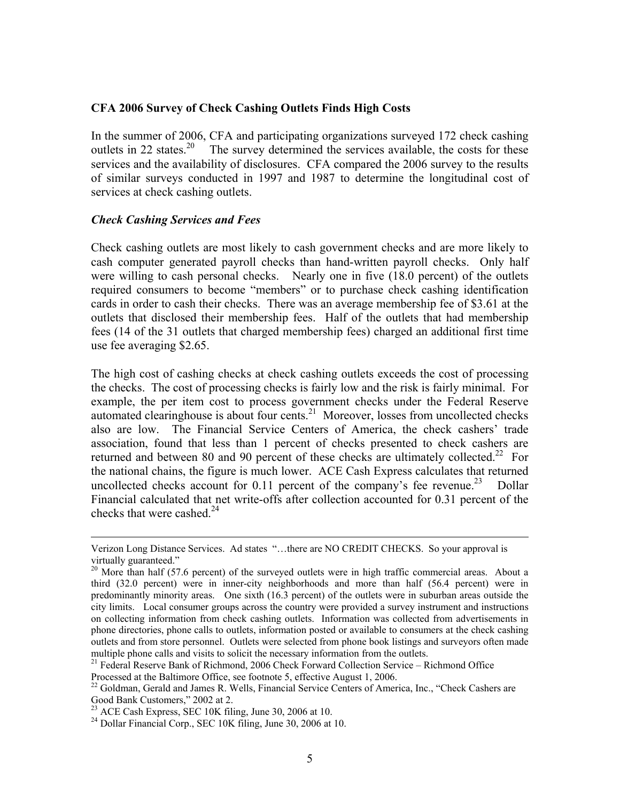#### **CFA 2006 Survey of Check Cashing Outlets Finds High Costs**

In the summer of 2006, CFA and participating organizations surveyed 172 check cashing outlets in 22 states.<sup>20</sup> The survey determined the services available, the costs for these services and the availability of disclosures. CFA compared the 2006 survey to the results of similar surveys conducted in 1997 and 1987 to determine the longitudinal cost of services at check cashing outlets.

#### *Check Cashing Services and Fees*

Check cashing outlets are most likely to cash government checks and are more likely to cash computer generated payroll checks than hand-written payroll checks. Only half were willing to cash personal checks. Nearly one in five (18.0 percent) of the outlets required consumers to become "members" or to purchase check cashing identification cards in order to cash their checks. There was an average membership fee of \$3.61 at the outlets that disclosed their membership fees. Half of the outlets that had membership fees (14 of the 31 outlets that charged membership fees) charged an additional first time use fee averaging \$2.65.

The high cost of cashing checks at check cashing outlets exceeds the cost of processing the checks. The cost of processing checks is fairly low and the risk is fairly minimal. For example, the per item cost to process government checks under the Federal Reserve automated clearinghouse is about four cents.<sup>21</sup> Moreover, losses from uncollected checks also are low. The Financial Service Centers of America, the check cashers' trade association, found that less than 1 percent of checks presented to check cashers are returned and between 80 and 90 percent of these checks are ultimately collected.<sup>22</sup> For the national chains, the figure is much lower. ACE Cash Express calculates that returned uncollected checks account for 0.11 percent of the company's fee revenue.<sup>23</sup> Dollar Financial calculated that net write-offs after collection accounted for 0.31 percent of the checks that were cashed. $^{24}$ 

<sup>21</sup> Federal Reserve Bank of Richmond, 2006 Check Forward Collection Service – Richmond Office

Verizon Long Distance Services. Ad states "…there are NO CREDIT CHECKS. So your approval is virtually guaranteed."

<sup>&</sup>lt;sup>20</sup> More than half (57.6 percent) of the surveyed outlets were in high traffic commercial areas. About a third (32.0 percent) were in inner-city neighborhoods and more than half (56.4 percent) were in predominantly minority areas. One sixth (16.3 percent) of the outlets were in suburban areas outside the city limits. Local consumer groups across the country were provided a survey instrument and instructions on collecting information from check cashing outlets. Information was collected from advertisements in phone directories, phone calls to outlets, information posted or available to consumers at the check cashing outlets and from store personnel. Outlets were selected from phone book listings and surveyors often made multiple phone calls and visits to solicit the necessary information from the outlets.

Processed at the Baltimore Office, see footnote 5, effective August 1, 2006.<br><sup>22</sup> Goldman, Gerald and James R. Wells, Financial Service Centers of America, Inc., "Check Cashers are Good Bank Customers," 2002 at 2.

 $2<sup>23</sup>$  ACE Cash Express, SEC 10K filing, June 30, 2006 at 10.

 $^{24}$  Dollar Financial Corp., SEC 10K filing, June 30, 2006 at 10.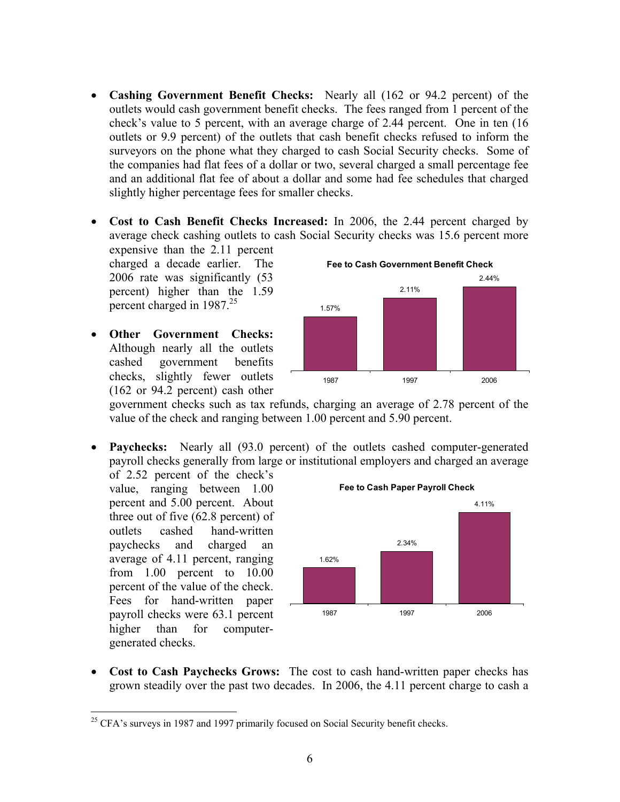- **Cashing Government Benefit Checks:** Nearly all (162 or 94.2 percent) of the outlets would cash government benefit checks. The fees ranged from 1 percent of the check's value to 5 percent, with an average charge of 2.44 percent. One in ten (16 outlets or 9.9 percent) of the outlets that cash benefit checks refused to inform the surveyors on the phone what they charged to cash Social Security checks. Some of the companies had flat fees of a dollar or two, several charged a small percentage fee and an additional flat fee of about a dollar and some had fee schedules that charged slightly higher percentage fees for smaller checks.
- **Cost to Cash Benefit Checks Increased:** In 2006, the 2.44 percent charged by average check cashing outlets to cash Social Security checks was 15.6 percent more
	- expensive than the 2.11 percent charged a decade earlier. The 2006 rate was significantly (53 percent) higher than the 1.59 percent charged in  $1987^{25}$
- **Other Government Checks:**  Although nearly all the outlets cashed government benefits checks, slightly fewer outlets (162 or 94.2 percent) cash other



government checks such as tax refunds, charging an average of 2.78 percent of the value of the check and ranging between 1.00 percent and 5.90 percent.

• **Paychecks:** Nearly all (93.0 percent) of the outlets cashed computer-generated payroll checks generally from large or institutional employers and charged an average

of 2.52 percent of the check's value, ranging between 1.00 percent and 5.00 percent. About three out of five (62.8 percent) of outlets cashed hand-written paychecks and charged an average of 4.11 percent, ranging from 1.00 percent to 10.00 percent of the value of the check. Fees for hand-written paper payroll checks were 63.1 percent higher than for computergenerated checks.



• **Cost to Cash Paychecks Grows:** The cost to cash hand-written paper checks has grown steadily over the past two decades. In 2006, the 4.11 percent charge to cash a

 $\overline{a}$ <sup>25</sup> CFA's surveys in 1987 and 1997 primarily focused on Social Security benefit checks.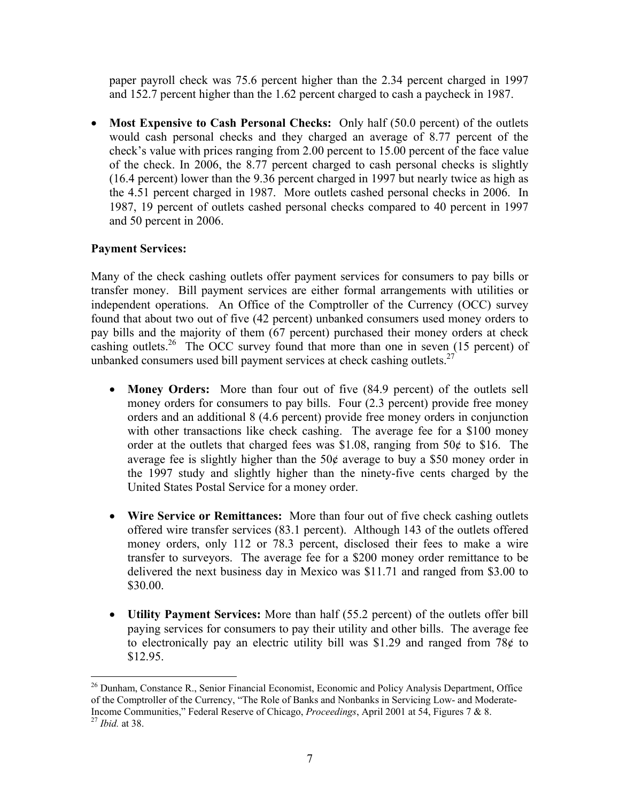paper payroll check was 75.6 percent higher than the 2.34 percent charged in 1997 and 152.7 percent higher than the 1.62 percent charged to cash a paycheck in 1987.

• **Most Expensive to Cash Personal Checks:** Only half (50.0 percent) of the outlets would cash personal checks and they charged an average of 8.77 percent of the check's value with prices ranging from 2.00 percent to 15.00 percent of the face value of the check. In 2006, the 8.77 percent charged to cash personal checks is slightly (16.4 percent) lower than the 9.36 percent charged in 1997 but nearly twice as high as the 4.51 percent charged in 1987. More outlets cashed personal checks in 2006. In 1987, 19 percent of outlets cashed personal checks compared to 40 percent in 1997 and 50 percent in 2006.

### **Payment Services:**

Many of the check cashing outlets offer payment services for consumers to pay bills or transfer money. Bill payment services are either formal arrangements with utilities or independent operations. An Office of the Comptroller of the Currency (OCC) survey found that about two out of five (42 percent) unbanked consumers used money orders to pay bills and the majority of them (67 percent) purchased their money orders at check cashing outlets.<sup>26</sup> The OCC survey found that more than one in seven (15 percent) of unbanked consumers used bill payment services at check cashing outlets.<sup>27</sup>

- **Money Orders:** More than four out of five (84.9 percent) of the outlets sell money orders for consumers to pay bills. Four  $(2.3 \text{ percent})$  provide free money orders and an additional 8 (4.6 percent) provide free money orders in conjunction with other transactions like check cashing. The average fee for a \$100 money order at the outlets that charged fees was \$1.08, ranging from  $50¢$  to \$16. The average fee is slightly higher than the 50¢ average to buy a \$50 money order in the 1997 study and slightly higher than the ninety-five cents charged by the United States Postal Service for a money order.
- **Wire Service or Remittances:** More than four out of five check cashing outlets offered wire transfer services (83.1 percent). Although 143 of the outlets offered money orders, only 112 or 78.3 percent, disclosed their fees to make a wire transfer to surveyors. The average fee for a \$200 money order remittance to be delivered the next business day in Mexico was \$11.71 and ranged from \$3.00 to \$30.00.
- **Utility Payment Services:** More than half (55.2 percent) of the outlets offer bill paying services for consumers to pay their utility and other bills. The average fee to electronically pay an electric utility bill was \$1.29 and ranged from 78 $\phi$  to \$12.95.

<u>.</u>

<sup>&</sup>lt;sup>26</sup> Dunham, Constance R., Senior Financial Economist, Economic and Policy Analysis Department, Office of the Comptroller of the Currency, "The Role of Banks and Nonbanks in Servicing Low- and Moderate-Income Communities," Federal Reserve of Chicago, *Proceedings*, April 2001 at 54, Figures 7 & 8. 27 *Ibid.* at 38.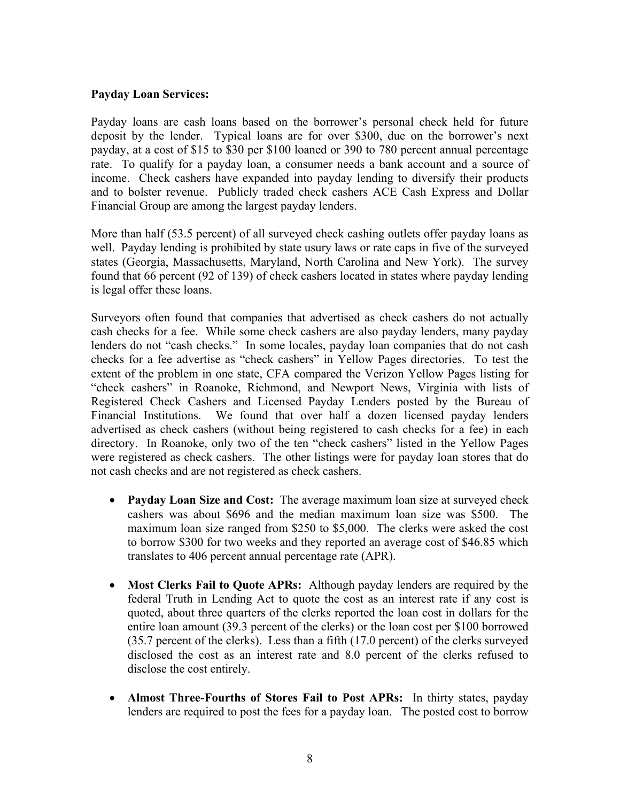#### **Payday Loan Services:**

Payday loans are cash loans based on the borrower's personal check held for future deposit by the lender. Typical loans are for over \$300, due on the borrower's next payday, at a cost of \$15 to \$30 per \$100 loaned or 390 to 780 percent annual percentage rate. To qualify for a payday loan, a consumer needs a bank account and a source of income. Check cashers have expanded into payday lending to diversify their products and to bolster revenue. Publicly traded check cashers ACE Cash Express and Dollar Financial Group are among the largest payday lenders.

More than half (53.5 percent) of all surveyed check cashing outlets offer payday loans as well. Payday lending is prohibited by state usury laws or rate caps in five of the surveyed states (Georgia, Massachusetts, Maryland, North Carolina and New York). The survey found that 66 percent (92 of 139) of check cashers located in states where payday lending is legal offer these loans.

Surveyors often found that companies that advertised as check cashers do not actually cash checks for a fee. While some check cashers are also payday lenders, many payday lenders do not "cash checks." In some locales, payday loan companies that do not cash checks for a fee advertise as "check cashers" in Yellow Pages directories. To test the extent of the problem in one state, CFA compared the Verizon Yellow Pages listing for "check cashers" in Roanoke, Richmond, and Newport News, Virginia with lists of Registered Check Cashers and Licensed Payday Lenders posted by the Bureau of Financial Institutions. We found that over half a dozen licensed payday lenders advertised as check cashers (without being registered to cash checks for a fee) in each directory. In Roanoke, only two of the ten "check cashers" listed in the Yellow Pages were registered as check cashers. The other listings were for payday loan stores that do not cash checks and are not registered as check cashers.

- **Payday Loan Size and Cost:** The average maximum loan size at surveyed check cashers was about \$696 and the median maximum loan size was \$500. The maximum loan size ranged from \$250 to \$5,000. The clerks were asked the cost to borrow \$300 for two weeks and they reported an average cost of \$46.85 which translates to 406 percent annual percentage rate (APR).
- **Most Clerks Fail to Quote APRs:** Although payday lenders are required by the federal Truth in Lending Act to quote the cost as an interest rate if any cost is quoted, about three quarters of the clerks reported the loan cost in dollars for the entire loan amount (39.3 percent of the clerks) or the loan cost per \$100 borrowed (35.7 percent of the clerks). Less than a fifth (17.0 percent) of the clerks surveyed disclosed the cost as an interest rate and 8.0 percent of the clerks refused to disclose the cost entirely.
- **Almost Three-Fourths of Stores Fail to Post APRs:** In thirty states, payday lenders are required to post the fees for a payday loan. The posted cost to borrow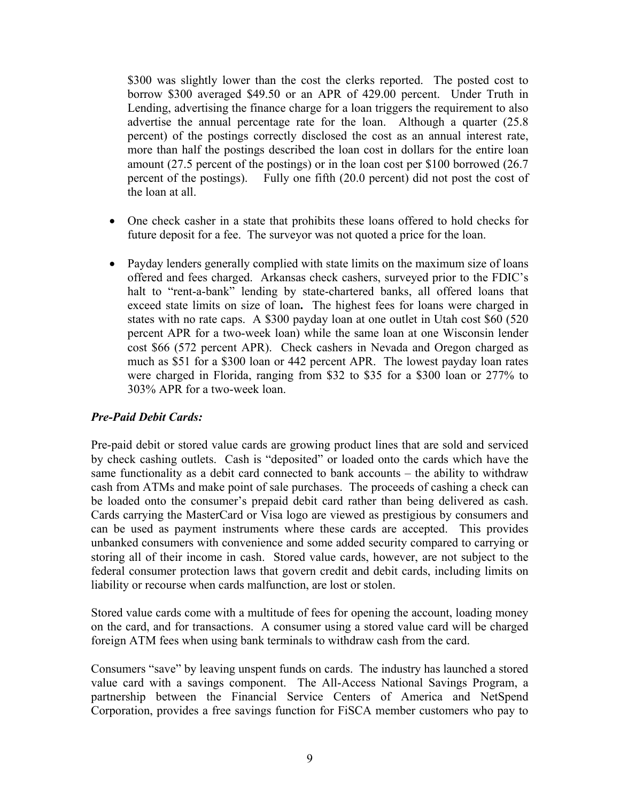\$300 was slightly lower than the cost the clerks reported. The posted cost to borrow \$300 averaged \$49.50 or an APR of 429.00 percent. Under Truth in Lending, advertising the finance charge for a loan triggers the requirement to also advertise the annual percentage rate for the loan. Although a quarter (25.8 percent) of the postings correctly disclosed the cost as an annual interest rate, more than half the postings described the loan cost in dollars for the entire loan amount (27.5 percent of the postings) or in the loan cost per \$100 borrowed (26.7 percent of the postings). Fully one fifth (20.0 percent) did not post the cost of the loan at all.

- One check casher in a state that prohibits these loans offered to hold checks for future deposit for a fee. The surveyor was not quoted a price for the loan.
- Payday lenders generally complied with state limits on the maximum size of loans offered and fees charged. Arkansas check cashers, surveyed prior to the FDIC's halt to "rent-a-bank" lending by state-chartered banks, all offered loans that exceed state limits on size of loan**.** The highest fees for loans were charged in states with no rate caps. A \$300 payday loan at one outlet in Utah cost \$60 (520 percent APR for a two-week loan) while the same loan at one Wisconsin lender cost \$66 (572 percent APR). Check cashers in Nevada and Oregon charged as much as \$51 for a \$300 loan or 442 percent APR. The lowest payday loan rates were charged in Florida, ranging from \$32 to \$35 for a \$300 loan or 277% to 303% APR for a two-week loan.

#### *Pre-Paid Debit Cards:*

Pre-paid debit or stored value cards are growing product lines that are sold and serviced by check cashing outlets. Cash is "deposited" or loaded onto the cards which have the same functionality as a debit card connected to bank accounts – the ability to withdraw cash from ATMs and make point of sale purchases. The proceeds of cashing a check can be loaded onto the consumer's prepaid debit card rather than being delivered as cash. Cards carrying the MasterCard or Visa logo are viewed as prestigious by consumers and can be used as payment instruments where these cards are accepted. This provides unbanked consumers with convenience and some added security compared to carrying or storing all of their income in cash. Stored value cards, however, are not subject to the federal consumer protection laws that govern credit and debit cards, including limits on liability or recourse when cards malfunction, are lost or stolen.

Stored value cards come with a multitude of fees for opening the account, loading money on the card, and for transactions. A consumer using a stored value card will be charged foreign ATM fees when using bank terminals to withdraw cash from the card.

Consumers "save" by leaving unspent funds on cards. The industry has launched a stored value card with a savings component. The All-Access National Savings Program, a partnership between the Financial Service Centers of America and NetSpend Corporation, provides a free savings function for FiSCA member customers who pay to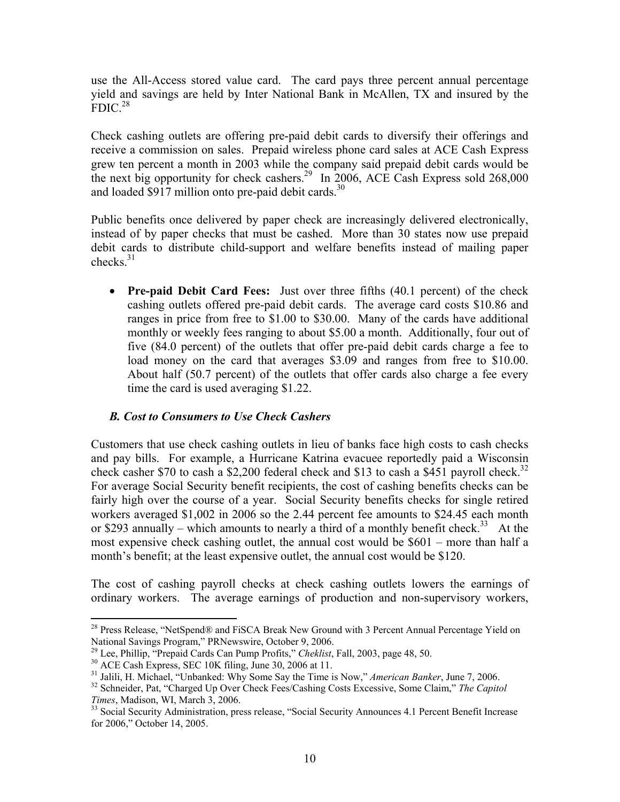use the All-Access stored value card. The card pays three percent annual percentage yield and savings are held by Inter National Bank in McAllen, TX and insured by the  $FDIC<sup>28</sup>$ 

Check cashing outlets are offering pre-paid debit cards to diversify their offerings and receive a commission on sales. Prepaid wireless phone card sales at ACE Cash Express grew ten percent a month in 2003 while the company said prepaid debit cards would be the next big opportunity for check cashers.<sup>29</sup> In 2006, ACE Cash Express sold 268,000 and loaded  $$917$  million onto pre-paid debit cards.<sup>30</sup>

Public benefits once delivered by paper check are increasingly delivered electronically, instead of by paper checks that must be cashed. More than 30 states now use prepaid debit cards to distribute child-support and welfare benefits instead of mailing paper checks $^{31}$ 

• **Pre-paid Debit Card Fees:** Just over three fifths (40.1 percent) of the check cashing outlets offered pre-paid debit cards. The average card costs \$10.86 and ranges in price from free to \$1.00 to \$30.00. Many of the cards have additional monthly or weekly fees ranging to about \$5.00 a month. Additionally, four out of five (84.0 percent) of the outlets that offer pre-paid debit cards charge a fee to load money on the card that averages \$3.09 and ranges from free to \$10.00. About half (50.7 percent) of the outlets that offer cards also charge a fee every time the card is used averaging \$1.22.

#### *B. Cost to Consumers to Use Check Cashers*

Customers that use check cashing outlets in lieu of banks face high costs to cash checks and pay bills. For example, a Hurricane Katrina evacuee reportedly paid a Wisconsin check casher \$70 to cash a \$2,200 federal check and \$13 to cash a \$451 payroll check.<sup>32</sup> For average Social Security benefit recipients, the cost of cashing benefits checks can be fairly high over the course of a year. Social Security benefits checks for single retired workers averaged \$1,002 in 2006 so the 2.44 percent fee amounts to \$24.45 each month or \$293 annually – which amounts to nearly a third of a monthly benefit check.<sup>33</sup> At the most expensive check cashing outlet, the annual cost would be \$601 – more than half a month's benefit; at the least expensive outlet, the annual cost would be \$120.

The cost of cashing payroll checks at check cashing outlets lowers the earnings of ordinary workers. The average earnings of production and non-supervisory workers,

 $\overline{a}$ <sup>28</sup> Press Release, "NetSpend® and FiSCA Break New Ground with 3 Percent Annual Percentage Yield on National Savings Program," PRNewswire, October 9, 2006.

<sup>&</sup>lt;sup>29</sup> Lee, Phillip, "Prepaid Cards Can Pump Profits," *Cheklist*, Fall, 2003, page 48, 50.<br><sup>30</sup> ACE Cash Express, SEC 10K filing, June 30, 2006 at 11.<br><sup>31</sup> Jalili, H. Michael, "Unbanked: Why Some Say the Time is Now," *Amer* 

<sup>&</sup>lt;sup>32</sup> Schneider, Pat, "Charged Up Over Check Fees/Cashing Costs Excessive, Some Claim," *The Capitol Times*, Madison, WI, March 3, 2006.

<sup>&</sup>lt;sup>33</sup> Social Security Administration, press release, "Social Security Announces 4.1 Percent Benefit Increase for 2006," October 14, 2005.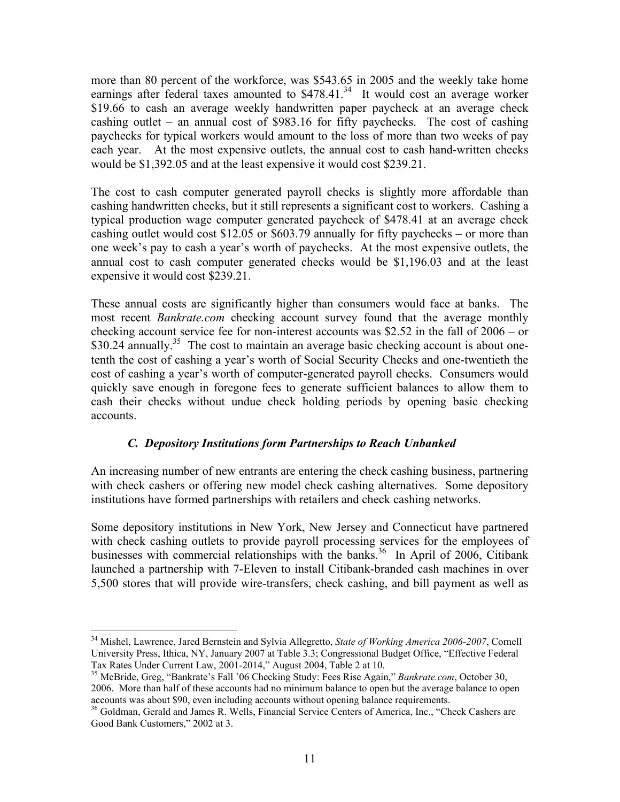more than 80 percent of the workforce, was \$543.65 in 2005 and the weekly take home earnings after federal taxes amounted to  $$478.41<sup>34</sup>$  It would cost an average worker \$19.66 to cash an average weekly handwritten paper paycheck at an average check cashing outlet – an annual cost of \$983.16 for fifty paychecks. The cost of cashing paychecks for typical workers would amount to the loss of more than two weeks of pay each year. At the most expensive outlets, the annual cost to cash hand-written checks would be \$1,392.05 and at the least expensive it would cost \$239.21.

The cost to cash computer generated payroll checks is slightly more affordable than cashing handwritten checks, but it still represents a significant cost to workers. Cashing a typical production wage computer generated paycheck of \$478.41 at an average check cashing outlet would cost \$12.05 or \$603.79 annually for fifty paychecks – or more than one week's pay to cash a year's worth of paychecks. At the most expensive outlets, the annual cost to cash computer generated checks would be \$1,196.03 and at the least expensive it would cost \$239.21.

These annual costs are significantly higher than consumers would face at banks. The most recent *Bankrate.com* checking account survey found that the average monthly checking account service fee for non-interest accounts was \$2.52 in the fall of 2006 – or \$30.24 annually.<sup>35</sup> The cost to maintain an average basic checking account is about onetenth the cost of cashing a year's worth of Social Security Checks and one-twentieth the cost of cashing a year's worth of computer-generated payroll checks. Consumers would quickly save enough in foregone fees to generate sufficient balances to allow them to cash their checks without undue check holding periods by opening basic checking accounts.

#### *C. Depository Institutions form Partnerships to Reach Unbanked*

An increasing number of new entrants are entering the check cashing business, partnering with check cashers or offering new model check cashing alternatives. Some depository institutions have formed partnerships with retailers and check cashing networks.

Some depository institutions in New York, New Jersey and Connecticut have partnered with check cashing outlets to provide payroll processing services for the employees of businesses with commercial relationships with the banks.<sup>36</sup> In April of 2006, Citibank launched a partnership with 7-Eleven to install Citibank-branded cash machines in over 5,500 stores that will provide wire-transfers, check cashing, and bill payment as well as

<sup>34</sup> Mishel, Lawrence, Jared Bernstein and Sylvia Allegretto, *State of Working America 2006-2007*, Cornell University Press, Ithica, NY, January 2007 at Table 3.3; Congressional Budget Office, "Effective Federal Tax Rates Under Current Law, 2001-2014," August 2004, Table 2 at 10.

<sup>35</sup> McBride, Greg, "Bankrate's Fall '06 Checking Study: Fees Rise Again," *Bankrate.com*, October 30, 2006. More than half of these accounts had no minimum balance to open but the average balance to open accounts was about \$90, even including accounts without opening balance requirements.<br><sup>36</sup> Goldman, Gerald and James R. Wells, Financial Service Centers of America, Inc., "Check Cashers are

Good Bank Customers," 2002 at 3.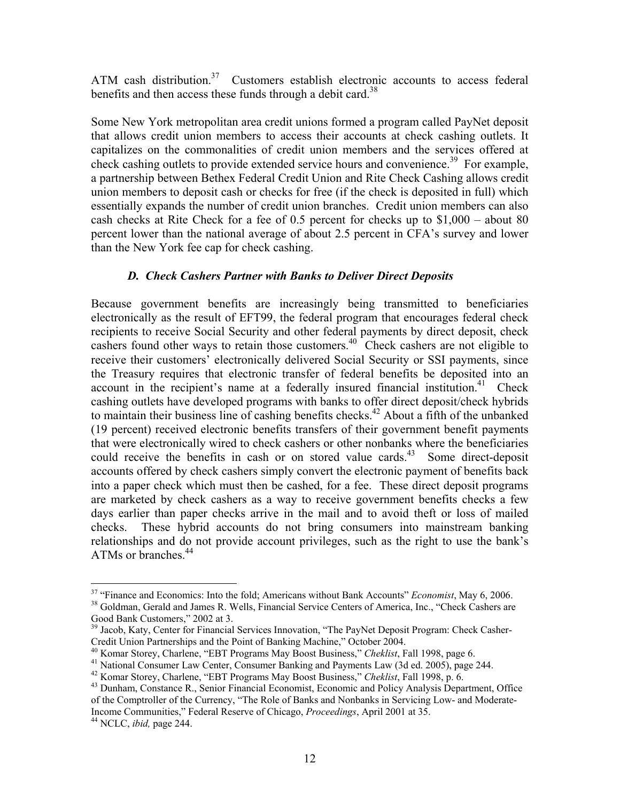ATM cash distribution.<sup>37</sup> Customers establish electronic accounts to access federal benefits and then access these funds through a debit card.<sup>38</sup>

Some New York metropolitan area credit unions formed a program called PayNet deposit that allows credit union members to access their accounts at check cashing outlets. It capitalizes on the commonalities of credit union members and the services offered at check cashing outlets to provide extended service hours and convenience.<sup>39</sup> For example, a partnership between Bethex Federal Credit Union and Rite Check Cashing allows credit union members to deposit cash or checks for free (if the check is deposited in full) which essentially expands the number of credit union branches. Credit union members can also cash checks at Rite Check for a fee of 0.5 percent for checks up to \$1,000 – about 80 percent lower than the national average of about 2.5 percent in CFA's survey and lower than the New York fee cap for check cashing.

#### *D. Check Cashers Partner with Banks to Deliver Direct Deposits*

Because government benefits are increasingly being transmitted to beneficiaries electronically as the result of EFT99, the federal program that encourages federal check recipients to receive Social Security and other federal payments by direct deposit, check cashers found other ways to retain those customers.<sup>40</sup> Check cashers are not eligible to receive their customers' electronically delivered Social Security or SSI payments, since the Treasury requires that electronic transfer of federal benefits be deposited into an account in the recipient's name at a federally insured financial institution.<sup>41</sup> Check cashing outlets have developed programs with banks to offer direct deposit/check hybrids to maintain their business line of cashing benefits checks.<sup>42</sup> About a fifth of the unbanked (19 percent) received electronic benefits transfers of their government benefit payments that were electronically wired to check cashers or other nonbanks where the beneficiaries could receive the benefits in cash or on stored value cards.<sup>43</sup> Some direct-deposit accounts offered by check cashers simply convert the electronic payment of benefits back into a paper check which must then be cashed, for a fee. These direct deposit programs are marketed by check cashers as a way to receive government benefits checks a few days earlier than paper checks arrive in the mail and to avoid theft or loss of mailed checks. These hybrid accounts do not bring consumers into mainstream banking relationships and do not provide account privileges, such as the right to use the bank's ATMs or branches.<sup>44</sup>

<sup>&</sup>lt;sup>37</sup> "Finance and Economics: Into the fold; Americans without Bank Accounts" *Economist*, May 6, 2006.<br><sup>38</sup> Goldman, Gerald and James R. Wells, Financial Service Centers of America, Inc., "Check Cashers are

Good Bank Customers," 2002 at 3.

<sup>&</sup>lt;sup>39</sup> Jacob, Katy, Center for Financial Services Innovation, "The PayNet Deposit Program: Check Casher-Credit Union Partnerships and the Point of Banking Machine," October 2004.<br><sup>40</sup> Komar Storey, Charlene, "EBT Programs May Boost Business," Cheklist, Fall 1998, page 6.

<sup>&</sup>lt;sup>41</sup> National Consumer Law Center, Consumer Banking and Payments Law (3d ed. 2005), page 244.<br><sup>42</sup> Komar Storey, Charlene, "EBT Programs May Boost Business," *Cheklist*, Fall 1998, p. 6.

<sup>&</sup>lt;sup>43</sup> Dunham, Constance R., Senior Financial Economist, Economic and Policy Analysis Department, Office of the Comptroller of the Currency, "The Role of Banks and Nonbanks in Servicing Low- and Moderate-Income Communities," Federal Reserve of Chicago, *Proceedings*, April 2001 at 35. 44 NCLC, *ibid,* page 244.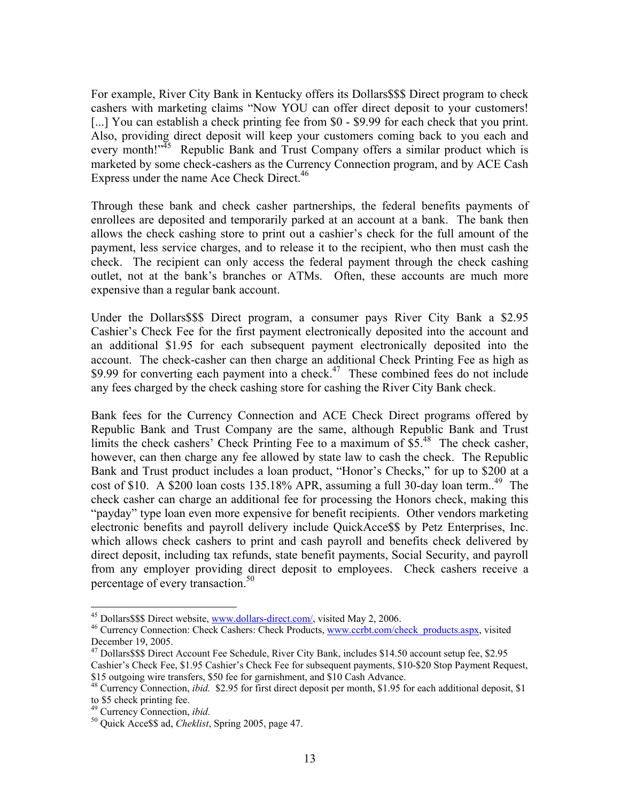For example, River City Bank in Kentucky offers its Dollars\$\$\$ Direct program to check cashers with marketing claims "Now YOU can offer direct deposit to your customers! [...] You can establish a check printing fee from \$0 - \$9.99 for each check that you print. Also, providing direct deposit will keep your customers coming back to you each and every month!"<sup>45</sup> Republic Bank and Trust Company offers a similar product which is marketed by some check-cashers as the Currency Connection program, and by ACE Cash Express under the name Ace Check Direct.<sup>46</sup>

Through these bank and check casher partnerships, the federal benefits payments of enrollees are deposited and temporarily parked at an account at a bank. The bank then allows the check cashing store to print out a cashier's check for the full amount of the payment, less service charges, and to release it to the recipient, who then must cash the check. The recipient can only access the federal payment through the check cashing outlet, not at the bank's branches or ATMs. Often, these accounts are much more expensive than a regular bank account.

Under the Dollars\$\$\$ Direct program, a consumer pays River City Bank a \$2.95 Cashier's Check Fee for the first payment electronically deposited into the account and an additional \$1.95 for each subsequent payment electronically deposited into the account. The check-casher can then charge an additional Check Printing Fee as high as \$9.99 for converting each payment into a check.<sup>47</sup> These combined fees do not include any fees charged by the check cashing store for cashing the River City Bank check.

Bank fees for the Currency Connection and ACE Check Direct programs offered by Republic Bank and Trust Company are the same, although Republic Bank and Trust limits the check cashers' Check Printing Fee to a maximum of  $$5<sup>48</sup>$  The check casher, however, can then charge any fee allowed by state law to cash the check. The Republic Bank and Trust product includes a loan product, "Honor's Checks," for up to \$200 at a cost of \$10. A \$200 loan costs 135.18% APR, assuming a full 30-day loan term.<sup>49</sup> The check casher can charge an additional fee for processing the Honors check, making this "payday" type loan even more expensive for benefit recipients. Other vendors marketing electronic benefits and payroll delivery include QuickAcce\$\$ by Petz Enterprises, Inc. which allows check cashers to print and cash payroll and benefits check delivered by direct deposit, including tax refunds, state benefit payments, Social Security, and payroll from any employer providing direct deposit to employees. Check cashers receive a percentage of every transaction.<sup>50</sup>

<sup>&</sup>lt;sup>45</sup> Dollars\$\$\$ Direct website, www.dollars-direct.com/, visited May 2, 2006.<br><sup>46</sup> Currency Connection: Check Cashers: Check Products, www.ccrbt.com/check\_products.aspx, visited December 19, 2005.

<sup>&</sup>lt;sup>47</sup> Dollars\$\$\$ Direct Account Fee Schedule, River City Bank, includes \$14.50 account setup fee, \$2.95 Cashier's Check Fee, \$1.95 Cashier's Check Fee for subsequent payments, \$10-\$20 Stop Payment Request, \$15 outgoing wire transfers, \$50 fee for garnishment, and \$10 Cash Advance.

<sup>48</sup> Currency Connection, *ibid.* \$2.95 for first direct deposit per month, \$1.95 for each additional deposit, \$1

to \$5 check printing fee.<br><sup>49</sup> Currency Connection, *ibid*.

<sup>&</sup>lt;sup>50</sup> Quick Acce\$\$ ad, *Cheklist*, Spring 2005, page 47.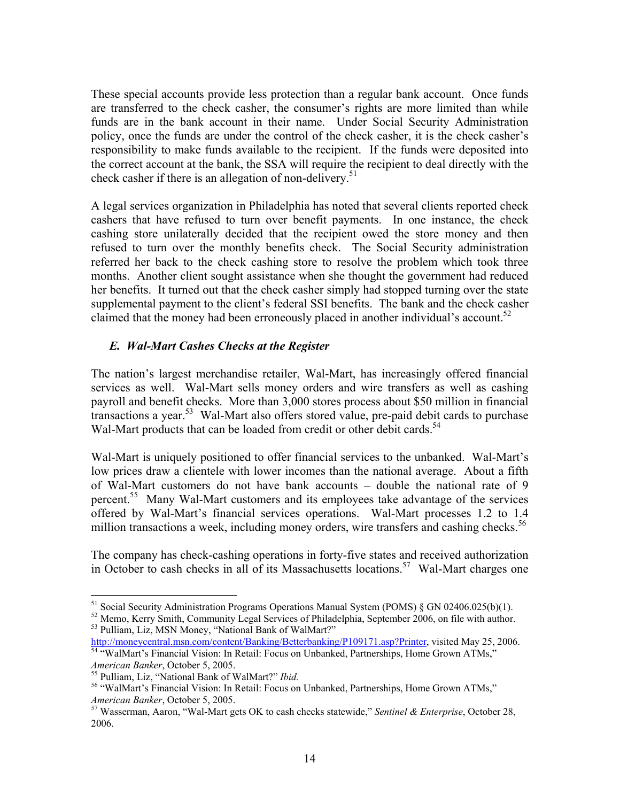These special accounts provide less protection than a regular bank account. Once funds are transferred to the check casher, the consumer's rights are more limited than while funds are in the bank account in their name. Under Social Security Administration policy, once the funds are under the control of the check casher, it is the check casher's responsibility to make funds available to the recipient. If the funds were deposited into the correct account at the bank, the SSA will require the recipient to deal directly with the check casher if there is an allegation of non-delivery.<sup>51</sup>

A legal services organization in Philadelphia has noted that several clients reported check cashers that have refused to turn over benefit payments. In one instance, the check cashing store unilaterally decided that the recipient owed the store money and then refused to turn over the monthly benefits check. The Social Security administration referred her back to the check cashing store to resolve the problem which took three months. Another client sought assistance when she thought the government had reduced her benefits. It turned out that the check casher simply had stopped turning over the state supplemental payment to the client's federal SSI benefits. The bank and the check casher claimed that the money had been erroneously placed in another individual's account.<sup>52</sup>

### *E. Wal-Mart Cashes Checks at the Register*

The nation's largest merchandise retailer, Wal-Mart, has increasingly offered financial services as well. Wal-Mart sells money orders and wire transfers as well as cashing payroll and benefit checks. More than 3,000 stores process about \$50 million in financial transactions a year.53 Wal-Mart also offers stored value, pre-paid debit cards to purchase Wal-Mart products that can be loaded from credit or other debit cards.<sup>54</sup>

Wal-Mart is uniquely positioned to offer financial services to the unbanked. Wal-Mart's low prices draw a clientele with lower incomes than the national average. About a fifth of Wal-Mart customers do not have bank accounts – double the national rate of 9 percent.55 Many Wal-Mart customers and its employees take advantage of the services offered by Wal-Mart's financial services operations. Wal-Mart processes 1.2 to 1.4 million transactions a week, including money orders, wire transfers and cashing checks.<sup>56</sup>

The company has check-cashing operations in forty-five states and received authorization in October to cash checks in all of its Massachusetts locations.<sup>57</sup> Wal-Mart charges one

<sup>&</sup>lt;sup>51</sup> Social Security Administration Programs Operations Manual System (POMS) § GN 02406.025(b)(1).

 $52$  Memo, Kerry Smith, Community Legal Services of Philadelphia, September 2006, on file with author.<br> $53$  Pulliam, Liz, MSN Money, "National Bank of WalMart?"

http://moneycentral.msn.com/content/Banking/Betterbanking/P109171.asp?Printer, visited May 25, 2006.<br><sup>54</sup> "WalMart's Financial Vision: In Retail: Focus on Unbanked, Partnerships, Home Grown ATMs,"

*American Banker*, October 5, 2005.<br><sup>55</sup> Pulliam, Liz, "National Bank of WalMart?" *Ibid.*<br><sup>56</sup> "WalMart's Financial Vision: In Retail: Focus on Unbanked, Partnerships, Home Grown ATMs," *American Banker*, October 5, 2005.<br><sup>57</sup> Wasserman, Aaron, "Wal-Mart gets OK to cash checks statewide," *Sentinel & Enterprise*, October 28,

<sup>2006.</sup>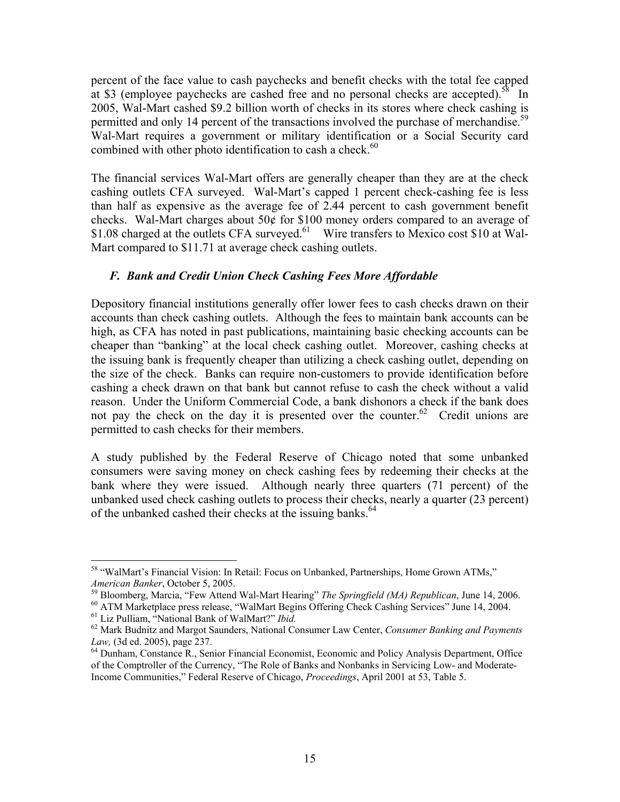percent of the face value to cash paychecks and benefit checks with the total fee capped at \$3 (employee paychecks are cashed free and no personal checks are accepted).<sup>58</sup> In 2005, Wal-Mart cashed \$9.2 billion worth of checks in its stores where check cashing is permitted and only 14 percent of the transactions involved the purchase of merchandise.<sup>59</sup> Wal-Mart requires a government or military identification or a Social Security card combined with other photo identification to cash a check.<sup>60</sup>

The financial services Wal-Mart offers are generally cheaper than they are at the check cashing outlets CFA surveyed. Wal-Mart's capped 1 percent check-cashing fee is less than half as expensive as the average fee of 2.44 percent to cash government benefit checks. Wal-Mart charges about 50¢ for \$100 money orders compared to an average of \$1.08 charged at the outlets CFA surveyed.<sup>61</sup> Wire transfers to Mexico cost \$10 at Wal-Mart compared to \$11.71 at average check cashing outlets.

### *F. Bank and Credit Union Check Cashing Fees More Affordable*

Depository financial institutions generally offer lower fees to cash checks drawn on their accounts than check cashing outlets. Although the fees to maintain bank accounts can be high, as CFA has noted in past publications, maintaining basic checking accounts can be cheaper than "banking" at the local check cashing outlet. Moreover, cashing checks at the issuing bank is frequently cheaper than utilizing a check cashing outlet, depending on the size of the check. Banks can require non-customers to provide identification before cashing a check drawn on that bank but cannot refuse to cash the check without a valid reason. Under the Uniform Commercial Code, a bank dishonors a check if the bank does not pay the check on the day it is presented over the counter.<sup>62</sup> Credit unions are permitted to cash checks for their members.

A study published by the Federal Reserve of Chicago noted that some unbanked consumers were saving money on check cashing fees by redeeming their checks at the bank where they were issued. Although nearly three quarters (71 percent) of the unbanked used check cashing outlets to process their checks, nearly a quarter (23 percent) of the unbanked cashed their checks at the issuing banks.<sup>64</sup>

 $\overline{a}$ 58 "WalMart's Financial Vision: In Retail: Focus on Unbanked, Partnerships, Home Grown ATMs,"

*American Banker*, October 5, 2005.<br><sup>59</sup> Bloomberg, Marcia, "Few Attend Wal-Mart Hearing" *The Springfield (MA) Republican*, June 14, 2006.<br><sup>60</sup> ATM Marketplace press release, "WalMart Begins Offering Check Cashing Servic

*Law,* (3d ed. 2005), page 237.<br><sup>64</sup> Dunham, Constance R., Senior Financial Economist, Economic and Policy Analysis Department, Office

of the Comptroller of the Currency, "The Role of Banks and Nonbanks in Servicing Low- and Moderate-Income Communities," Federal Reserve of Chicago, *Proceedings*, April 2001 at 53, Table 5.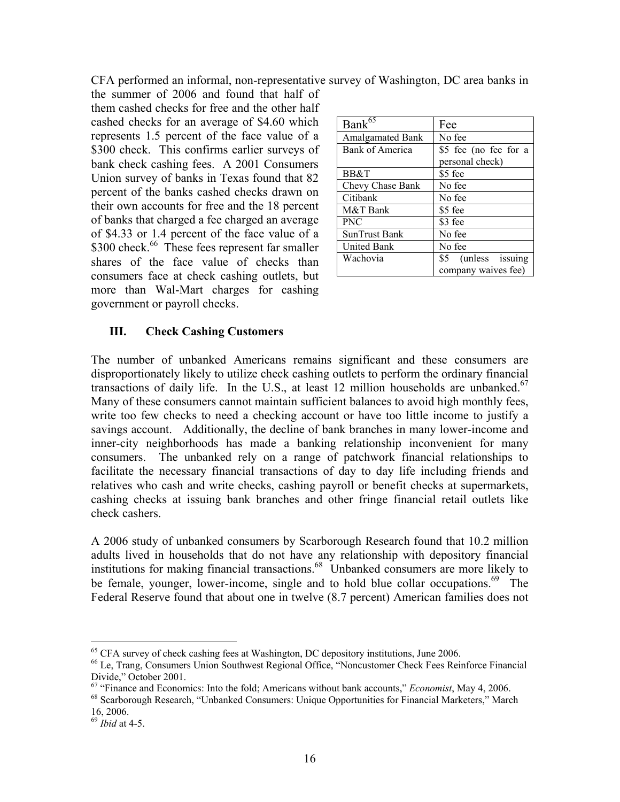CFA performed an informal, non-representative survey of Washington, DC area banks in

the summer of 2006 and found that half of them cashed checks for free and the other half cashed checks for an average of \$4.60 which represents 1.5 percent of the face value of a \$300 check. This confirms earlier surveys of bank check cashing fees. A 2001 Consumers Union survey of banks in Texas found that 82 percent of the banks cashed checks drawn on their own accounts for free and the 18 percent of banks that charged a fee charged an average of \$4.33 or 1.4 percent of the face value of a \$300 check.<sup>66</sup> These fees represent far smaller shares of the face value of checks than consumers face at check cashing outlets, but more than Wal-Mart charges for cashing government or payroll checks.

| Bank $\overline{65}$    | Fee                   |
|-------------------------|-----------------------|
| <b>Amalgamated Bank</b> | No fee                |
| Bank of America         | \$5 fee (no fee for a |
|                         | personal check)       |
| BB&T                    | \$5 fee               |
| Chevy Chase Bank        | No fee                |
| Citibank                | No fee                |
| M&T Bank                | \$5 fee               |
| <b>PNC</b>              | \$3 fee               |
| SunTrust Bank           | No fee                |
| <b>United Bank</b>      | No fee                |
| Wachovia                | \$5 (unless issuing   |
|                         | company waives fee)   |

#### **III. Check Cashing Customers**

The number of unbanked Americans remains significant and these consumers are disproportionately likely to utilize check cashing outlets to perform the ordinary financial transactions of daily life. In the U.S., at least 12 million households are unbanked. $67$ Many of these consumers cannot maintain sufficient balances to avoid high monthly fees, write too few checks to need a checking account or have too little income to justify a savings account. Additionally, the decline of bank branches in many lower-income and inner-city neighborhoods has made a banking relationship inconvenient for many consumers. The unbanked rely on a range of patchwork financial relationships to facilitate the necessary financial transactions of day to day life including friends and relatives who cash and write checks, cashing payroll or benefit checks at supermarkets, cashing checks at issuing bank branches and other fringe financial retail outlets like check cashers.

A 2006 study of unbanked consumers by Scarborough Research found that 10.2 million adults lived in households that do not have any relationship with depository financial institutions for making financial transactions.<sup>68</sup> Unbanked consumers are more likely to be female, younger, lower-income, single and to hold blue collar occupations.<sup>69</sup> The Federal Reserve found that about one in twelve (8.7 percent) American families does not

 $65$  CFA survey of check cashing fees at Washington, DC depository institutions, June 2006.

<sup>66</sup> Le, Trang, Consumers Union Southwest Regional Office, "Noncustomer Check Fees Reinforce Financial Divide," October 2001.<br><sup>67</sup> "Finance and Economics: Into the fold: Americans without bank accounts," *Economist*, May 4, 2006.

<sup>&</sup>lt;sup>68</sup> Scarborough Research, "Unbanked Consumers: Unique Opportunities for Financial Marketers," March 16, 2006.

<sup>69</sup> *Ibid* at 4-5.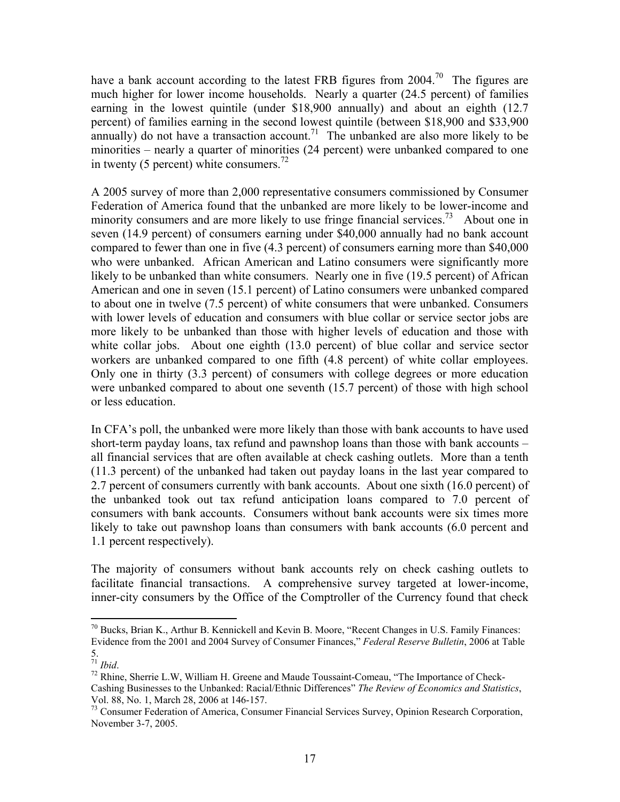have a bank account according to the latest FRB figures from 2004.<sup>70</sup> The figures are much higher for lower income households. Nearly a quarter (24.5 percent) of families earning in the lowest quintile (under \$18,900 annually) and about an eighth (12.7 percent) of families earning in the second lowest quintile (between \$18,900 and \$33,900 annually) do not have a transaction account.<sup>71</sup> The unbanked are also more likely to be minorities – nearly a quarter of minorities (24 percent) were unbanked compared to one in twenty (5 percent) white consumers.<sup>72</sup>

A 2005 survey of more than 2,000 representative consumers commissioned by Consumer Federation of America found that the unbanked are more likely to be lower-income and minority consumers and are more likely to use fringe financial services.<sup>73</sup> About one in seven (14.9 percent) of consumers earning under \$40,000 annually had no bank account compared to fewer than one in five (4.3 percent) of consumers earning more than \$40,000 who were unbanked. African American and Latino consumers were significantly more likely to be unbanked than white consumers. Nearly one in five (19.5 percent) of African American and one in seven (15.1 percent) of Latino consumers were unbanked compared to about one in twelve (7.5 percent) of white consumers that were unbanked. Consumers with lower levels of education and consumers with blue collar or service sector jobs are more likely to be unbanked than those with higher levels of education and those with white collar jobs. About one eighth (13.0 percent) of blue collar and service sector workers are unbanked compared to one fifth (4.8 percent) of white collar employees. Only one in thirty (3.3 percent) of consumers with college degrees or more education were unbanked compared to about one seventh (15.7 percent) of those with high school or less education.

In CFA's poll, the unbanked were more likely than those with bank accounts to have used short-term payday loans, tax refund and pawnshop loans than those with bank accounts – all financial services that are often available at check cashing outlets. More than a tenth (11.3 percent) of the unbanked had taken out payday loans in the last year compared to 2.7 percent of consumers currently with bank accounts. About one sixth (16.0 percent) of the unbanked took out tax refund anticipation loans compared to 7.0 percent of consumers with bank accounts. Consumers without bank accounts were six times more likely to take out pawnshop loans than consumers with bank accounts (6.0 percent and 1.1 percent respectively).

The majority of consumers without bank accounts rely on check cashing outlets to facilitate financial transactions. A comprehensive survey targeted at lower-income, inner-city consumers by the Office of the Comptroller of the Currency found that check

 $70$  Bucks, Brian K., Arthur B. Kennickell and Kevin B. Moore, "Recent Changes in U.S. Family Finances: Evidence from the 2001 and 2004 Survey of Consumer Finances," *Federal Reserve Bulletin*, 2006 at Table

 $\stackrel{5}{\text{ }^{71}}$  Ibid.

<sup>&</sup>lt;sup>72</sup> Rhine, Sherrie L.W, William H. Greene and Maude Toussaint-Comeau, "The Importance of Check-Cashing Businesses to the Unbanked: Racial/Ethnic Differences" *The Review of Economics and Statistics*, Vol. 88, No. 1, March 28, 2006 at 146-157.

<sup>&</sup>lt;sup>73</sup> Consumer Federation of America, Consumer Financial Services Survey, Opinion Research Corporation, November 3-7, 2005.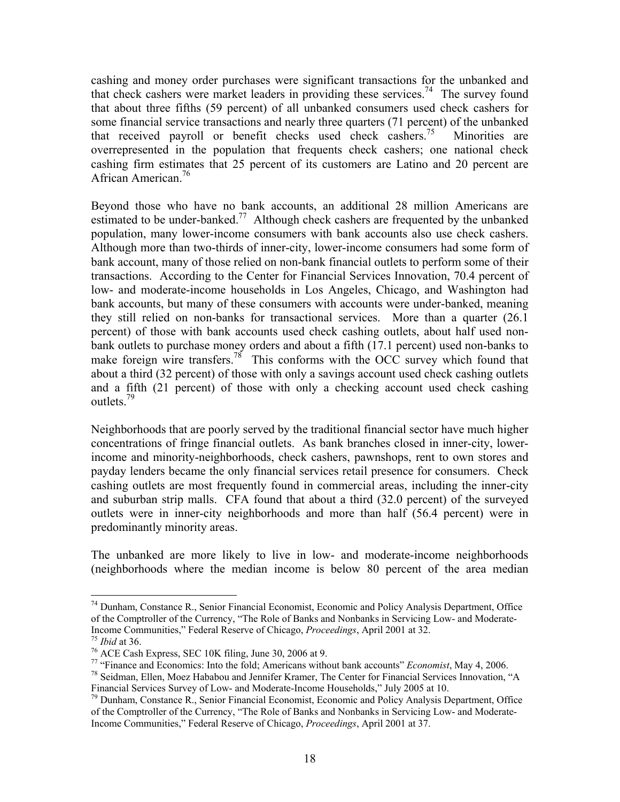cashing and money order purchases were significant transactions for the unbanked and that check cashers were market leaders in providing these services.<sup>74</sup> The survey found that about three fifths (59 percent) of all unbanked consumers used check cashers for some financial service transactions and nearly three quarters (71 percent) of the unbanked that received payroll or benefit checks used check cashers.<sup>75</sup> Minorities are overrepresented in the population that frequents check cashers; one national check cashing firm estimates that 25 percent of its customers are Latino and 20 percent are African American.<sup>76</sup>

Beyond those who have no bank accounts, an additional 28 million Americans are estimated to be under-banked.<sup>77</sup> Although check cashers are frequented by the unbanked population, many lower-income consumers with bank accounts also use check cashers. Although more than two-thirds of inner-city, lower-income consumers had some form of bank account, many of those relied on non-bank financial outlets to perform some of their transactions. According to the Center for Financial Services Innovation, 70.4 percent of low- and moderate-income households in Los Angeles, Chicago, and Washington had bank accounts, but many of these consumers with accounts were under-banked, meaning they still relied on non-banks for transactional services. More than a quarter (26.1 percent) of those with bank accounts used check cashing outlets, about half used nonbank outlets to purchase money orders and about a fifth (17.1 percent) used non-banks to make foreign wire transfers.<sup>78</sup> This conforms with the OCC survey which found that about a third (32 percent) of those with only a savings account used check cashing outlets and a fifth (21 percent) of those with only a checking account used check cashing outlets.79

Neighborhoods that are poorly served by the traditional financial sector have much higher concentrations of fringe financial outlets. As bank branches closed in inner-city, lowerincome and minority-neighborhoods, check cashers, pawnshops, rent to own stores and payday lenders became the only financial services retail presence for consumers. Check cashing outlets are most frequently found in commercial areas, including the inner-city and suburban strip malls. CFA found that about a third (32.0 percent) of the surveyed outlets were in inner-city neighborhoods and more than half (56.4 percent) were in predominantly minority areas.

The unbanked are more likely to live in low- and moderate-income neighborhoods (neighborhoods where the median income is below 80 percent of the area median

<sup>74</sup> Dunham, Constance R., Senior Financial Economist, Economic and Policy Analysis Department, Office of the Comptroller of the Currency, "The Role of Banks and Nonbanks in Servicing Low- and Moderate-<br>Income Communities," Federal Reserve of Chicago, *Proceedings*, April 2001 at 32.

<sup>&</sup>lt;sup>75</sup> *Ibid* at 36. *Proceeding Proceedings*, SEC 10K filing, June 30, 2006 at 9.

<sup>&</sup>lt;sup>77</sup> "Finance and Economics: Into the fold; Americans without bank accounts" *Economist*, May 4, 2006.<br><sup>78</sup> Seidman, Ellen, Moez Hababou and Jennifer Kramer, The Center for Financial Services Innovation, "A

Financial Services Survey of Low- and Moderate-Income Households," July 2005 at 10.

<sup>79</sup> Dunham, Constance R., Senior Financial Economist, Economic and Policy Analysis Department, Office of the Comptroller of the Currency, "The Role of Banks and Nonbanks in Servicing Low- and Moderate-Income Communities," Federal Reserve of Chicago, *Proceedings*, April 2001 at 37.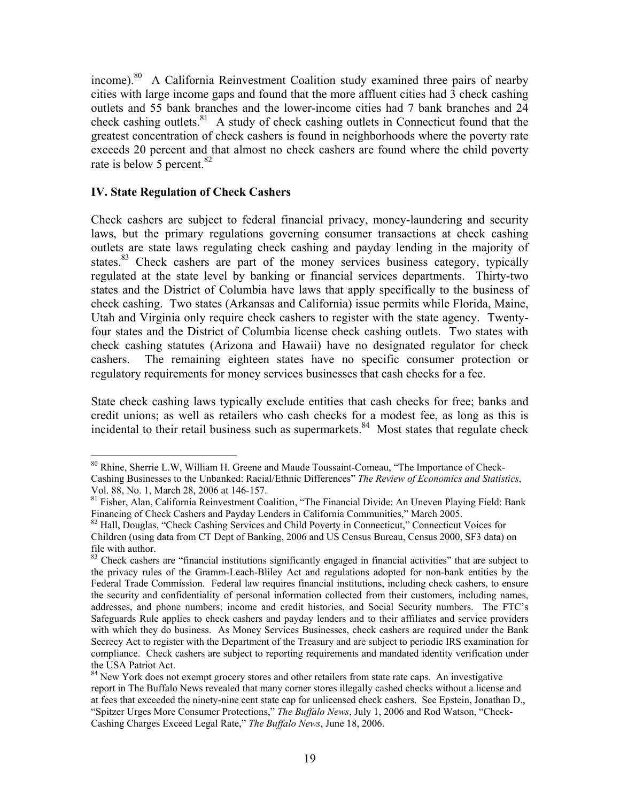income).80 A California Reinvestment Coalition study examined three pairs of nearby cities with large income gaps and found that the more affluent cities had 3 check cashing outlets and 55 bank branches and the lower-income cities had 7 bank branches and 24 check cashing outlets.<sup>81</sup> A study of check cashing outlets in Connecticut found that the greatest concentration of check cashers is found in neighborhoods where the poverty rate exceeds 20 percent and that almost no check cashers are found where the child poverty rate is below 5 percent.<sup>82</sup>

#### **IV. State Regulation of Check Cashers**

 $\overline{a}$ 

Check cashers are subject to federal financial privacy, money-laundering and security laws, but the primary regulations governing consumer transactions at check cashing outlets are state laws regulating check cashing and payday lending in the majority of states. $83$  Check cashers are part of the money services business category, typically regulated at the state level by banking or financial services departments. Thirty-two states and the District of Columbia have laws that apply specifically to the business of check cashing. Two states (Arkansas and California) issue permits while Florida, Maine, Utah and Virginia only require check cashers to register with the state agency. Twentyfour states and the District of Columbia license check cashing outlets. Two states with check cashing statutes (Arizona and Hawaii) have no designated regulator for check cashers. The remaining eighteen states have no specific consumer protection or regulatory requirements for money services businesses that cash checks for a fee.

State check cashing laws typically exclude entities that cash checks for free; banks and credit unions; as well as retailers who cash checks for a modest fee, as long as this is incidental to their retail business such as supermarkets. $84$  Most states that regulate check

<sup>&</sup>lt;sup>80</sup> Rhine, Sherrie L.W, William H. Greene and Maude Toussaint-Comeau, "The Importance of Check-Cashing Businesses to the Unbanked: Racial/Ethnic Differences" *The Review of Economics and Statistics*, Vol. 88, No. 1, March 28, 2006 at 146-157.

<sup>&</sup>lt;sup>81</sup> Fisher, Alan, California Reinvestment Coalition, "The Financial Divide: An Uneven Playing Field: Bank Financing of Check Cashers and Payday Lenders in California Communities," March 2005.

<sup>&</sup>lt;sup>82</sup> Hall, Douglas, "Check Cashing Services and Child Poverty in Connecticut," Connecticut Voices for Children (using data from CT Dept of Banking, 2006 and US Census Bureau, Census 2000, SF3 data) on file with author.

<sup>&</sup>lt;sup>83</sup> Check cashers are "financial institutions significantly engaged in financial activities" that are subject to the privacy rules of the Gramm-Leach-Bliley Act and regulations adopted for non-bank entities by the Federal Trade Commission. Federal law requires financial institutions, including check cashers, to ensure the security and confidentiality of personal information collected from their customers, including names, addresses, and phone numbers; income and credit histories, and Social Security numbers. The FTC's Safeguards Rule applies to check cashers and payday lenders and to their affiliates and service providers with which they do business. As Money Services Businesses, check cashers are required under the Bank Secrecy Act to register with the Department of the Treasury and are subject to periodic IRS examination for compliance. Check cashers are subject to reporting requirements and mandated identity verification under the USA Patriot Act.

<sup>&</sup>lt;sup>84</sup> New York does not exempt grocery stores and other retailers from state rate caps. An investigative report in The Buffalo News revealed that many corner stores illegally cashed checks without a license and at fees that exceeded the ninety-nine cent state cap for unlicensed check cashers. See Epstein, Jonathan D., "Spitzer Urges More Consumer Protections," *The Buffalo News*, July 1, 2006 and Rod Watson, "Check-Cashing Charges Exceed Legal Rate," *The Buffalo News*, June 18, 2006.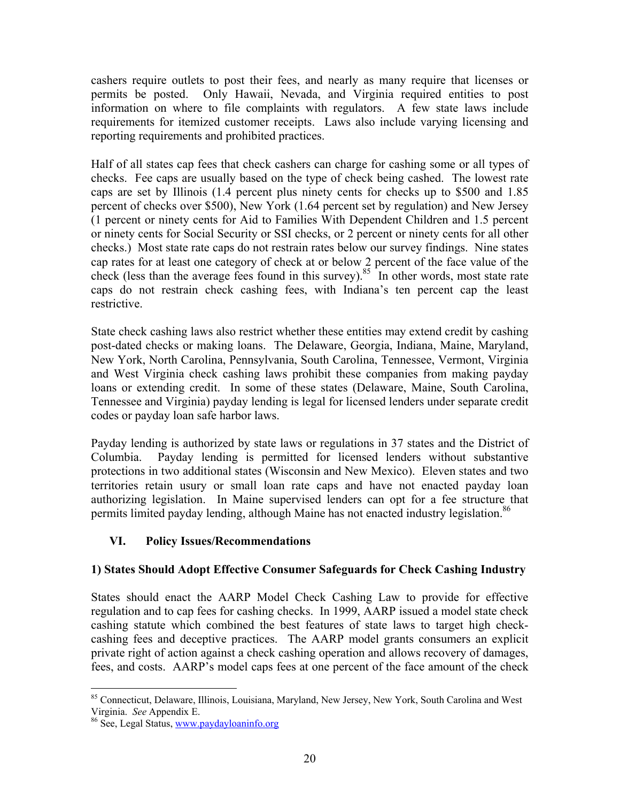cashers require outlets to post their fees, and nearly as many require that licenses or permits be posted. Only Hawaii, Nevada, and Virginia required entities to post information on where to file complaints with regulators. A few state laws include requirements for itemized customer receipts. Laws also include varying licensing and reporting requirements and prohibited practices.

Half of all states cap fees that check cashers can charge for cashing some or all types of checks. Fee caps are usually based on the type of check being cashed. The lowest rate caps are set by Illinois (1.4 percent plus ninety cents for checks up to \$500 and 1.85 percent of checks over \$500), New York (1.64 percent set by regulation) and New Jersey (1 percent or ninety cents for Aid to Families With Dependent Children and 1.5 percent or ninety cents for Social Security or SSI checks, or 2 percent or ninety cents for all other checks.) Most state rate caps do not restrain rates below our survey findings. Nine states cap rates for at least one category of check at or below 2 percent of the face value of the check (less than the average fees found in this survey).<sup>85</sup> In other words, most state rate caps do not restrain check cashing fees, with Indiana's ten percent cap the least restrictive.

State check cashing laws also restrict whether these entities may extend credit by cashing post-dated checks or making loans. The Delaware, Georgia, Indiana, Maine, Maryland, New York, North Carolina, Pennsylvania, South Carolina, Tennessee, Vermont, Virginia and West Virginia check cashing laws prohibit these companies from making payday loans or extending credit. In some of these states (Delaware, Maine, South Carolina, Tennessee and Virginia) payday lending is legal for licensed lenders under separate credit codes or payday loan safe harbor laws.

Payday lending is authorized by state laws or regulations in 37 states and the District of Columbia. Payday lending is permitted for licensed lenders without substantive protections in two additional states (Wisconsin and New Mexico). Eleven states and two territories retain usury or small loan rate caps and have not enacted payday loan authorizing legislation. In Maine supervised lenders can opt for a fee structure that permits limited payday lending, although Maine has not enacted industry legislation.<sup>86</sup>

### **VI. Policy Issues/Recommendations**

### **1) States Should Adopt Effective Consumer Safeguards for Check Cashing Industry**

States should enact the AARP Model Check Cashing Law to provide for effective regulation and to cap fees for cashing checks. In 1999, AARP issued a model state check cashing statute which combined the best features of state laws to target high checkcashing fees and deceptive practices. The AARP model grants consumers an explicit private right of action against a check cashing operation and allows recovery of damages, fees, and costs. AARP's model caps fees at one percent of the face amount of the check

<sup>1</sup> <sup>85</sup> Connecticut, Delaware, Illinois, Louisiana, Maryland, New Jersey, New York, South Carolina and West Virginia. *See* Appendix E.

<sup>&</sup>lt;sup>86</sup> See, Legal Status, www.paydayloaninfo.org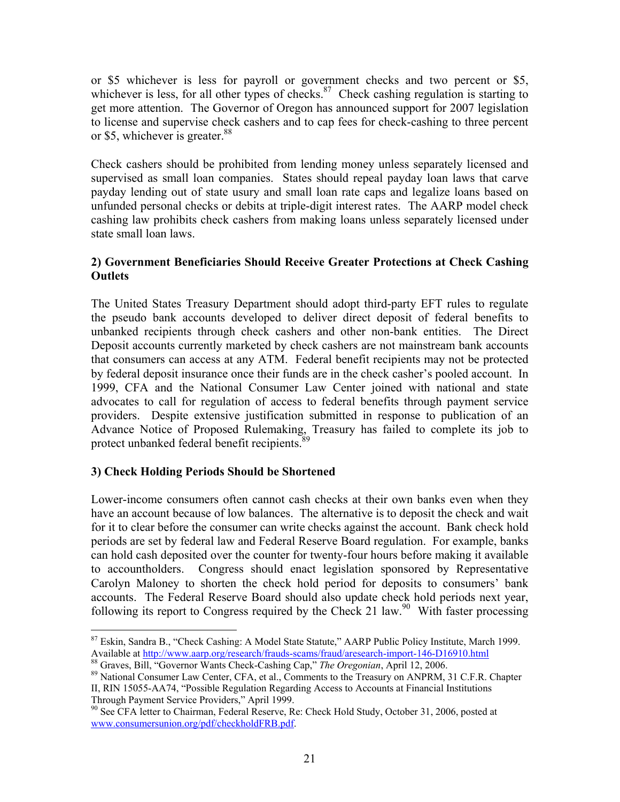or \$5 whichever is less for payroll or government checks and two percent or \$5, whichever is less, for all other types of checks.<sup>87</sup> Check cashing regulation is starting to get more attention. The Governor of Oregon has announced support for 2007 legislation to license and supervise check cashers and to cap fees for check-cashing to three percent or \$5, whichever is greater. $88$ 

Check cashers should be prohibited from lending money unless separately licensed and supervised as small loan companies. States should repeal payday loan laws that carve payday lending out of state usury and small loan rate caps and legalize loans based on unfunded personal checks or debits at triple-digit interest rates. The AARP model check cashing law prohibits check cashers from making loans unless separately licensed under state small loan laws.

### **2) Government Beneficiaries Should Receive Greater Protections at Check Cashing Outlets**

The United States Treasury Department should adopt third-party EFT rules to regulate the pseudo bank accounts developed to deliver direct deposit of federal benefits to unbanked recipients through check cashers and other non-bank entities. The Direct Deposit accounts currently marketed by check cashers are not mainstream bank accounts that consumers can access at any ATM. Federal benefit recipients may not be protected by federal deposit insurance once their funds are in the check casher's pooled account. In 1999, CFA and the National Consumer Law Center joined with national and state advocates to call for regulation of access to federal benefits through payment service providers. Despite extensive justification submitted in response to publication of an Advance Notice of Proposed Rulemaking, Treasury has failed to complete its job to protect unbanked federal benefit recipients.<sup>89</sup>

### **3) Check Holding Periods Should be Shortened**

 $\overline{a}$ 

Lower-income consumers often cannot cash checks at their own banks even when they have an account because of low balances. The alternative is to deposit the check and wait for it to clear before the consumer can write checks against the account. Bank check hold periods are set by federal law and Federal Reserve Board regulation. For example, banks can hold cash deposited over the counter for twenty-four hours before making it available to accountholders. Congress should enact legislation sponsored by Representative Carolyn Maloney to shorten the check hold period for deposits to consumers' bank accounts. The Federal Reserve Board should also update check hold periods next year, following its report to Congress required by the Check 21 law.<sup>90</sup> With faster processing

<sup>&</sup>lt;sup>87</sup> Eskin, Sandra B., "Check Cashing: A Model State Statute," AARP Public Policy Institute, March 1999.<br>Available at http://www.aarp.org/research/frauds-scams/fraud/aresearch-import-146-D16910.html

<sup>&</sup>lt;sup>88</sup> Graves, Bill, "Governor Wants Check-Cashing Cap," The Oregonian, April 12, 2006.<br><sup>89</sup> National Consumer Law Center, CFA, et al., Comments to the Treasury on ANPRM, 31 C.F.R. Chapter II, RIN 15055-AA74, "Possible Regulation Regarding Access to Accounts at Financial Institutions Through Payment Service Providers," April 1999.

<sup>&</sup>lt;sup>90</sup> See CFA letter to Chairman, Federal Reserve, Re: Check Hold Study, October 31, 2006, posted at www.consumersunion.org/pdf/checkholdFRB.pdf.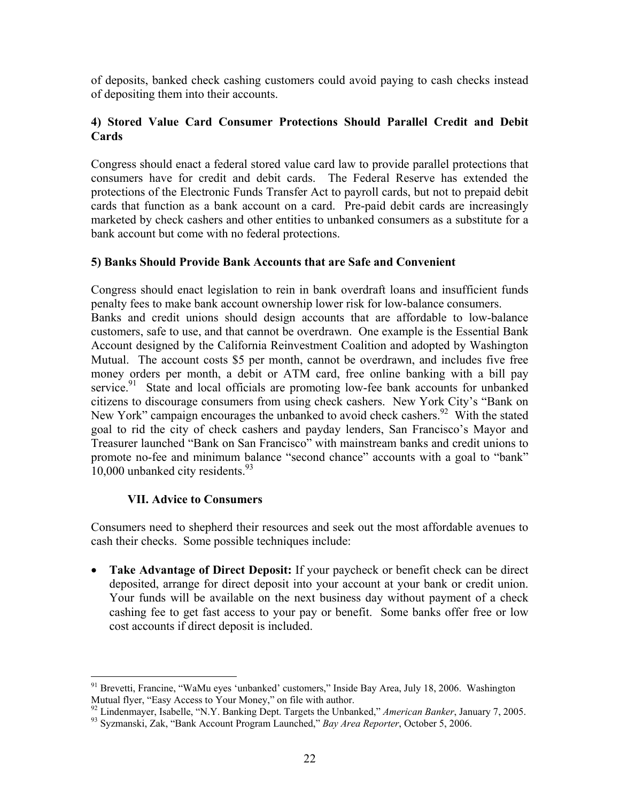of deposits, banked check cashing customers could avoid paying to cash checks instead of depositing them into their accounts.

#### **4) Stored Value Card Consumer Protections Should Parallel Credit and Debit Cards**

Congress should enact a federal stored value card law to provide parallel protections that consumers have for credit and debit cards. The Federal Reserve has extended the protections of the Electronic Funds Transfer Act to payroll cards, but not to prepaid debit cards that function as a bank account on a card. Pre-paid debit cards are increasingly marketed by check cashers and other entities to unbanked consumers as a substitute for a bank account but come with no federal protections.

#### **5) Banks Should Provide Bank Accounts that are Safe and Convenient**

Congress should enact legislation to rein in bank overdraft loans and insufficient funds penalty fees to make bank account ownership lower risk for low-balance consumers. Banks and credit unions should design accounts that are affordable to low-balance customers, safe to use, and that cannot be overdrawn. One example is the Essential Bank Account designed by the California Reinvestment Coalition and adopted by Washington Mutual. The account costs \$5 per month, cannot be overdrawn, and includes five free money orders per month, a debit or ATM card, free online banking with a bill pay service.<sup>91</sup> State and local officials are promoting low-fee bank accounts for unbanked citizens to discourage consumers from using check cashers. New York City's "Bank on New York" campaign encourages the unbanked to avoid check cashers.<sup>92</sup> With the stated goal to rid the city of check cashers and payday lenders, San Francisco's Mayor and Treasurer launched "Bank on San Francisco" with mainstream banks and credit unions to promote no-fee and minimum balance "second chance" accounts with a goal to "bank" 10,000 unbanked city residents.<sup>93</sup>

#### **VII. Advice to Consumers**

 $\overline{a}$ 

Consumers need to shepherd their resources and seek out the most affordable avenues to cash their checks. Some possible techniques include:

• **Take Advantage of Direct Deposit:** If your paycheck or benefit check can be direct deposited, arrange for direct deposit into your account at your bank or credit union. Your funds will be available on the next business day without payment of a check cashing fee to get fast access to your pay or benefit. Some banks offer free or low cost accounts if direct deposit is included.

<sup>&</sup>lt;sup>91</sup> Brevetti, Francine, "WaMu eyes 'unbanked' customers," Inside Bay Area, July 18, 2006. Washington Mutual flyer, "Easy Access to Your Money," on file with author.<br><sup>92</sup> Lindenmayer, Isabelle, "N.Y. Banking Dept. Targets the Unbanked," *American Banker*, January 7, 2005.<br><sup>93</sup> Syzmanski, Zak, "Bank Account Program Launched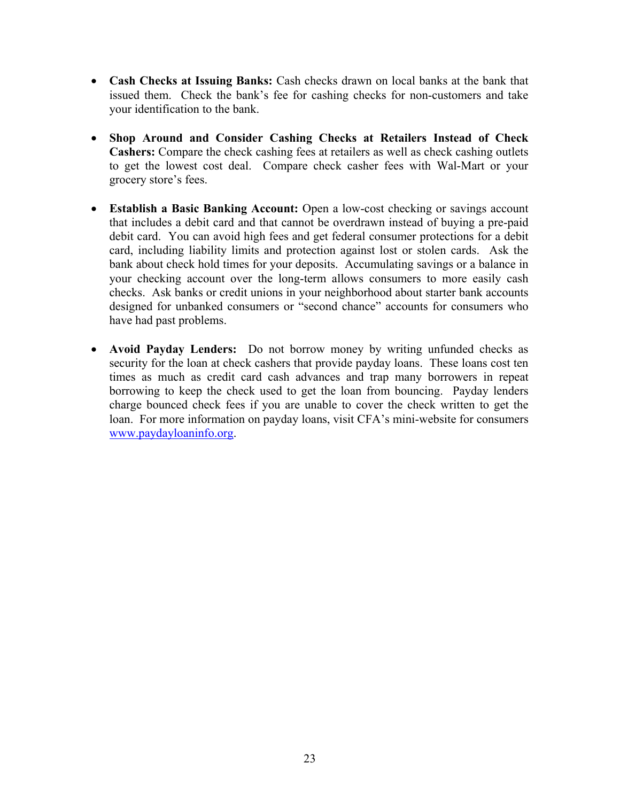- **Cash Checks at Issuing Banks:** Cash checks drawn on local banks at the bank that issued them. Check the bank's fee for cashing checks for non-customers and take your identification to the bank.
- **Shop Around and Consider Cashing Checks at Retailers Instead of Check Cashers:** Compare the check cashing fees at retailers as well as check cashing outlets to get the lowest cost deal. Compare check casher fees with Wal-Mart or your grocery store's fees.
- **Establish a Basic Banking Account:** Open a low-cost checking or savings account that includes a debit card and that cannot be overdrawn instead of buying a pre-paid debit card. You can avoid high fees and get federal consumer protections for a debit card, including liability limits and protection against lost or stolen cards. Ask the bank about check hold times for your deposits. Accumulating savings or a balance in your checking account over the long-term allows consumers to more easily cash checks. Ask banks or credit unions in your neighborhood about starter bank accounts designed for unbanked consumers or "second chance" accounts for consumers who have had past problems.
- **Avoid Payday Lenders:** Do not borrow money by writing unfunded checks as security for the loan at check cashers that provide payday loans. These loans cost ten times as much as credit card cash advances and trap many borrowers in repeat borrowing to keep the check used to get the loan from bouncing. Payday lenders charge bounced check fees if you are unable to cover the check written to get the loan. For more information on payday loans, visit CFA's mini-website for consumers www.paydayloaninfo.org.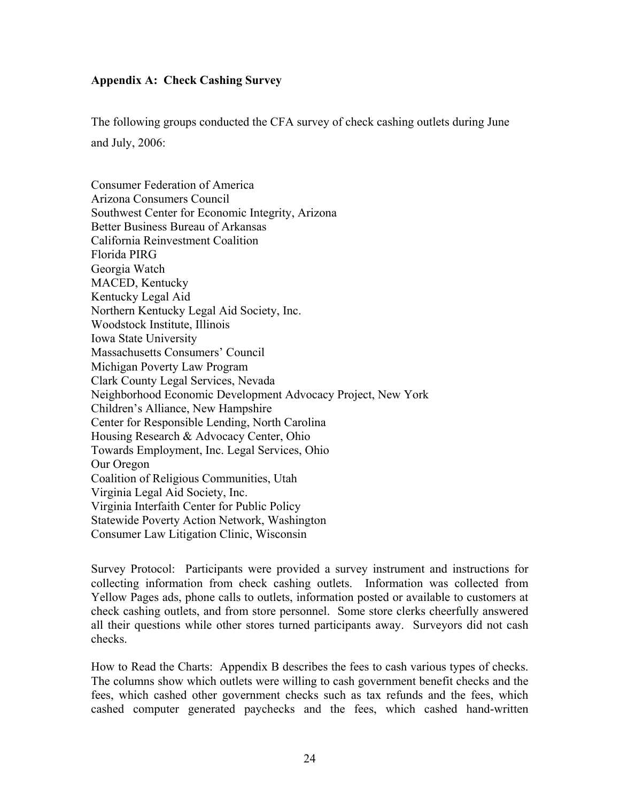#### **Appendix A: Check Cashing Survey**

The following groups conducted the CFA survey of check cashing outlets during June and July, 2006:

Consumer Federation of America Arizona Consumers Council Southwest Center for Economic Integrity, Arizona Better Business Bureau of Arkansas California Reinvestment Coalition Florida PIRG Georgia Watch MACED, Kentucky Kentucky Legal Aid Northern Kentucky Legal Aid Society, Inc. Woodstock Institute, Illinois Iowa State University Massachusetts Consumers' Council Michigan Poverty Law Program Clark County Legal Services, Nevada Neighborhood Economic Development Advocacy Project, New York Children's Alliance, New Hampshire Center for Responsible Lending, North Carolina Housing Research & Advocacy Center, Ohio Towards Employment, Inc. Legal Services, Ohio Our Oregon Coalition of Religious Communities, Utah Virginia Legal Aid Society, Inc. Virginia Interfaith Center for Public Policy Statewide Poverty Action Network, Washington Consumer Law Litigation Clinic, Wisconsin

Survey Protocol: Participants were provided a survey instrument and instructions for collecting information from check cashing outlets. Information was collected from Yellow Pages ads, phone calls to outlets, information posted or available to customers at check cashing outlets, and from store personnel. Some store clerks cheerfully answered all their questions while other stores turned participants away. Surveyors did not cash checks.

How to Read the Charts: Appendix B describes the fees to cash various types of checks. The columns show which outlets were willing to cash government benefit checks and the fees, which cashed other government checks such as tax refunds and the fees, which cashed computer generated paychecks and the fees, which cashed hand-written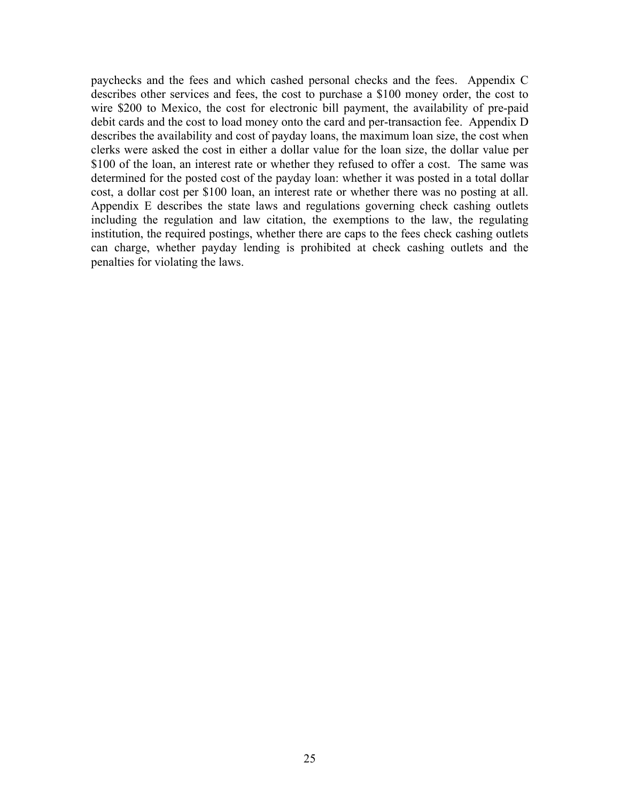paychecks and the fees and which cashed personal checks and the fees. Appendix C describes other services and fees, the cost to purchase a \$100 money order, the cost to wire \$200 to Mexico, the cost for electronic bill payment, the availability of pre-paid debit cards and the cost to load money onto the card and per-transaction fee. Appendix D describes the availability and cost of payday loans, the maximum loan size, the cost when clerks were asked the cost in either a dollar value for the loan size, the dollar value per \$100 of the loan, an interest rate or whether they refused to offer a cost. The same was determined for the posted cost of the payday loan: whether it was posted in a total dollar cost, a dollar cost per \$100 loan, an interest rate or whether there was no posting at all. Appendix E describes the state laws and regulations governing check cashing outlets including the regulation and law citation, the exemptions to the law, the regulating institution, the required postings, whether there are caps to the fees check cashing outlets can charge, whether payday lending is prohibited at check cashing outlets and the penalties for violating the laws.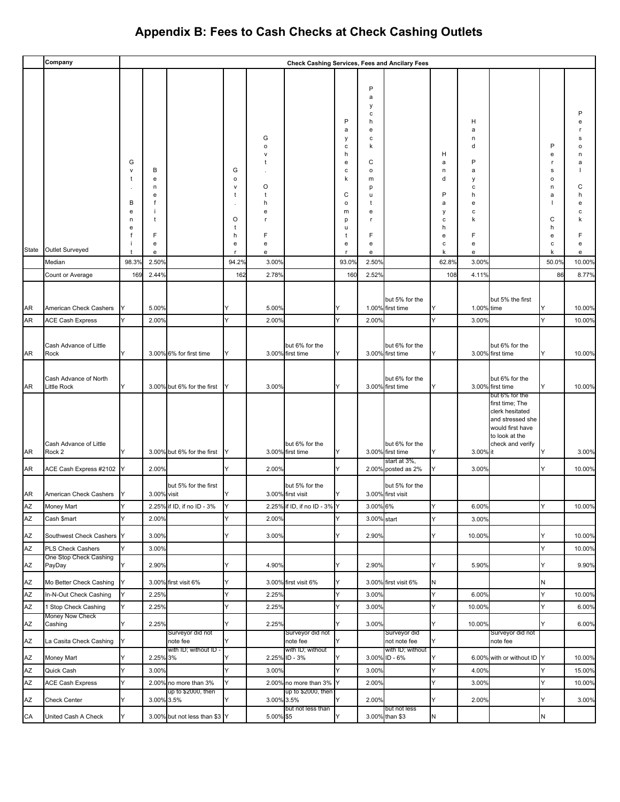|          | Company                                     |             |                   |                               |                   |                   | Check Cashing Services, Fees and Ancilary Fees |                   |                   |                                    |        |            |                                    |                   |                  |
|----------|---------------------------------------------|-------------|-------------------|-------------------------------|-------------------|-------------------|------------------------------------------------|-------------------|-------------------|------------------------------------|--------|------------|------------------------------------|-------------------|------------------|
|          |                                             |             |                   |                               |                   |                   |                                                |                   |                   |                                    |        |            |                                    |                   |                  |
|          |                                             |             |                   |                               |                   |                   |                                                |                   | P                 |                                    |        |            |                                    |                   |                  |
|          |                                             |             |                   |                               |                   |                   |                                                |                   | a<br>y            |                                    |        |            |                                    |                   |                  |
|          |                                             |             |                   |                               |                   |                   |                                                |                   | c                 |                                    |        |            |                                    |                   |                  |
|          |                                             |             |                   |                               |                   |                   |                                                | P<br>a            | h<br>e            |                                    |        | н<br>a     |                                    |                   |                  |
|          |                                             |             |                   |                               |                   | G                 |                                                | у                 | с                 |                                    |        | n          |                                    |                   |                  |
|          |                                             |             |                   |                               |                   | o<br>$\mathsf{v}$ |                                                | с<br>h            | k                 |                                    | н      | d          |                                    | P<br>е            | n                |
|          |                                             | G           |                   |                               |                   |                   |                                                | е                 | C                 |                                    | а      | P          |                                    | r                 | a                |
|          |                                             | $\vee$<br>t | В<br>e            |                               | G<br>$\mathsf{o}$ |                   |                                                | c<br>k            | $\mathsf{o}$<br>m |                                    | n<br>d | a<br>у     |                                    | s<br>$\circ$      |                  |
|          |                                             |             | n                 |                               | $\mathsf{v}$      | O                 |                                                |                   | p                 |                                    |        | с          |                                    | n                 | С                |
|          |                                             | В           | е<br>f            |                               | t                 | t<br>h            |                                                | C<br>$\mathsf{o}$ | u<br>t            |                                    | P<br>a | h<br>е     |                                    | a<br>$\mathbf{I}$ | h<br>е           |
|          |                                             | e           |                   |                               |                   | e                 |                                                | m                 | e                 |                                    | у      | с          |                                    |                   |                  |
|          |                                             | n<br>е      | t                 |                               | O<br>t            |                   |                                                | p<br>u            | $\mathsf{r}$      |                                    | c<br>h | k          |                                    | C<br>h            |                  |
|          |                                             |             | F                 |                               | h                 | F                 |                                                | t                 | F                 |                                    | e      | F          |                                    | e                 |                  |
| State    | Outlet Surveyed                             |             | e<br>e            |                               | e<br>r            | е<br>е            |                                                | e<br>$\mathsf{r}$ | e<br>e            |                                    | c<br>k | e<br>e     |                                    | с<br>k            | e<br>e           |
|          | Median                                      | 98.3%       | 2.50%             |                               | 94.2%             | 3.00%             |                                                | 93.0%             | 2.50%             |                                    | 62.8%  | 3.00%      |                                    | 50.0%             | 10.00%           |
|          | Count or Average                            | 169         | 2.44%             |                               | 162               | 2.78%             |                                                | 160               | 2.52%             |                                    | 108    | 4.11%      |                                    | 86                | 8.77%            |
|          |                                             |             |                   |                               |                   |                   |                                                |                   |                   |                                    |        |            |                                    |                   |                  |
| AR       | American Check Cashers                      |             | 5.00%             |                               |                   | 5.00%             |                                                |                   |                   | but 5% for the<br>1.00% first time | Y      | 1.00% time | but 5% the first                   | Y                 | 10.00%           |
| AR       | <b>ACE Cash Express</b>                     |             | 2.00%             |                               | Y                 | 2.00%             |                                                | Y                 | 2.00%             |                                    | Y      | 3.00%      |                                    | Y                 | 10.00%           |
|          |                                             |             |                   |                               |                   |                   |                                                |                   |                   |                                    |        |            |                                    |                   |                  |
|          | Cash Advance of Little                      |             |                   |                               |                   |                   | but 6% for the                                 |                   |                   | but 6% for the                     |        |            | but 6% for the                     |                   |                  |
| AR       | Rock                                        | Y           |                   | 3.00% 6% for first time       | Y                 |                   | 3.00% first time                               | Y                 |                   | 3.00% first time                   | Y      |            | 3.00% first time                   | Y                 | 10.00%           |
|          |                                             |             |                   |                               |                   |                   |                                                |                   |                   |                                    |        |            |                                    |                   |                  |
| AR       | Cash Advance of North<br><b>Little Rock</b> | Y           |                   | 3.00% but 6% for the first    | ΙY                | 3.00%             |                                                | Y                 |                   | but 6% for the<br>3.00% first time | Y      |            | but 6% for the<br>3.00% first time | Y                 | 10.00%           |
|          |                                             |             |                   |                               |                   |                   |                                                |                   |                   |                                    |        |            | but 6% for the                     |                   |                  |
|          |                                             |             |                   |                               |                   |                   |                                                |                   |                   |                                    |        |            | first time; The<br>clerk hesitated |                   |                  |
|          |                                             |             |                   |                               |                   |                   |                                                |                   |                   |                                    |        |            | and stressed she                   |                   |                  |
|          |                                             |             |                   |                               |                   |                   |                                                |                   |                   |                                    |        |            | would first have<br>to look at the |                   |                  |
|          | Cash Advance of Little                      | Y           |                   |                               |                   |                   | but 6% for the                                 | IY                |                   | but 6% for the                     | Y      |            | check and verify                   | Y                 |                  |
| AR       | Rock 2                                      |             |                   | 3.00% but 6% for the first    | IY                |                   | 3.00% first time                               |                   |                   | 3.00% first time<br>start at 3%,   |        | 3.00% it   |                                    |                   | 3.00%            |
| AR       | ACE Cash Express #2102 Y                    |             | 2.00%             |                               | Y                 | 2.00%             |                                                | Υ                 |                   | 2.00% posted as 2%                 | Y      | 3.00%      |                                    | Y                 | 10.00%           |
|          |                                             |             |                   | but 5% for the first          |                   |                   | but 5% for the                                 |                   |                   | but 5% for the                     |        |            |                                    |                   |                  |
| AR       | American Check Cashers Y                    |             | 3.00% visit       |                               |                   |                   | 3.00% first visit                              | Y                 |                   | 3.00% first visit                  |        |            |                                    |                   |                  |
| AZ       | Money Mart                                  | l Y         |                   | 2.25% if ID, if no ID - 3%    |                   |                   | 2.25% if ID, if no ID - 3% Y                   |                   | 3.00% 6%          |                                    | lY.    | 6.00%      |                                    | Y                 | 10.00%           |
| AZ       | Cash \$mart                                 | Y           | 2.00%             |                               | Y                 | 2.00%             |                                                | Y                 | 3.00% start       |                                    | Y      | 3.00%      |                                    |                   |                  |
| ΑZ       | Southwest Check Cashers                     | Y           | 3.00%             |                               | Y                 | 3.00%             |                                                | Y                 | 2.90%             |                                    | Y      | 10.00%     |                                    | Y                 | 10.00%           |
| AZ       | PLS Check Cashers                           | Y           | 3.00%             |                               |                   |                   |                                                |                   |                   |                                    |        |            |                                    | Y                 | 10.00%           |
| AZ       | One Stop Check Cashing<br>PayDay            | Y           | 2.90%             |                               | Y                 | 4.90%             |                                                | Y                 | 2.90%             |                                    | Y      | 5.90%      |                                    | Y                 | 9.90%            |
| AZ       | Mo Better Check Cashing                     | Y           |                   | 3.00% first visit 6%          | Y                 |                   | 3.00% first visit 6%                           | Y                 |                   | 3.00% first visit 6%               | N      |            |                                    | N                 |                  |
| AZ       | In-N-Out Check Cashing                      | Y           | 2.25%             |                               | Y                 | 2.25%             |                                                | Υ                 | 3.00%             |                                    | Y      | 6.00%      |                                    | Y                 | 10.00%           |
| AZ       | 1 Stop Check Cashing                        | Y           | 2.25%             |                               | Y                 | 2.25%             |                                                | Y                 | 3.00%             |                                    | Y      | 10.00%     |                                    | Y                 | 6.00%            |
| AZ       | Money Now Check<br>Cashing                  | Y           | 2.25%             |                               | Y                 | 2.25%             |                                                | Y                 | 3.00%             |                                    | Y      | 10.00%     |                                    | Y                 | 6.00%            |
| AZ       | La Casita Check Cashing                     | Y           |                   | Surveyor did not<br>note fee  | Y                 |                   | Surveyor did not<br>note fee                   | Y                 |                   | Surveyor did<br>not note fee       | Y      |            | Surveyor did not<br>note fee       |                   |                  |
|          |                                             |             |                   | with ID; without ID -         |                   |                   | with ID; without                               |                   |                   | with ID; without                   |        |            |                                    |                   |                  |
| AZ<br>AZ | Money Mart<br>Quick Cash                    | Y<br>Y      | 2.25% 3%<br>3.00% |                               | Y<br>Y            | 3.00%             | 2.25% ID - 3%                                  | Y<br>Y            | 3.00%             | 3.00% ID - 6%                      | Y<br>Y | 4.00%      | 6.00% with or without ID Y         | Y                 | 10.00%<br>15.00% |
| AZ       | <b>ACE Cash Express</b>                     | Y           |                   | 2.00% no more than 3%         | Y                 |                   | 2.00% no more than 3% Y                        |                   | 2.00%             |                                    | Y      | 3.00%      |                                    | Y                 | 10.00%           |
|          |                                             |             |                   | up to \$2000, then            |                   |                   | up to \$2000, then                             |                   |                   |                                    |        |            |                                    |                   |                  |
| ΑZ       | <b>Check Center</b>                         | Y           |                   | 3.00% 3.5%                    | Y                 | 3.00% 3.5%        | but not less than                              | Y                 | 2.00%             | but not less                       | Y      | 2.00%      |                                    | Y                 | 3.00%            |
| CA       | United Cash A Check                         | Y           |                   | 3.00% but not less than \$3 Y |                   | 5.00% \$5         |                                                | Y                 |                   | 3.00% than \$3                     | N      |            |                                    | N                 |                  |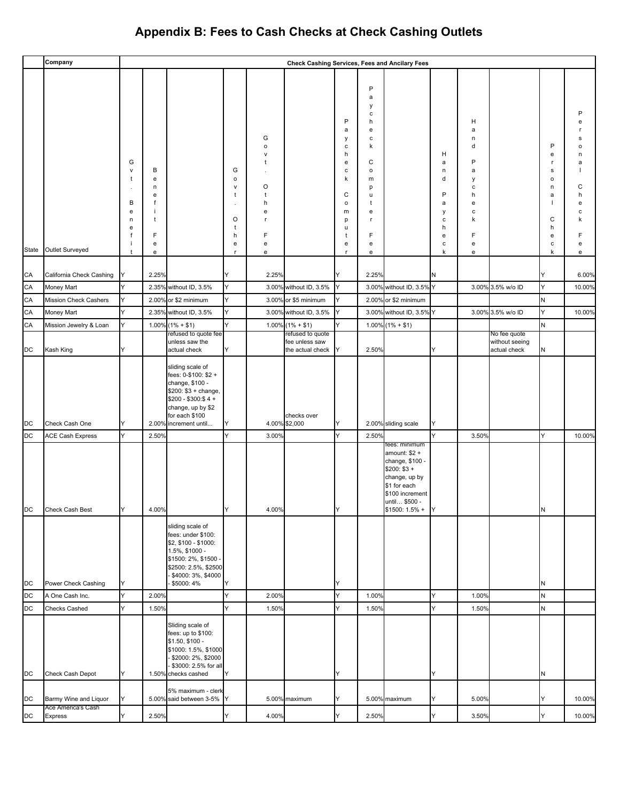|           | Company                                     |                                  |                                    |                                                                                                                                                                            |                                        |                                                                                 | Check Cashing Services, Fees and Ancilary Fees         |                                                      |                                                                  |                                                                                                                                                             |                                 |                                           |                                                |                                            |                                 |
|-----------|---------------------------------------------|----------------------------------|------------------------------------|----------------------------------------------------------------------------------------------------------------------------------------------------------------------------|----------------------------------------|---------------------------------------------------------------------------------|--------------------------------------------------------|------------------------------------------------------|------------------------------------------------------------------|-------------------------------------------------------------------------------------------------------------------------------------------------------------|---------------------------------|-------------------------------------------|------------------------------------------------|--------------------------------------------|---------------------------------|
|           |                                             |                                  |                                    |                                                                                                                                                                            |                                        |                                                                                 |                                                        | P<br>a                                               | $\mathsf{P}$<br>a<br>у<br>$\mathbf c$<br>h<br>${\bf e}$          |                                                                                                                                                             |                                 | н<br>a                                    |                                                |                                            |                                 |
|           |                                             | G<br>v<br>t<br>$\cdot$<br>В<br>е | B<br>${\bf e}$<br>n<br>e<br>f<br>÷ |                                                                                                                                                                            | G<br>$\mathsf{o}$<br>$\mathsf{V}$<br>t | G<br>$\mathsf{o}\,$<br>$\mathsf{v}$<br>t<br>O<br>$\ddot{\phantom{1}}$<br>h<br>е |                                                        | у<br>с<br>h<br>e<br>c<br>k<br>C<br>$\mathsf{o}$<br>m | $\mathbf c$<br>k<br>C<br>$\mathsf{o}\,$<br>m<br>р<br>u<br>t<br>e |                                                                                                                                                             | н<br>a<br>n<br>d<br>P<br>a<br>у | n<br>d<br>P<br>a<br>у<br>с<br>h<br>e<br>с |                                                | P<br>e<br>г<br>s<br>$\circ$<br>n<br>a<br>1 | s<br>n<br>a<br>С<br>h<br>е<br>c |
| State     | Outlet Surveyed                             | n<br>е<br>f<br>÷<br>t            | t<br>F<br>${\bf e}$<br>e           |                                                                                                                                                                            | O<br>t<br>h<br>e<br>$\mathbf{r}$       | r.<br>F<br>e<br>e                                                               |                                                        | p<br>u<br>t<br>e<br>$\mathbf{r}$                     | r.<br>F<br>${\bf e}$<br>${\bf e}$                                |                                                                                                                                                             | с<br>h<br>e<br>c<br>k           | k<br>F<br>${\bf e}$<br>e                  |                                                | $\mathsf{C}$<br>h<br>e<br>с<br>k           | e<br>e                          |
| CA        | California Check Cashing                    | Y                                | 2.25%                              |                                                                                                                                                                            | Y                                      | 2.25%                                                                           |                                                        | Y                                                    | 2.25%                                                            |                                                                                                                                                             | N                               |                                           |                                                | Y                                          | 6.00%                           |
| CA        | Money Mart                                  | Y                                |                                    | 2.35% without ID, 3.5%                                                                                                                                                     | Y                                      |                                                                                 | 3.00% without ID, 3.5%                                 | Y                                                    |                                                                  | 3.00% without ID, 3.5% Y                                                                                                                                    |                                 |                                           | 3.00% 3.5% w/o ID                              | Y                                          | 10.00%                          |
| CA        | Mission Check Cashers                       | Y                                |                                    | 2.00% or \$2 minimum                                                                                                                                                       | Y                                      |                                                                                 | 3.00% or \$5 minimum                                   | Y                                                    |                                                                  | 2.00% or \$2 minimum                                                                                                                                        |                                 |                                           |                                                | N                                          |                                 |
| CA        | Money Mart                                  | Y                                |                                    | 2.35% without ID, 3.5%                                                                                                                                                     | Y                                      |                                                                                 | 3.00% without ID, 3.5%                                 | Y                                                    |                                                                  | 3.00% without ID, 3.5% Y                                                                                                                                    |                                 |                                           | 3.00% 3.5% w/o ID                              | Y                                          | 10.00%                          |
| CA        | Mission Jewelry & Loan                      | Y                                |                                    | $1.00\%$ (1% + \$1)                                                                                                                                                        | Y                                      | 1.00%                                                                           | $(1\% + $1)$                                           | Y                                                    |                                                                  | $1.00\%$ (1% + \$1)                                                                                                                                         |                                 |                                           |                                                | N                                          |                                 |
| DC        | Kash King                                   | Y                                |                                    | refused to quote fee<br>unless saw the<br>actual check                                                                                                                     | Y                                      |                                                                                 | refused to quote<br>fee unless saw<br>the actual check | ΙY                                                   | 2.50%                                                            |                                                                                                                                                             | Y                               |                                           | No fee quote<br>without seeing<br>actual check | N                                          |                                 |
| DC        | Check Cash One                              | Y                                |                                    | sliding scale of<br>fees: 0-\$100: \$2 +<br>change, \$100 -<br>\$200: \$3 + change,<br>\$200 - \$300:\$4 +<br>change, up by \$2<br>for each \$100<br>2.00% increment until | Y                                      |                                                                                 | checks over<br>4.00% \$2,000                           | Y                                                    |                                                                  | 2.00% sliding scale                                                                                                                                         | Y                               |                                           |                                                |                                            |                                 |
| <b>DC</b> | <b>ACE Cash Express</b>                     | Y                                | 2.50%                              |                                                                                                                                                                            | Y                                      | 3.00%                                                                           |                                                        | Y                                                    | 2.50%                                                            |                                                                                                                                                             | Y                               | 3.50%                                     |                                                | Y                                          | 10.00%                          |
| DС        | Check Cash Best                             | Y                                | 4.00%                              |                                                                                                                                                                            | IY                                     | 4.00%                                                                           |                                                        | Y                                                    |                                                                  | tees: minimum<br>amount: $$2 +$<br>change, \$100 -<br>$$200: $3 +$<br>change, up by<br>\$1 for each<br>\$100 increment<br>until \$500 -<br>$$1500: 1.5\% +$ | IY.                             |                                           |                                                | IΝ                                         |                                 |
|           |                                             |                                  |                                    | sliding scale of<br>fees: under \$100:<br>\$2, \$100 - \$1000:<br>1.5%, \$1000 -<br>\$1500: 2%, \$1500 -<br>\$2500: 2.5%, \$2500<br>\$4000: 3%, \$4000                     |                                        |                                                                                 |                                                        |                                                      |                                                                  |                                                                                                                                                             |                                 |                                           |                                                |                                            |                                 |
| DC        | Power Check Cashing                         | Y                                |                                    | \$5000:4%                                                                                                                                                                  | Y                                      |                                                                                 |                                                        | Y                                                    |                                                                  |                                                                                                                                                             |                                 |                                           |                                                | N                                          |                                 |
| DC<br>DC  | A One Cash Inc.<br>Checks Cashed            | Y<br>Y                           | 2.00%<br>1.50%                     |                                                                                                                                                                            | Y<br>Y                                 | 2.00%<br>1.50%                                                                  |                                                        | Y<br>Y                                               | 1.00%<br>1.50%                                                   |                                                                                                                                                             | Y<br>Y                          | 1.00%<br>1.50%                            |                                                | N<br>N                                     |                                 |
|           |                                             | Y                                |                                    | Sliding scale of<br>fees: up to \$100:<br>\$1.50, \$100 -<br>\$1000: 1.5%, \$1000<br>\$2000: 2%, \$2000<br>\$3000: 2.5% for all                                            |                                        |                                                                                 |                                                        |                                                      |                                                                  |                                                                                                                                                             |                                 |                                           |                                                |                                            |                                 |
| DC        | Check Cash Depot                            |                                  |                                    | 1.50% checks cashed<br>5% maximum - clerk                                                                                                                                  | Y                                      |                                                                                 |                                                        | Y                                                    |                                                                  |                                                                                                                                                             | Y                               |                                           |                                                | N                                          |                                 |
| DC        | Barmy Wine and Liquor<br>Ace America's Cash | Y                                |                                    | 5.00% said between 3-5% Y                                                                                                                                                  |                                        |                                                                                 | 5.00% maximum                                          | Y                                                    |                                                                  | 5.00% maximum                                                                                                                                               | Y                               | 5.00%                                     |                                                | Y                                          | 10.00%                          |
| DC        | Express                                     | Y                                | 2.50%                              |                                                                                                                                                                            | Y                                      | 4.00%                                                                           |                                                        | Y                                                    | 2.50%                                                            |                                                                                                                                                             | Y                               | 3.50%                                     |                                                | Y                                          | 10.00%                          |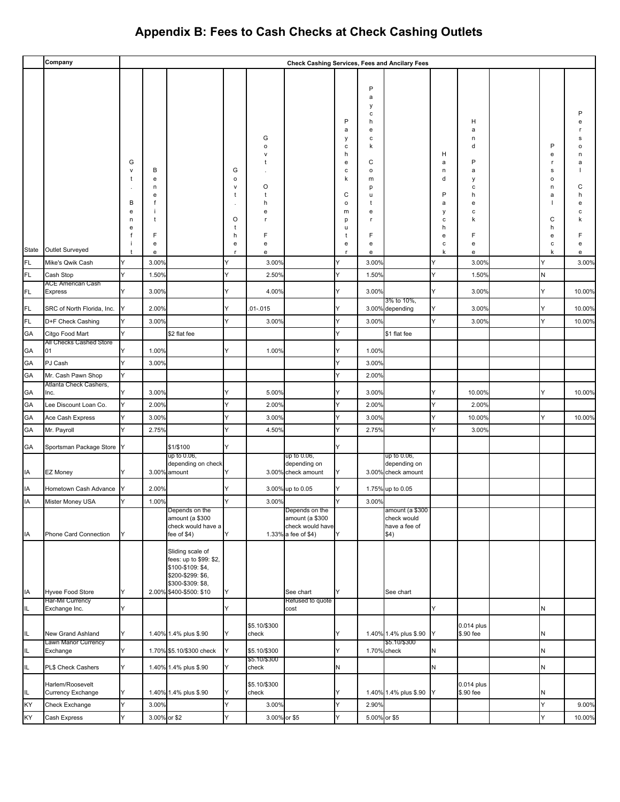|          | Company                                      |                                  |                       |                                                                                                                                      |                                         |                       | <b>Check Cashing Services, Fees and Ancilary Fees</b>                        |                                                                          |                                                                         |                                                         |                                           |                                                          |                                            |             |
|----------|----------------------------------------------|----------------------------------|-----------------------|--------------------------------------------------------------------------------------------------------------------------------------|-----------------------------------------|-----------------------|------------------------------------------------------------------------------|--------------------------------------------------------------------------|-------------------------------------------------------------------------|---------------------------------------------------------|-------------------------------------------|----------------------------------------------------------|--------------------------------------------|-------------|
|          |                                              | G<br>v<br>-1<br>в<br>e<br>n<br>e | в<br>e<br>n<br>е<br>t |                                                                                                                                      | G<br>$\mathsf{o}\,$<br>v<br>t<br>O<br>t | G<br>o<br>O<br>h<br>e |                                                                              | P<br>а<br>у<br>с<br>h<br>e<br>с<br>k<br>C<br>$\mathsf{o}$<br>m<br>p<br>u | P<br>a<br>у<br>c<br>h<br>е<br>с<br>k<br>С<br>o<br>m<br>p<br>u<br>t<br>е |                                                         | н<br>а<br>n<br>d<br>P<br>a<br>у<br>c<br>h | н<br>a<br>n<br>d<br>P<br>а<br>у<br>с<br>h<br>e<br>с<br>k | P<br>е<br>s<br>$\circ$<br>n<br>a<br>C<br>h | a<br>С<br>e |
|          |                                              |                                  | F<br>e                |                                                                                                                                      | h<br>e                                  | F<br>e                |                                                                              | Ť<br>e                                                                   | F<br>e                                                                  |                                                         | e<br>c                                    | F<br>e                                                   | е<br>с                                     | е           |
| State    | Outlet Surveyed                              | $\ddot{\phantom{1}}$             | e                     |                                                                                                                                      | <b>r</b>                                | e                     |                                                                              |                                                                          | e                                                                       |                                                         | k                                         | е                                                        | k                                          | e           |
| FL.      | Mike's Qwik Cash                             | Y                                | 3.00%                 |                                                                                                                                      |                                         | 3.00%                 |                                                                              | Y                                                                        | 3.00%                                                                   |                                                         |                                           | 3.00%                                                    | Y                                          | 3.00%       |
| FL.      | Cash Stop<br>ACE American Cash               | Y                                | 1.50%                 |                                                                                                                                      | Y                                       | 2.50%                 |                                                                              |                                                                          | 1.50%                                                                   |                                                         | Y                                         | 1.50%                                                    | N                                          |             |
| FL.      | <b>Express</b>                               | Y                                | 3.00%                 |                                                                                                                                      | Y                                       | 4.00%                 |                                                                              | Y                                                                        | 3.00%                                                                   | 3% to 10%,                                              | Y                                         | 3.00%                                                    | Y                                          | 10.00%      |
| FL.      | SRC of North Florida, Inc.                   |                                  | 2.00%                 |                                                                                                                                      | Y                                       | $.01 - .015$          |                                                                              |                                                                          |                                                                         | 3.00% depending                                         | Y                                         | 3.00%                                                    | Y                                          | 10.00%      |
| FL.      | D+F Check Cashing                            | Y                                | 3.00%                 |                                                                                                                                      | Y                                       | 3.00%                 |                                                                              | Y                                                                        | 3.00%                                                                   |                                                         | Y                                         | 3.00%                                                    | Y                                          | 10.00%      |
| GA       | Citgo Food Mart                              | Y                                |                       | \$2 flat fee                                                                                                                         |                                         |                       |                                                                              | Y                                                                        |                                                                         | \$1 flat fee                                            |                                           |                                                          |                                            |             |
| GA       | All Checks Cashed Store<br>01                |                                  | 1.00%                 |                                                                                                                                      | Y                                       | 1.00%                 |                                                                              |                                                                          | 1.00%                                                                   |                                                         |                                           |                                                          |                                            |             |
| GA       | PJ Cash                                      | Y                                | 3.00%                 |                                                                                                                                      |                                         |                       |                                                                              | Υ                                                                        | 3.00%                                                                   |                                                         |                                           |                                                          |                                            |             |
| GA       | Mr. Cash Pawn Shop                           | Y                                |                       |                                                                                                                                      |                                         |                       |                                                                              | Υ                                                                        | 2.00%                                                                   |                                                         |                                           |                                                          |                                            |             |
| GA       | Atlanta Check Cashers,<br>Inc.               |                                  | 3.00%                 |                                                                                                                                      |                                         | 5.00%                 |                                                                              |                                                                          | 3.00%                                                                   |                                                         |                                           | 10.00%                                                   | Y                                          | 10.00%      |
| GA       | Lee Discount Loan Co.                        | Y                                | 2.00%                 |                                                                                                                                      | Y                                       | 2.00%                 |                                                                              | Υ                                                                        | 2.00%                                                                   |                                                         | Y                                         | 2.00%                                                    |                                            |             |
| GA       | Ace Cash Express                             | Y                                | 3.00%                 |                                                                                                                                      | Y                                       | 3.00%                 |                                                                              |                                                                          | 3.00%                                                                   |                                                         | Y                                         | 10.00%                                                   | Y                                          | 10.00%      |
| GA       | Mr. Payroll                                  | Y                                | 2.75%                 |                                                                                                                                      | Y                                       | 4.50%                 |                                                                              | Y                                                                        | 2.75%                                                                   |                                                         | Y                                         | 3.00%                                                    |                                            |             |
|          |                                              |                                  |                       | \$1/\$100                                                                                                                            | Y                                       |                       |                                                                              | Y                                                                        |                                                                         |                                                         |                                           |                                                          |                                            |             |
| GA<br>IA | Sportsman Package Store Y<br>EZ Money        |                                  |                       | up to 0.06,<br>depending on check<br>3.00% amount                                                                                    |                                         |                       | up to 0.06,<br>depending on<br>3.00% check amount                            | Y                                                                        |                                                                         | up to 0.06,<br>depending on<br>3.00% check amount       |                                           |                                                          |                                            |             |
| IA       | Hometown Cash Advance                        |                                  | 2.00%                 |                                                                                                                                      | Y                                       |                       | 3.00% up to 0.05                                                             | Y                                                                        |                                                                         | 1.75% up to 0.05                                        |                                           |                                                          |                                            |             |
| IA       | Mister Money USA                             | Y                                | 1.00%                 |                                                                                                                                      | Y                                       | 3.00%                 |                                                                              | Y                                                                        | 3.00%                                                                   |                                                         |                                           |                                                          |                                            |             |
| IA       | Phone Card Connection                        | Y                                |                       | Depends on the<br>amount (a \$300<br>check would have a<br>fee of \$4)                                                               | Y                                       |                       | Depends on the<br>amount (a \$300<br>check would have<br>1.33% a fee of \$4) | Y                                                                        |                                                                         | amount (a \$300<br>check would<br>have a fee of<br>\$4) |                                           |                                                          |                                            |             |
| IA       | Hyvee Food Store                             | Y                                |                       | Sliding scale of<br>fees: up to \$99: \$2,<br>\$100-\$109: \$4,<br>\$200-\$299: \$6,<br>\$300-\$309: \$8,<br>2.00% \$400-\$500: \$10 | Y                                       |                       | See chart                                                                    | Y                                                                        |                                                                         | See chart                                               |                                           |                                                          |                                            |             |
| IL.      | Har-Mil Currency<br>Exchange Inc.            | Y                                |                       |                                                                                                                                      | Y                                       |                       | Refused to quote<br>cost                                                     |                                                                          |                                                                         |                                                         | Y.                                        |                                                          | N                                          |             |
|          |                                              |                                  |                       |                                                                                                                                      |                                         |                       |                                                                              |                                                                          |                                                                         |                                                         |                                           |                                                          |                                            |             |
| IL       | New Grand Ashland<br>Lawn Manor Currency     | Y                                |                       | 1.40% 1.4% plus \$.90                                                                                                                | Y                                       | \$5.10/\$300<br>check |                                                                              | Υ                                                                        |                                                                         | 1.40% 1.4% plus \$.90<br>\$5.10/\$300                   | IY.                                       | 0.014 plus<br>\$.90 fee                                  | N                                          |             |
| IL.      | Exchange                                     | Y                                |                       | 1.70% \$5.10/\$300 check                                                                                                             | Y                                       | \$5.10/\$300          |                                                                              | Y                                                                        |                                                                         | 1.70% check                                             | N                                         |                                                          | N                                          |             |
| IL.      | PL\$ Check Cashers                           | Y                                |                       | 1.40% 1.4% plus \$.90                                                                                                                | Y                                       | \$5.10/\$300<br>check |                                                                              | $\sf N$                                                                  |                                                                         |                                                         | N                                         |                                                          | N                                          |             |
| IL.      | Harlem/Roosevelt<br><b>Currency Exchange</b> | Υ                                |                       | 1.40% 1.4% plus \$.90                                                                                                                | Y                                       | \$5.10/\$300<br>check |                                                                              | Y                                                                        |                                                                         | 1.40% 1.4% plus \$.90                                   | IY.                                       | 0.014 plus<br>\$.90 fee                                  | N                                          |             |
| KY       | Check Exchange                               | Y                                | 3.00%                 |                                                                                                                                      | Y                                       | 3.00%                 |                                                                              | Υ                                                                        | 2.90%                                                                   |                                                         |                                           |                                                          | Y                                          | 9.00%       |
| KY       | Cash Express                                 | Y                                | 3.00% or \$2          |                                                                                                                                      | Y                                       | 3.00% or \$5          |                                                                              | Y                                                                        | 5.00% or \$5                                                            |                                                         |                                           |                                                          | Y                                          | 10.00%      |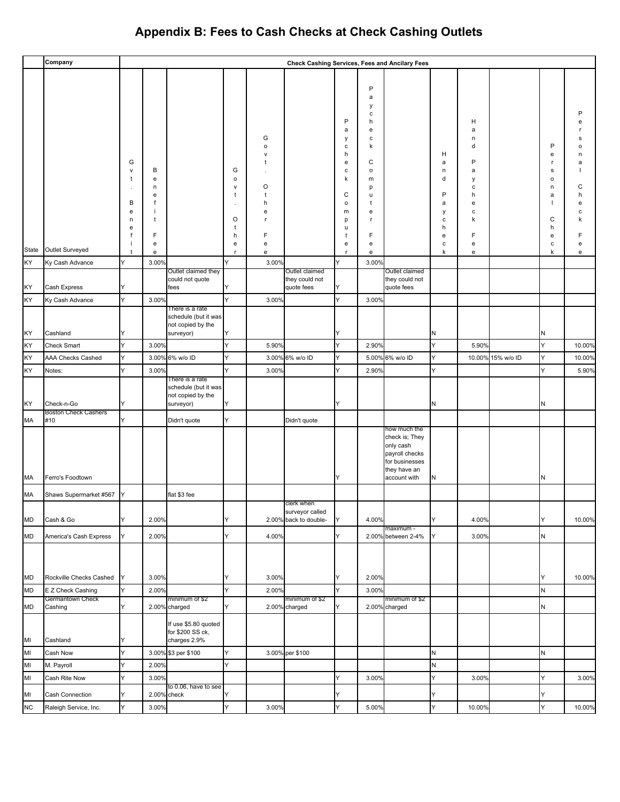|           | Company                               |                                                      |                                                      |                                                                           |                                                       |                                                               |                                                |                                                                               |                                                                                                                       | Check Cashing Services, Fees and Ancilary Fees                                                                  |                                                     |                                                                            |                   |                                                                |                            |
|-----------|---------------------------------------|------------------------------------------------------|------------------------------------------------------|---------------------------------------------------------------------------|-------------------------------------------------------|---------------------------------------------------------------|------------------------------------------------|-------------------------------------------------------------------------------|-----------------------------------------------------------------------------------------------------------------------|-----------------------------------------------------------------------------------------------------------------|-----------------------------------------------------|----------------------------------------------------------------------------|-------------------|----------------------------------------------------------------|----------------------------|
|           |                                       | G<br>v<br>t<br>$\cdot$<br>В<br>е<br>n<br>е<br>f<br>j | В<br>${\bf e}$<br>n<br>e<br>f<br>t<br>F<br>${\bf e}$ |                                                                           | G<br>$\circ$<br>$\mathsf{v}$<br>t<br>O<br>t<br>h<br>e | G<br>o<br>O<br>$\ddot{\phantom{1}}$<br>h<br>e<br>.r<br>F<br>e |                                                | P<br>a<br>у<br>с<br>h<br>e<br>c<br>k<br>C<br>$\mathsf{o}$<br>m<br>p<br>u<br>e | $\mathsf{P}$<br>a<br>у<br>c<br>h<br>e<br>c<br>k<br>C<br>$\mathsf{o}$<br>m<br>р<br>u<br>t<br>e<br>r.<br>F<br>${\bf e}$ |                                                                                                                 | н<br>а<br>n<br>d<br>P<br>a<br>у<br>c<br>h<br>е<br>c | н<br>a<br>n<br>d<br>P<br>a<br>у<br>с<br>h<br>e<br>с<br>k<br>F<br>${\bf e}$ |                   | P<br>е<br>r<br>s<br>$\mathsf{o}$<br>n<br>a<br>C<br>h<br>е<br>с | n<br>a<br>С<br>h<br>e<br>e |
| State     | Outlet Surveyed                       | $\ddagger$                                           | e                                                    |                                                                           | $\mathsf{r}$                                          | e                                                             |                                                | $\mathsf{r}$                                                                  | e                                                                                                                     |                                                                                                                 | k                                                   | e                                                                          |                   | k                                                              | e                          |
| KY<br>KY  | Ky Cash Advance<br>Cash Express       | Y<br>Y                                               | 3.00%                                                | Outlet claimed they<br>could not quote<br>fees                            | Y<br>Y                                                | 3.00%                                                         | Outlet claimed<br>they could not<br>quote fees | Y<br>Y                                                                        | 3.00%                                                                                                                 | Outlet claimed<br>they could not<br>quote fees                                                                  |                                                     |                                                                            |                   |                                                                |                            |
| KY        | Ky Cash Advance                       | Y                                                    | 3.00%                                                |                                                                           | Y                                                     | 3.00%                                                         |                                                | Y                                                                             | 3.00%                                                                                                                 |                                                                                                                 |                                                     |                                                                            |                   |                                                                |                            |
| KY        | Cashland                              | Y                                                    |                                                      | There is a rate<br>schedule (but it was<br>not copied by the<br>surveyor) | Y                                                     |                                                               |                                                | IY                                                                            |                                                                                                                       |                                                                                                                 | N                                                   |                                                                            |                   | N                                                              |                            |
| KY        | Check Smart                           | Y                                                    | 3.00%                                                |                                                                           | Y                                                     | 5.90%                                                         |                                                | Y                                                                             | 2.90%                                                                                                                 |                                                                                                                 | Y                                                   | 5.90%                                                                      |                   | Y                                                              | 10.00%                     |
| KY        | AAA Checks Cashed                     | Y                                                    |                                                      | 3.00% 6% w/o ID                                                           | Y                                                     |                                                               | 3.00% 6% w/o ID                                | Y                                                                             | 5.00%                                                                                                                 | 6% w/o ID                                                                                                       | Y                                                   |                                                                            | 10.00% 15% w/o ID | Y                                                              | 10.00%                     |
| KY        | Notes:                                | Y                                                    | 3.00%                                                |                                                                           | Y                                                     | 3.00%                                                         |                                                | Y                                                                             | 2.90%                                                                                                                 |                                                                                                                 | Y                                                   |                                                                            |                   | Y                                                              | 5.90%                      |
| KY        | Check-n-Go                            | Υ                                                    |                                                      | There is a rate<br>schedule (but it was<br>not copied by the<br>surveyor) | Y                                                     |                                                               |                                                | Y                                                                             |                                                                                                                       |                                                                                                                 | N                                                   |                                                                            |                   | N                                                              |                            |
| MA        | <b>Boston Check Cashers</b><br>#10    | Y                                                    |                                                      | Didn't quote                                                              | Y                                                     |                                                               | Didn't quote                                   |                                                                               |                                                                                                                       |                                                                                                                 |                                                     |                                                                            |                   |                                                                |                            |
| МA        | Ferro's Foodtown                      |                                                      |                                                      |                                                                           |                                                       |                                                               |                                                | Y                                                                             |                                                                                                                       | how much the<br>check is; They<br>only cash<br>payroll checks<br>for businesses<br>they have an<br>account with | N                                                   |                                                                            |                   | N                                                              |                            |
| MA        | Shaws Supermarket #567                | Y                                                    |                                                      | flat \$3 fee                                                              |                                                       |                                                               | clerk when                                     |                                                                               |                                                                                                                       |                                                                                                                 |                                                     |                                                                            |                   |                                                                |                            |
| MD        | Cash & Go                             | Y                                                    | 2.00%                                                |                                                                           | Y                                                     |                                                               | surveyor called<br>2.00% back to double-       | Y                                                                             | 4.00%                                                                                                                 | maximum -                                                                                                       | Y                                                   | 4.00%                                                                      |                   | Y                                                              | 10.00%                     |
| MD        | America's Cash Express                | Y                                                    | 2.00%                                                |                                                                           | Y                                                     | 4.00%                                                         |                                                | Y                                                                             |                                                                                                                       | 2.00% between 2-4%                                                                                              | Y                                                   | 3.00%                                                                      |                   | N                                                              |                            |
| <b>MD</b> | Rockville Checks Cashed               | Y                                                    | 3.00%                                                |                                                                           | Y                                                     | 3.00%                                                         |                                                | Y                                                                             | 2.00%                                                                                                                 |                                                                                                                 |                                                     |                                                                            |                   | Y                                                              | 10.00%                     |
| MD        | E Z Check Cashing<br>Germantown Check | Y                                                    | 2.00%                                                | minimum of \$2                                                            | Y                                                     | 2.00%                                                         | minimum of \$2                                 | Y                                                                             | 3.00%                                                                                                                 | minimum of \$2                                                                                                  |                                                     |                                                                            |                   | N                                                              |                            |
| MD        | Cashing                               | Y                                                    |                                                      | 2.00% charged                                                             | Y                                                     |                                                               | 2.00% charged                                  | Y                                                                             |                                                                                                                       | 2.00% charged                                                                                                   |                                                     |                                                                            |                   | N                                                              |                            |
| MI        | Cashland                              | Y                                                    |                                                      | If use \$5.80 quoted<br>for \$200 SS ck,<br>charges 2.9%                  |                                                       |                                                               |                                                |                                                                               |                                                                                                                       |                                                                                                                 |                                                     |                                                                            |                   |                                                                |                            |
| MI        | Cash Now                              | Y                                                    |                                                      | 3.00% \$3 per \$100                                                       | Y                                                     |                                                               | 3.00% per \$100                                |                                                                               |                                                                                                                       |                                                                                                                 | N                                                   |                                                                            |                   | N                                                              |                            |
| MI        | M. Payroll                            | Y                                                    | 2.00%                                                |                                                                           | Y                                                     |                                                               |                                                |                                                                               |                                                                                                                       |                                                                                                                 | N                                                   |                                                                            |                   |                                                                |                            |
| MI        | Cash Rite Now                         | Y                                                    | 3.00%                                                | to 0.06, have to see                                                      |                                                       |                                                               |                                                | Y                                                                             | 3.00%                                                                                                                 |                                                                                                                 | Y                                                   | 3.00%                                                                      |                   | Y                                                              | 3.00%                      |
| MI        | Cash Connection                       | Y                                                    |                                                      | 2.00% check                                                               | Y                                                     |                                                               |                                                | Υ                                                                             |                                                                                                                       |                                                                                                                 | Y                                                   |                                                                            |                   | Y                                                              |                            |
| NC        | Raleigh Service, Inc.                 | Y                                                    | 3.00%                                                |                                                                           | Y                                                     | 3.00%                                                         |                                                | Y                                                                             | 5.00%                                                                                                                 |                                                                                                                 | Y                                                   | 10.00%                                                                     |                   | Y                                                              | 10.00%                     |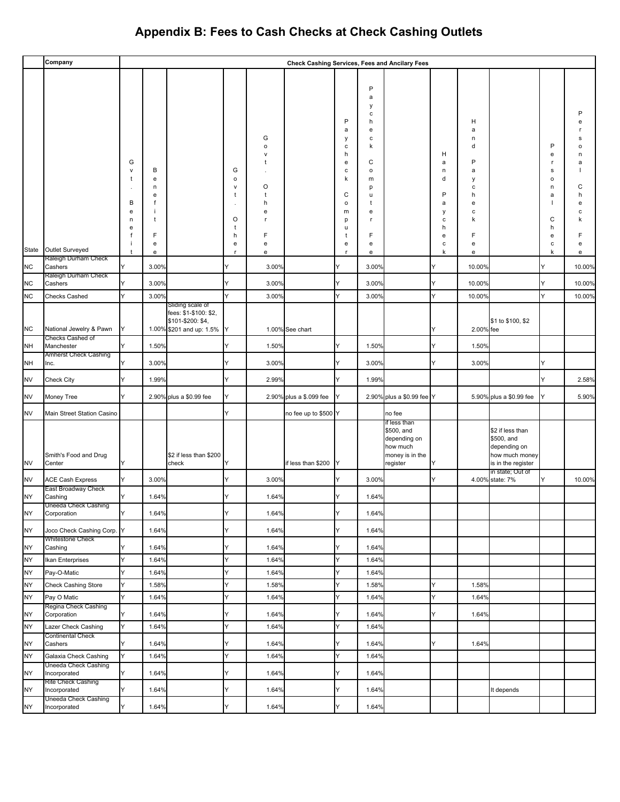|           | Company                                     |                                                      |                                      |                                                                        |                                            |                                                        | Check Cashing Services, Fees and Ancilary Fees |                                                                               |                                                                                                |                                                                                       |                                                |                                                               |                                                                                        |                                                                      |                                 |
|-----------|---------------------------------------------|------------------------------------------------------|--------------------------------------|------------------------------------------------------------------------|--------------------------------------------|--------------------------------------------------------|------------------------------------------------|-------------------------------------------------------------------------------|------------------------------------------------------------------------------------------------|---------------------------------------------------------------------------------------|------------------------------------------------|---------------------------------------------------------------|----------------------------------------------------------------------------------------|----------------------------------------------------------------------|---------------------------------|
|           |                                             | G<br>${\sf V}$<br>t<br>В<br>${\bf e}$<br>n<br>e<br>f | В<br>e<br>n<br>e<br>f<br>÷<br>t<br>F |                                                                        | G<br>o<br>$\mathsf{v}$<br>t<br>O<br>t<br>h | G<br>$\mathsf{o}\,$<br>v<br>1<br>O<br>t<br>h<br>e<br>F |                                                | P<br>a<br>у<br>c<br>h<br>e<br>c<br>k<br>C<br>$\mathsf{o}$<br>m<br>p<br>u<br>t | P<br>a<br>у<br>с<br>h<br>е<br>с<br>k<br>C<br>$\mathsf{o}\,$<br>m<br>p<br>u<br>t<br>е<br>r<br>F |                                                                                       | н<br>a<br>n<br>d<br>P<br>a<br>у<br>с<br>h<br>e | н<br>a<br>n<br>d<br>P<br>а<br>у<br>c<br>h<br>e<br>c<br>k<br>F |                                                                                        | P<br>e<br>-r<br>$\mathbf s$<br>$\mathsf{o}$<br>n<br>a<br>C<br>h<br>e | e<br>Ω<br>a<br>C<br>h<br>е<br>c |
|           |                                             | İ                                                    | e                                    |                                                                        | е                                          | e                                                      |                                                | e                                                                             | e                                                                                              |                                                                                       | с                                              | e                                                             |                                                                                        | c                                                                    | е                               |
| State     | Outlet Surveyed<br>Raleigh Durham Check     | t                                                    | e                                    |                                                                        | r                                          | e                                                      |                                                | r                                                                             | e                                                                                              |                                                                                       | k                                              | e                                                             |                                                                                        | k                                                                    | e                               |
| <b>NC</b> | Cashers<br>Raleigh Durham Check             | Υ                                                    | 3.00%                                |                                                                        | Y                                          | 3.00%                                                  |                                                | Y                                                                             | 3.00%                                                                                          |                                                                                       | Y                                              | 10.00%                                                        |                                                                                        | Y                                                                    | 10.00%                          |
| <b>NC</b> | Cashers                                     | Y                                                    | 3.00%                                |                                                                        | Y                                          | 3.00%                                                  |                                                | Y                                                                             | 3.00%                                                                                          |                                                                                       | Y                                              | 10.00%                                                        |                                                                                        | Υ                                                                    | 10.00%                          |
| <b>NC</b> | Checks Cashed                               | Y                                                    | 3.00%                                | Sliding scale of                                                       | Y                                          | 3.00%                                                  |                                                | Y                                                                             | 3.00%                                                                                          |                                                                                       | Y                                              | 10.00%                                                        |                                                                                        | Y                                                                    | 10.00%                          |
| <b>NC</b> | National Jewelry & Pawn<br>Checks Cashed of | Y                                                    |                                      | fees: \$1-\$100: \$2,<br>\$101-\$200: \$4,<br>1.00% \$201 and up: 1.5% | Y                                          |                                                        | 1.00% See chart                                |                                                                               |                                                                                                |                                                                                       | Y                                              | 2.00% fee                                                     | \$1 to \$100, \$2                                                                      |                                                                      |                                 |
| <b>NH</b> | Manchester                                  | Y                                                    | 1.50%                                |                                                                        | Y                                          | 1.50%                                                  |                                                | Y                                                                             | 1.50%                                                                                          |                                                                                       | Y                                              | 1.50%                                                         |                                                                                        |                                                                      |                                 |
| <b>NH</b> | Amherst Check Cashing<br>Inc.               | Y                                                    | 3.00%                                |                                                                        | Υ                                          | 3.00%                                                  |                                                | Y                                                                             | 3.00%                                                                                          |                                                                                       | Υ                                              | 3.00%                                                         |                                                                                        | Y                                                                    |                                 |
| <b>NV</b> | Check City                                  | Y                                                    | 1.99%                                |                                                                        | Y                                          | 2.99%                                                  |                                                | Y                                                                             | 1.99%                                                                                          |                                                                                       |                                                |                                                               |                                                                                        | Y                                                                    | 2.58%                           |
| <b>NV</b> | Money Tree                                  | Y                                                    |                                      | 2.90% plus a \$0.99 fee                                                | Y                                          |                                                        | 2.90% plus a \$.099 fee                        | Y                                                                             |                                                                                                | 2.90% plus a \$0.99 fee Y                                                             |                                                |                                                               | 5.90% plus a \$0.99 fee                                                                | Y                                                                    | 5.90%                           |
| <b>NV</b> | Main Street Station Casino                  |                                                      |                                      |                                                                        | Y                                          |                                                        | no fee up to \$500 Y                           |                                                                               |                                                                                                | no fee                                                                                |                                                |                                                               |                                                                                        |                                                                      |                                 |
| <b>NV</b> | Smith's Food and Drug<br>Center             | Υ                                                    |                                      | \$2 if less than \$200<br>check                                        | Y                                          |                                                        | if less than \$200                             | Y                                                                             |                                                                                                | if less than<br>\$500, and<br>depending on<br>how much<br>money is in the<br>register | Y                                              |                                                               | \$2 if less than<br>\$500, and<br>depending on<br>how much money<br>is in the register |                                                                      |                                 |
| <b>NV</b> | <b>ACE Cash Express</b>                     | Y                                                    | 3.00%                                |                                                                        | Y                                          | 3.00%                                                  |                                                | Y                                                                             | 3.00%                                                                                          |                                                                                       | Y                                              |                                                               | in state; Out of<br>4.00% state: 7%                                                    | Y                                                                    | 10.00%                          |
| <b>NY</b> | East Broadway Check<br>Cashing              | Y                                                    | 1.64%                                |                                                                        | Υ                                          | 1.64%                                                  |                                                | Y                                                                             | 1.64%                                                                                          |                                                                                       |                                                |                                                               |                                                                                        |                                                                      |                                 |
| NY        | Uneeda Check Cashing<br>Corporation         | Υ                                                    | 1.64%                                |                                                                        | Y                                          | 1.64%                                                  |                                                | Υ                                                                             | 1.64%                                                                                          |                                                                                       |                                                |                                                               |                                                                                        |                                                                      |                                 |
| <b>NY</b> | Joco Check Cashing Corp.                    | Υ                                                    | 1.64%                                |                                                                        | Y                                          | 1.64%                                                  |                                                | Y                                                                             | 1.64%                                                                                          |                                                                                       |                                                |                                                               |                                                                                        |                                                                      |                                 |
| NY        | Whitestone Check<br>Cashing                 | Y                                                    | 1.64%                                |                                                                        | Υ                                          | 1.64%                                                  |                                                | Y                                                                             | 1.64%                                                                                          |                                                                                       |                                                |                                                               |                                                                                        |                                                                      |                                 |
| NY        | Ikan Enterprises                            | Y                                                    | 1.64%                                |                                                                        | Y                                          | 1.64%                                                  |                                                | Υ                                                                             | 1.64%                                                                                          |                                                                                       |                                                |                                                               |                                                                                        |                                                                      |                                 |
| NY        | Pay-O-Matic                                 | Y                                                    | 1.64%                                |                                                                        | Y                                          | 1.64%                                                  |                                                | Y                                                                             | 1.64%                                                                                          |                                                                                       |                                                |                                                               |                                                                                        |                                                                      |                                 |
| <b>NY</b> | <b>Check Cashing Store</b>                  | Y                                                    | 1.58%                                |                                                                        | Y                                          | 1.58%                                                  |                                                | Y                                                                             | 1.58%                                                                                          |                                                                                       | Υ                                              | 1.58%                                                         |                                                                                        |                                                                      |                                 |
| <b>NY</b> | Pay O Matic<br>Regina Check Cashing         | Y                                                    | 1.64%                                |                                                                        | Y                                          | 1.64%                                                  |                                                | Y                                                                             | 1.64%                                                                                          |                                                                                       | Y                                              | 1.64%                                                         |                                                                                        |                                                                      |                                 |
| NY        | Corporation                                 | Y                                                    | 1.64%                                |                                                                        | Υ                                          | 1.64%                                                  |                                                | Υ                                                                             | 1.64%                                                                                          |                                                                                       | Υ                                              | 1.64%                                                         |                                                                                        |                                                                      |                                 |
| NY        | Lazer Check Cashing                         | Y                                                    | 1.64%                                |                                                                        | Y                                          | 1.64%                                                  |                                                | Y                                                                             | 1.64%                                                                                          |                                                                                       |                                                |                                                               |                                                                                        |                                                                      |                                 |
| <b>NY</b> | Continental Check<br>Cashers                | Y                                                    | 1.64%                                |                                                                        | Y                                          | 1.64%                                                  |                                                | Y                                                                             | 1.64%                                                                                          |                                                                                       | Y                                              | 1.64%                                                         |                                                                                        |                                                                      |                                 |
| <b>NY</b> | Galaxia Check Cashing                       | Y                                                    | 1.64%                                |                                                                        | Y                                          | 1.64%                                                  |                                                | Y                                                                             | 1.64%                                                                                          |                                                                                       |                                                |                                                               |                                                                                        |                                                                      |                                 |
| <b>NY</b> | Uneeda Check Cashing<br>Incorporated        | Y                                                    | 1.64%                                |                                                                        | Υ                                          | 1.64%                                                  |                                                | Y                                                                             | 1.64%                                                                                          |                                                                                       |                                                |                                                               |                                                                                        |                                                                      |                                 |
| <b>NY</b> | Rite Check Cashing<br>Incorporated          | Y                                                    | 1.64%                                |                                                                        | Υ                                          | 1.64%                                                  |                                                | Y                                                                             | 1.64%                                                                                          |                                                                                       |                                                |                                                               | It depends                                                                             |                                                                      |                                 |
| <b>NY</b> | Uneeda Check Cashing<br>Incorporated        | Υ                                                    | 1.64%                                |                                                                        | Y                                          | 1.64%                                                  |                                                | Υ                                                                             | 1.64%                                                                                          |                                                                                       |                                                |                                                               |                                                                                        |                                                                      |                                 |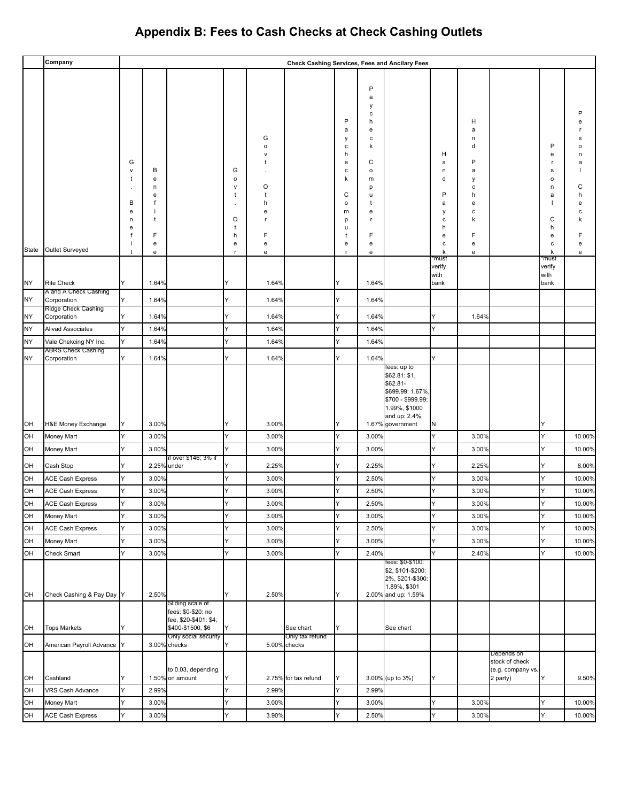|           | Company                                            |                                      |                                                      |                                                                                      |                                                            |                                                                      |                                 |                                                                         |                                                                                              | <b>Check Cashing Services, Fees and Ancilary Fees</b>                                                              |                                                     |                                                                    |                                                               |                                                           |                                                                 |
|-----------|----------------------------------------------------|--------------------------------------|------------------------------------------------------|--------------------------------------------------------------------------------------|------------------------------------------------------------|----------------------------------------------------------------------|---------------------------------|-------------------------------------------------------------------------|----------------------------------------------------------------------------------------------|--------------------------------------------------------------------------------------------------------------------|-----------------------------------------------------|--------------------------------------------------------------------|---------------------------------------------------------------|-----------------------------------------------------------|-----------------------------------------------------------------|
| State     | Outlet Surveyed                                    | G<br>v<br>в<br>е<br>n<br>е<br>f<br>÷ | В<br>${\bf e}$<br>n<br>e<br>f<br>t<br>F<br>${\bf e}$ |                                                                                      | G<br>$\mathsf{o}$<br>$\mathsf{v}$<br>t<br>O<br>t<br>h<br>e | G<br>$\mathsf{o}$<br>$\mathsf{v}$<br>τ<br>O<br>t<br>h<br>e<br>F<br>e |                                 | P<br>a<br>у<br>c<br>h<br>e<br>c<br>k<br>C<br>o<br>m<br>p<br>u<br>t<br>e | P<br>a<br>у<br>с<br>h<br>e<br>с<br>k<br>C<br>$\circ$<br>m<br>p<br>u<br>t<br>e<br>r<br>F<br>e |                                                                                                                    | н<br>a<br>n<br>d<br>P<br>а<br>у<br>с<br>h<br>e<br>c | H<br>а<br>n<br>d<br>P<br>а<br>у<br>с<br>h<br>е<br>с<br>k<br>F<br>е |                                                               | P<br>е<br>г.<br>s<br>о<br>n<br>а<br>C<br>h<br>е<br>с<br>k | e<br>s<br>$\Omega$<br>n<br>a<br>С<br>h<br>e<br>c<br>k<br>F<br>e |
|           |                                                    | -1                                   | e                                                    |                                                                                      | r.                                                         | e                                                                    |                                 | r.                                                                      | e                                                                                            |                                                                                                                    | k<br>'must<br>verify                                | e                                                                  |                                                               | *must<br>verify                                           | e                                                               |
| NY        | <b>Rite Check</b>                                  | Y                                    | 1.64%                                                |                                                                                      | Y                                                          | 1.64%                                                                |                                 | Y                                                                       | 1.64%                                                                                        |                                                                                                                    | with<br>bank                                        |                                                                    |                                                               | with<br>bank                                              |                                                                 |
|           | A and A Check Cashing                              |                                      |                                                      |                                                                                      | Y                                                          |                                                                      |                                 | Y                                                                       |                                                                                              |                                                                                                                    |                                                     |                                                                    |                                                               |                                                           |                                                                 |
| <b>NY</b> | Corporation<br>Ridge Check Cashing                 | Y                                    | 1.64%                                                |                                                                                      |                                                            | 1.64%                                                                |                                 |                                                                         | 1.64%                                                                                        |                                                                                                                    |                                                     |                                                                    |                                                               |                                                           |                                                                 |
| NY<br>NY  | Corporation<br>Alivad Associates                   | Y<br>Y                               | 1.64%<br>1.64%                                       |                                                                                      | Y<br>Y                                                     | 1.64%<br>1.64%                                                       |                                 | Y<br>Y                                                                  | 1.64%<br>1.64%                                                                               |                                                                                                                    | Y                                                   | 1.64%                                                              |                                                               |                                                           |                                                                 |
| NY        | Vale Chekcing NY Inc.                              | Y                                    | 1.64%                                                |                                                                                      | Y                                                          | 1.64%                                                                |                                 | Y                                                                       | 1.64%                                                                                        |                                                                                                                    |                                                     |                                                                    |                                                               |                                                           |                                                                 |
| NY        | <b>ABRS Check Cashing</b><br>Corporation           | Y                                    | 1.64%                                                |                                                                                      | ΙY                                                         | 1.64%                                                                |                                 | Υ                                                                       | 1.64%                                                                                        |                                                                                                                    |                                                     |                                                                    |                                                               |                                                           |                                                                 |
|           |                                                    |                                      |                                                      |                                                                                      |                                                            |                                                                      |                                 |                                                                         |                                                                                              | fees: up to<br>\$62.81: \$1,<br>\$62.81-<br>\$699.99: 1.67%<br>\$700 - \$999.99:<br>1.99%, \$1000<br>and up: 2.4%, |                                                     |                                                                    |                                                               |                                                           |                                                                 |
| OH        | H&E Money Exchange                                 | Y                                    | 3.00%                                                |                                                                                      |                                                            | 3.00%                                                                |                                 |                                                                         |                                                                                              | 1.67% government                                                                                                   | N                                                   |                                                                    |                                                               |                                                           |                                                                 |
| OH        | Money Mart                                         | Y                                    | 3.00%                                                |                                                                                      | Y                                                          | 3.00%                                                                |                                 | Y                                                                       | 3.00%                                                                                        |                                                                                                                    | Y                                                   | 3.00%                                                              |                                                               | Υ                                                         | 10.00%                                                          |
| OН        | Money Mart                                         | Y                                    | 3.00%                                                | f over \$146; 3% if                                                                  | Y                                                          | 3.00%                                                                |                                 | Y                                                                       | 3.00%                                                                                        |                                                                                                                    | Y                                                   | 3.00%                                                              |                                                               | Y                                                         | 10.00%                                                          |
| OH        | Cash Stop                                          |                                      |                                                      | 2.25% under                                                                          |                                                            | 2.25%                                                                |                                 |                                                                         | 2.25%                                                                                        |                                                                                                                    |                                                     | 2.25%                                                              |                                                               |                                                           | 8.00%                                                           |
| OH<br>OH  | <b>ACE Cash Express</b><br><b>ACE Cash Express</b> | Y<br>Y                               | 3.00%<br>3.00%                                       |                                                                                      | Y                                                          | 3.00%<br>3.00%                                                       |                                 | Y<br>Υ                                                                  | 2.50%<br>2.50%                                                                               |                                                                                                                    | Y<br>Y                                              | 3.00%<br>3.00%                                                     |                                                               | Y<br>Y                                                    | 10.00%<br>10.00%                                                |
| OH        | <b>ACE Cash Express</b>                            | Y                                    | 3.00%                                                |                                                                                      | Y                                                          | 3.00%                                                                |                                 | Y                                                                       | 2.50%                                                                                        |                                                                                                                    | Y                                                   | 3.00%                                                              |                                                               | Y                                                         | 10.00%                                                          |
| OH        | Money Mart                                         | Y                                    | 3.00%                                                |                                                                                      | Y                                                          | 3.00%                                                                |                                 | Υ                                                                       | 3.00%                                                                                        |                                                                                                                    | Y                                                   | 3.00%                                                              |                                                               | Υ                                                         | 10.00%                                                          |
| OH        | <b>ACE Cash Express</b>                            | Y                                    | 3.00%                                                |                                                                                      | Y                                                          | 3.00%                                                                |                                 | Υ                                                                       | 2.50%                                                                                        |                                                                                                                    | Y                                                   | 3.00%                                                              |                                                               | Y                                                         | 10.00%                                                          |
| OH        | Money Mart                                         | Y                                    | 3.00%                                                |                                                                                      | Y                                                          | 3.00%                                                                |                                 | Υ                                                                       | 3.00%                                                                                        |                                                                                                                    | Y                                                   | 3.00%                                                              |                                                               | Y                                                         | 10.00%                                                          |
| OH<br>OH  | Check Smart<br>Check Cashing & Pay Day Y           | Y                                    | 3.00%<br>2.50%                                       |                                                                                      | Y<br>ΙY                                                    | 3.00%<br>2.50%                                                       |                                 | Y<br>Y                                                                  | 2.40%                                                                                        | fees: \$0-\$100:<br>\$2, \$101-\$200:<br>2%, \$201-\$300:<br>1.89%, \$301<br>2.00% and up: 1.59%                   | Y                                                   | 2.40%                                                              |                                                               | Y                                                         | 10.00%                                                          |
| OH        | <b>Tops Markets</b>                                | Y                                    |                                                      | Sliding scale of<br>fees: \$0-\$20: no<br>fee, \$20-\$401: \$4,<br>\$400-\$1500, \$6 | Y                                                          |                                                                      | See chart                       | Y                                                                       |                                                                                              | See chart                                                                                                          |                                                     |                                                                    |                                                               |                                                           |                                                                 |
| OH        | American Payroll Advance Y                         |                                      |                                                      | Only social security<br>3.00% checks                                                 |                                                            |                                                                      | Only tax refund<br>5.00% checks |                                                                         |                                                                                              |                                                                                                                    |                                                     |                                                                    |                                                               |                                                           |                                                                 |
| OH        | Cashland                                           | Y                                    |                                                      | to 0.03, depending<br>1.50% on amount                                                | Y                                                          |                                                                      | 2.75% for tax refund            | Y                                                                       |                                                                                              | 3.00% (up to 3%)                                                                                                   | ΙY                                                  |                                                                    | Depends on<br>stock of check<br>(e.g. company vs.<br>2 party) |                                                           | 9.50%                                                           |
| OH        | VRS Cash Advance                                   | Y                                    | 2.99%                                                |                                                                                      | Y                                                          | 2.99%                                                                |                                 | Y                                                                       | 2.99%                                                                                        |                                                                                                                    |                                                     |                                                                    |                                                               |                                                           |                                                                 |
| OH        | Money Mart                                         | Y<br>Y                               | 3.00%                                                |                                                                                      |                                                            | 3.00%                                                                |                                 | Y<br>Y                                                                  | 3.00%                                                                                        |                                                                                                                    | Y                                                   | 3.00%                                                              |                                                               | Ý<br>Y                                                    | 10.00%                                                          |
| OH        | <b>ACE Cash Express</b>                            |                                      | 3.00%                                                |                                                                                      |                                                            | 3.90%                                                                |                                 |                                                                         | 2.50%                                                                                        |                                                                                                                    |                                                     | 3.00%                                                              |                                                               |                                                           | 10.00%                                                          |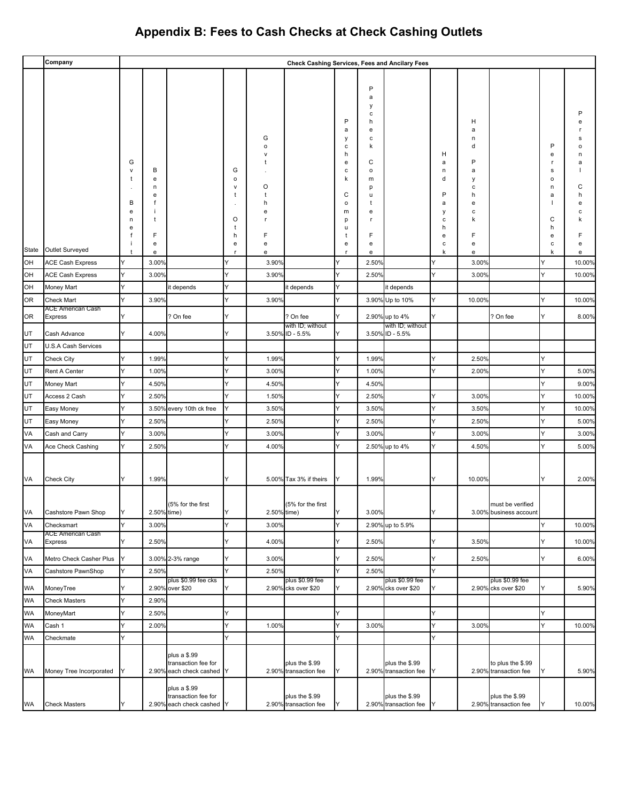|                        | Company                                    |                            |                            |                                                                  |                  |                                       | <b>Check Cashing Services, Fees and Ancilary Fees</b> |                                                          |                                                                                         |                                         |                                      |                                                          |                                            |                                            |                  |
|------------------------|--------------------------------------------|----------------------------|----------------------------|------------------------------------------------------------------|------------------|---------------------------------------|-------------------------------------------------------|----------------------------------------------------------|-----------------------------------------------------------------------------------------|-----------------------------------------|--------------------------------------|----------------------------------------------------------|--------------------------------------------|--------------------------------------------|------------------|
|                        |                                            | G<br>v<br>t<br>В<br>e<br>n | В<br>e<br>n<br>e<br>f<br>t |                                                                  | G<br>o<br>v<br>O | G<br>$\mathsf{o}$<br>O<br>t<br>h<br>e |                                                       | P<br>a<br>у<br>с<br>h<br>e<br>с<br>k<br>C<br>o<br>m<br>р | P<br>a<br>у<br>с<br>h<br>e<br>с<br>k<br>С<br>$\mathsf{o}$<br>m<br>p<br>u<br>t<br>е<br>r |                                         | н<br>а<br>n<br>d<br>Ρ<br>a<br>у<br>с | н<br>a<br>n<br>d<br>P<br>а<br>у<br>с<br>h<br>е<br>с<br>k |                                            | P<br>е<br>r<br>s<br>$\circ$<br>n<br>a<br>С | a<br>С<br>e<br>c |
|                        |                                            | e                          |                            |                                                                  | t                |                                       |                                                       | u                                                        |                                                                                         |                                         | h                                    |                                                          |                                            | h                                          |                  |
|                        |                                            | f                          | F<br>e                     |                                                                  | h<br>е           | F<br>e                                |                                                       | t<br>e                                                   | F<br>e                                                                                  |                                         | е<br>c                               | F<br>e                                                   |                                            | e<br>c                                     | e                |
| State                  | Outlet Surveyed                            | $\ddot{\phantom{1}}$       | e                          |                                                                  | r.               | e                                     |                                                       | $\mathsf{r}$                                             | e                                                                                       |                                         | k                                    | e                                                        |                                            | k                                          | e                |
| OH                     | <b>ACE Cash Express</b>                    | Y                          | 3.00%                      |                                                                  |                  | 3.90%                                 |                                                       | Y                                                        | 2.50%                                                                                   |                                         |                                      | 3.00%                                                    |                                            | Y                                          | 10.00%           |
| OH                     | <b>ACE Cash Express</b>                    | Υ                          | 3.00%                      |                                                                  | Y                | 3.90%                                 |                                                       | Y                                                        | 2.50%                                                                                   |                                         | Y                                    | 3.00%                                                    |                                            | Y                                          | 10.00%           |
| OH                     | Money Mart                                 | Y                          |                            | it depends                                                       | Y                |                                       | it depends                                            | Υ                                                        |                                                                                         | it depends                              |                                      |                                                          |                                            |                                            |                  |
| <b>OR</b>              | <b>Check Mart</b>                          | Y                          | 3.90%                      |                                                                  | Y                | 3.90%                                 |                                                       | Y                                                        |                                                                                         | 3.90% Up to 10%                         | Y                                    | 10.00%                                                   |                                            | Y                                          | 10.00%           |
| <b>OR</b>              | ACE American Cash<br>Express               | Y                          |                            | ? On fee                                                         | Y                |                                       | ? On fee                                              | Y                                                        |                                                                                         | 2.90% up to 4%                          | Y                                    |                                                          | ? On fee                                   | Y                                          | 8.00%            |
|                        |                                            |                            |                            |                                                                  |                  |                                       | with ID; without                                      |                                                          |                                                                                         | with ID; without                        |                                      |                                                          |                                            |                                            |                  |
| UT                     | Cash Advance                               | Y                          | 4.00%                      |                                                                  | Y                |                                       | 3.50% ID - 5.5%                                       | Y                                                        |                                                                                         | 3.50% ID - 5.5%                         |                                      |                                                          |                                            |                                            |                  |
| UT                     | U.S.A Cash Services                        |                            |                            |                                                                  |                  |                                       |                                                       |                                                          |                                                                                         |                                         |                                      |                                                          |                                            |                                            |                  |
| UT<br>UT               | <b>Check City</b>                          | Y<br>Y                     | 1.99%                      |                                                                  | Y<br>Y           | 1.99%                                 |                                                       | Υ<br>Y                                                   | 1.99%                                                                                   |                                         | Y<br>Y                               | 2.50%                                                    |                                            | Y<br>Y                                     | 5.00%            |
| UT                     | Rent A Center<br>Money Mart                | Y                          | 1.00%<br>4.50%             |                                                                  | Y                | 3.00%<br>4.50%                        |                                                       | Υ                                                        | 1.00%<br>4.50%                                                                          |                                         |                                      | 2.00%                                                    |                                            | Y                                          | 9.00%            |
| UT                     | Access 2 Cash                              | Y                          | 2.50%                      |                                                                  | Y                | 1.50%                                 |                                                       | Υ                                                        | 2.50%                                                                                   |                                         |                                      | 3.00%                                                    |                                            | Y                                          | 10.00%           |
| UT                     | Easy Money                                 | Y                          |                            | 3.50% every 10th ck free                                         | Y                | 3.50%                                 |                                                       | Y                                                        | 3.50%                                                                                   |                                         | Y                                    | 3.50%                                                    |                                            | Y                                          | 10.00%           |
| UT                     | Easy Money                                 | Y                          | 2.50%                      |                                                                  | Y                | 2.50%                                 |                                                       | Y                                                        | 2.50%                                                                                   |                                         | Y                                    | 2.50%                                                    |                                            | Y                                          | 5.00%            |
| VA                     | Cash and Carry                             | Y                          | 3.00%                      |                                                                  | Y                | 3.00%                                 |                                                       | Y                                                        | 3.00%                                                                                   |                                         | Y                                    | 3.00%                                                    |                                            | Y                                          | 3.00%            |
| VA                     | Ace Check Cashing                          | Y                          | 2.50%                      |                                                                  | Y                | 4.00%                                 |                                                       | Y                                                        |                                                                                         | 2.50% up to 4%                          | Y                                    | 4.50%                                                    |                                            | Y                                          | 5.00%            |
|                        |                                            |                            |                            |                                                                  |                  |                                       |                                                       |                                                          |                                                                                         |                                         |                                      |                                                          |                                            |                                            |                  |
| VA                     | <b>Check City</b>                          | Y                          | 1.99%                      |                                                                  | Y                |                                       | 5.00% Tax 3% if theirs                                | Υ                                                        | 1.99%                                                                                   |                                         | Y                                    | 10.00%                                                   |                                            | Y                                          | 2.00%            |
| VA                     | Cashstore Pawn Shop                        | Y                          | 2.50% time)                | (5% for the first                                                | Y                | 2.50% time)                           | (5% for the first                                     | Y                                                        | 3.00%                                                                                   |                                         | Y                                    |                                                          | must be verified<br>3.00% business account |                                            |                  |
| VA                     | Checksmart                                 | Y                          | 3.00%                      |                                                                  | Y                | 3.00%                                 |                                                       | Y                                                        | 2.90%                                                                                   | up to 5.9%                              |                                      |                                                          |                                            | Y                                          | 10.00%           |
| VA                     | <b>ACE American Cash</b><br><b>Express</b> | Y                          | 2.50%                      |                                                                  | Y                | 4.00%                                 |                                                       | Υ                                                        | 2.50%                                                                                   |                                         | Y                                    | 3.50%                                                    |                                            | Y                                          | 10.00%           |
| VA                     | Metro Check Casher Plus                    | Y                          |                            | 3.00% 2-3% range                                                 | Y                | 3.00%                                 |                                                       | Y                                                        | 2.50%                                                                                   |                                         | Y                                    | 2.50%                                                    |                                            | Y                                          | 6.00%            |
| VA                     | Cashstore PawnShop                         | Y                          | 2.50%                      |                                                                  | Y                | 2.50%                                 |                                                       | Y                                                        | 2.50%                                                                                   |                                         | Y                                    |                                                          |                                            |                                            |                  |
| <b>WA</b>              | MoneyTree                                  | Y                          |                            | plus \$0.99 fee cks<br>2.90% over \$20                           | Y                |                                       | plus \$0.99 fee<br>2.90% cks over \$20                | Υ                                                        |                                                                                         | plus \$0.99 fee<br>2.90% cks over \$20  | Y                                    |                                                          | plus \$0.99 fee<br>2.90% cks over \$20     | Y                                          | 5.90%            |
| <b>WA</b>              | <b>Check Masters</b>                       | Υ                          | 2.90%                      |                                                                  |                  |                                       |                                                       |                                                          |                                                                                         |                                         |                                      |                                                          |                                            |                                            |                  |
| <b>WA</b>              | MoneyMart                                  | Υ                          | 2.50%                      |                                                                  | Y                |                                       |                                                       | Y                                                        |                                                                                         |                                         | Y                                    |                                                          |                                            | Y                                          |                  |
| <b>WA</b>              | Cash 1                                     | Y                          | 2.00%                      |                                                                  | Y                | 1.00%                                 |                                                       | Y                                                        | 3.00%                                                                                   |                                         | Y                                    | 3.00%                                                    |                                            | Y                                          | 10.00%           |
| <b>WA</b><br><b>WA</b> | Checkmate<br>Money Tree Incorporated       | Y<br>Y                     |                            | plus a \$.99<br>transaction fee for<br>2.90% each check cashed   | Y<br>IY          |                                       | plus the \$.99<br>2.90% transaction fee               | Υ<br>Y                                                   |                                                                                         | plus the \$.99<br>2.90% transaction fee | Y<br>Y                               |                                                          | to plus the \$.99<br>2.90% transaction fee | Y                                          | 5.90%            |
| WA                     | <b>Check Masters</b>                       | Y                          |                            | plus a \$.99<br>transaction fee for<br>2.90% each check cashed Y |                  |                                       | plus the \$.99<br>2.90% transaction fee               | Y                                                        |                                                                                         | plus the \$.99<br>2.90% transaction fee |                                      |                                                          | plus the \$.99<br>2.90% transaction fee    | Y                                          | 10.00%           |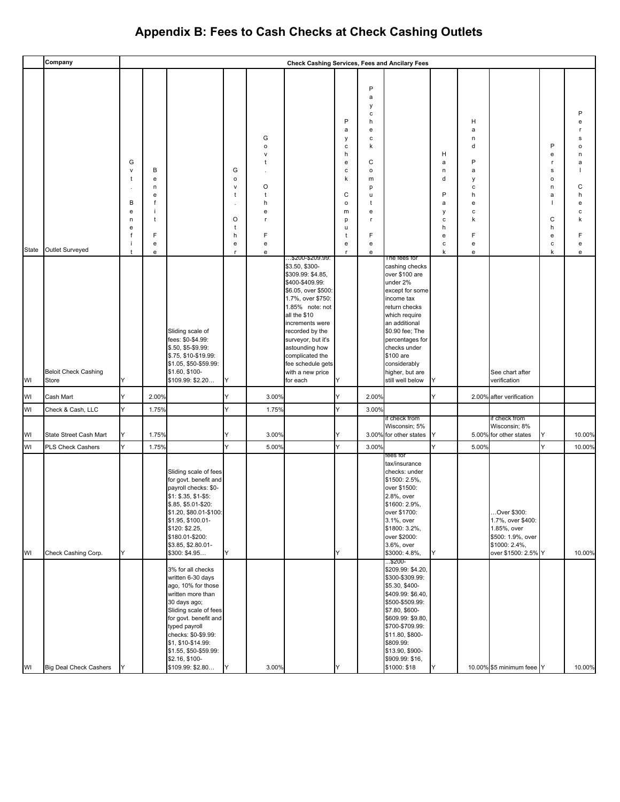|          | Company                                  |                                                           |                                                                                               |                                                                                                                                                                                                                                                                       |                                                      |                                                          | Check Cashing Services, Fees and Ancilary Fees                                                                                                                                                                                                                                                                 |                                                                                           |                                                                                             |                                                                                                                                                                                                                                                                            |                                                          |                                                                         |                                                                                                              |                                                                      |                                                               |
|----------|------------------------------------------|-----------------------------------------------------------|-----------------------------------------------------------------------------------------------|-----------------------------------------------------------------------------------------------------------------------------------------------------------------------------------------------------------------------------------------------------------------------|------------------------------------------------------|----------------------------------------------------------|----------------------------------------------------------------------------------------------------------------------------------------------------------------------------------------------------------------------------------------------------------------------------------------------------------------|-------------------------------------------------------------------------------------------|---------------------------------------------------------------------------------------------|----------------------------------------------------------------------------------------------------------------------------------------------------------------------------------------------------------------------------------------------------------------------------|----------------------------------------------------------|-------------------------------------------------------------------------|--------------------------------------------------------------------------------------------------------------|----------------------------------------------------------------------|---------------------------------------------------------------|
| State    | Outlet Surveyed                          | G<br>v<br>t<br>$\cdot$<br>В<br>е<br>n<br>е<br>f<br>÷<br>t | В<br>e<br>n<br>e<br>f<br>÷<br>t<br>F<br>$\mathbf{e}% _{t}\left  \mathbf{1}\right\rangle$<br>e |                                                                                                                                                                                                                                                                       | G<br>$\mathsf{o}$<br>v<br>ŧ<br>O<br>t<br>h<br>e<br>r | G<br>o<br>v<br>ŧ<br>O<br>t<br>h<br>е<br>r<br>F<br>e<br>е |                                                                                                                                                                                                                                                                                                                | P<br>a<br>у<br>с<br>h<br>e<br>c<br>k<br>C<br>$\mathsf{o}\,$<br>m<br>p<br>u<br>t<br>e<br>r | P<br>a<br>у<br>С<br>h<br>e<br>с<br>k<br>C<br>o<br>m<br>p<br>u<br>t<br>е<br>r<br>F<br>e<br>e |                                                                                                                                                                                                                                                                            | н<br>a<br>n<br>d<br>P<br>a<br>у<br>с<br>h<br>е<br>с<br>k | н<br>a<br>n<br>d<br>P<br>a<br>y<br>с<br>h<br>e<br>с<br>k<br>F<br>e<br>e |                                                                                                              | P<br>e<br>r.<br>s<br>$\mathsf{o}$<br>n<br>a<br>C<br>h<br>e<br>c<br>k | P<br>e<br>s<br>o<br>n<br>a<br>C<br>h<br>е<br>c<br>F<br>e<br>e |
| WI       | <b>Beloit Check Cashing</b><br>Store     | Y                                                         |                                                                                               | Sliding scale of<br>fees: \$0-\$4.99:<br>\$.50, \$5-\$9.99:<br>\$.75, \$10-\$19.99:<br>\$1.05, \$50-\$59.99:<br>\$1.60, \$100-<br>\$109.99: \$2.20                                                                                                                    |                                                      |                                                          | \$200-\$209.99:<br>\$3.50, \$300-<br>\$309.99: \$4.85,<br>\$400-\$409.99:<br>\$6.05, over \$500:<br>1.7%, over \$750:<br>1.85% note: not<br>all the \$10<br>increments were<br>recorded by the<br>surveyor, but it's<br>astounding how<br>complicated the<br>fee schedule gets<br>with a new price<br>for each | Y                                                                                         |                                                                                             | The fees for<br>cashing checks<br>over \$100 are<br>under 2%<br>except for some<br>income tax<br>return checks<br>which require<br>an additional<br>\$0.90 fee; The<br>percentages for<br>checks under<br>\$100 are<br>considerably<br>higher, but are<br>still well below | Υ                                                        |                                                                         | See chart after<br>verification                                                                              |                                                                      |                                                               |
| WI       | Cash Mart                                | Y                                                         | 2.00%                                                                                         |                                                                                                                                                                                                                                                                       | Y                                                    | 3.00%                                                    |                                                                                                                                                                                                                                                                                                                |                                                                                           | 2.00%                                                                                       |                                                                                                                                                                                                                                                                            | Υ                                                        |                                                                         | 2.00% after verification                                                                                     |                                                                      |                                                               |
| WI       | Check & Cash, LLC                        | Y                                                         | 1.75%                                                                                         |                                                                                                                                                                                                                                                                       | Y                                                    | 1.75%                                                    |                                                                                                                                                                                                                                                                                                                | Y                                                                                         | 3.00%                                                                                       |                                                                                                                                                                                                                                                                            |                                                          |                                                                         |                                                                                                              |                                                                      |                                                               |
| WI       | State Street Cash Mart                   | Y<br>Y                                                    | 1.75%<br>1.75%                                                                                |                                                                                                                                                                                                                                                                       | Y<br>Y                                               | 3.00%<br>5.00%                                           |                                                                                                                                                                                                                                                                                                                | Y                                                                                         | 3.00%                                                                                       | if check from<br>Wisconsin; 5%<br>3.00% for other states                                                                                                                                                                                                                   | Y                                                        |                                                                         | if check from<br>Wisconsin; 8%<br>5.00% for other states                                                     | Y<br>Y                                                               | 10.00%                                                        |
| WI<br>WI | PLS Check Cashers<br>Check Cashing Corp. | Y                                                         |                                                                                               | Sliding scale of fees<br>for govt. benefit and<br>payroll checks: \$0-<br>\$1: \$.35, \$1-\$5:<br>\$.85, \$5.01-\$20:<br>\$1.20, \$80.01-\$100:<br>\$1.95, \$100.01-<br>\$120: \$2.25,<br>\$180.01-\$200:<br>\$3.85, \$2.80.01-<br>\$300: \$4.95<br>3% for all checks | Y                                                    |                                                          |                                                                                                                                                                                                                                                                                                                | Y                                                                                         |                                                                                             | tees tor<br>tax/insurance<br>checks: under<br>\$1500: 2.5%,<br>over \$1500:<br>2.8%, over<br>\$1600: 2.9%,<br>over \$1700:<br>3.1%, over<br>\$1800: 3.2%,<br>over \$2000:<br>3.6%, over<br>\$3000: 4.8%,<br>\$200-<br>\$209.99: \$4.20,                                    | Y                                                        | 5.00%                                                                   | Over \$300:<br>1.7%, over \$400:<br>1.85%, over<br>\$500: 1.9%, over<br>\$1000: 2.4%,<br>over \$1500: 2.5% Y |                                                                      | 10.00%<br>10.00%                                              |
| WI       | <b>Big Deal Check Cashers</b>            | Y                                                         |                                                                                               | written 6-30 days<br>ago, 10% for those<br>written more than<br>30 days ago;<br>Sliding scale of fees<br>for govt. benefit and<br>typed payroll<br>checks: \$0-\$9.99:<br>\$1, \$10-\$14.99:<br>\$1.55, \$50-\$59.99:<br>\$2.16, \$100-<br>\$109.99: \$2.80           |                                                      | 3.00%                                                    |                                                                                                                                                                                                                                                                                                                | Y                                                                                         |                                                                                             | \$300-\$309.99:<br>\$5.30, \$400-<br>\$409.99: \$6.40,<br>\$500-\$509.99:<br>\$7.80, \$600-<br>\$609.99: \$9.80,<br>\$700-\$709.99:<br>\$11.80, \$800-<br>\$809.99:<br>\$13.90, \$900-<br>\$909.99: \$16,<br>\$1000: \$18                                                  | Y                                                        |                                                                         | 10.00% \$5 minimum feee Y                                                                                    |                                                                      | 10.00%                                                        |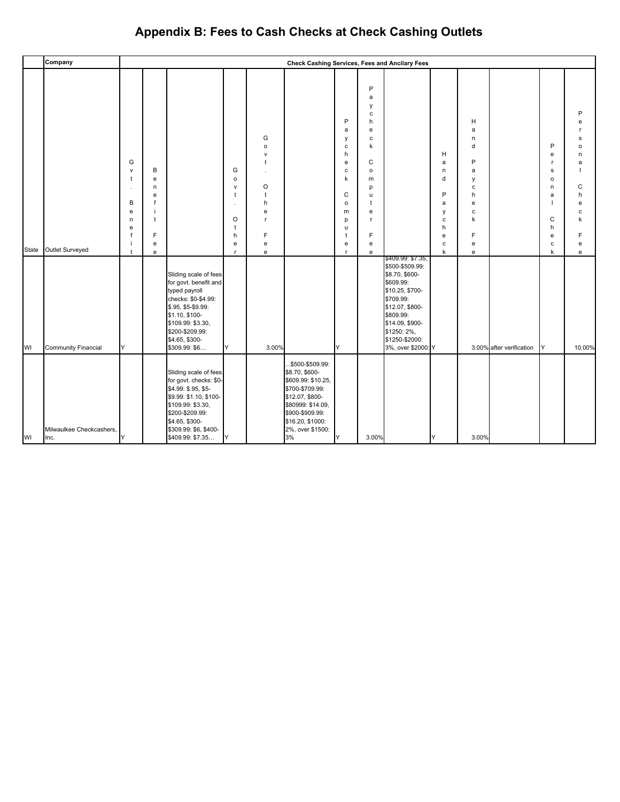|             | Company                                       |                                                                                    |                                                 |                                                                                                                                                                                                           |                                                                                   |                                                                                                                        | Check Cashing Services, Fees and Ancilary Fees                                                                                                                                       |                                                                                                |                                                                                                                                  |                                                                                                                                                                                                               |                                                                                        |                                                                         |                          |                                                                                          |                                                                                                    |
|-------------|-----------------------------------------------|------------------------------------------------------------------------------------|-------------------------------------------------|-----------------------------------------------------------------------------------------------------------------------------------------------------------------------------------------------------------|-----------------------------------------------------------------------------------|------------------------------------------------------------------------------------------------------------------------|--------------------------------------------------------------------------------------------------------------------------------------------------------------------------------------|------------------------------------------------------------------------------------------------|----------------------------------------------------------------------------------------------------------------------------------|---------------------------------------------------------------------------------------------------------------------------------------------------------------------------------------------------------------|----------------------------------------------------------------------------------------|-------------------------------------------------------------------------|--------------------------|------------------------------------------------------------------------------------------|----------------------------------------------------------------------------------------------------|
| State<br>WI | Outlet Surveyed<br><b>Community Financial</b> | G<br>$\mathsf{v}$<br>t<br>$\cdot$<br>В<br>e<br>n<br>e<br>f<br>÷<br>$\ddagger$<br>Y | В<br>e<br>n<br>e<br>f<br>j.<br>t<br>F<br>e<br>e | Sliding scale of fees<br>for govt. benefit and<br>typed payroll<br>checks: \$0-\$4.99:<br>\$.95, \$5-\$9.99:<br>\$1.10, \$100-<br>\$109.99: \$3.30,<br>\$200-\$209.99:<br>\$4.65, \$300-<br>\$309.99: \$6 | G<br>$\mathsf{o}\,$<br>$\mathsf{v}$<br>$\mathbf{t}$<br>O<br>t<br>h<br>e<br>r<br>Y | G<br>$\mathsf{o}\xspace$<br>$\mathsf{v}$<br>$\ddagger$<br>$\circ$<br>$\ddagger$<br>h<br>e<br>r<br>F<br>e<br>e<br>3.00% |                                                                                                                                                                                      | P<br>a<br>у<br>с<br>h<br>e<br>с<br>k<br>C<br>$\mathsf{o}\,$<br>m<br>p<br>u<br>t<br>e<br>r<br>Y | P<br>a<br>у<br>$\mathbf c$<br>h<br>e<br>$\mathbf c$<br>k<br>C<br>$\circ$<br>m<br>p<br>u<br>t<br>e<br>$\mathbf{r}$<br>F<br>e<br>e | \$409.99: \$7.35,<br>\$500-\$509.99:<br>\$8.70, \$600-<br>\$609.99:<br>\$10.25, \$700-<br>\$709.99:<br>\$12.07, \$800-<br>\$809.99:<br>\$14.09, \$900-<br>\$1250: 2%,<br>\$1250-\$2000:<br>3%, over \$2000: Y | н<br>a<br>n<br>d<br>P<br>a<br>у<br>$\mathbf c$<br>h<br>$\mathbf e$<br>$\mathbf c$<br>k | н<br>a<br>n<br>d<br>P<br>a<br>у<br>c<br>h<br>e<br>c<br>k<br>F<br>e<br>e | 3.00% after verification | P<br>e<br>r.<br>s<br>$\mathsf{o}\,$<br>n<br>a<br>$\mathsf{C}$<br>h<br>e<br>с<br>k<br>IY. | ₽<br>$\epsilon$<br>s<br>$\Omega$<br>n<br>a<br>C<br>h<br>e<br>$\mathsf{C}$<br>k<br>e<br>e<br>10.00% |
| WI          | Milwaulkee Checkcashers,<br>Inc.              | Y                                                                                  |                                                 | Sliding scale of fees<br>for govt. checks: \$0-<br>\$4.99: \$.95, \$5-<br>\$9.99: \$1.10, \$100-<br>\$109.99: \$3.30,<br>\$200-\$209.99:<br>\$4.65, \$300-<br>\$309.99: \$6, \$400-<br>\$409.99: \$7.35   | Y                                                                                 |                                                                                                                        | .\$500-\$509.99:<br>\$8.70, \$600-<br>\$609.99: \$10.25,<br>\$700-\$709.99:<br>\$12.07, \$800-<br>\$80999: \$14.09,<br>\$900-\$909.99:<br>\$16.20, \$1000:<br>2%, over \$1500:<br>3% | Y                                                                                              | 3.00%                                                                                                                            |                                                                                                                                                                                                               | Y                                                                                      | 3.00%                                                                   |                          |                                                                                          |                                                                                                    |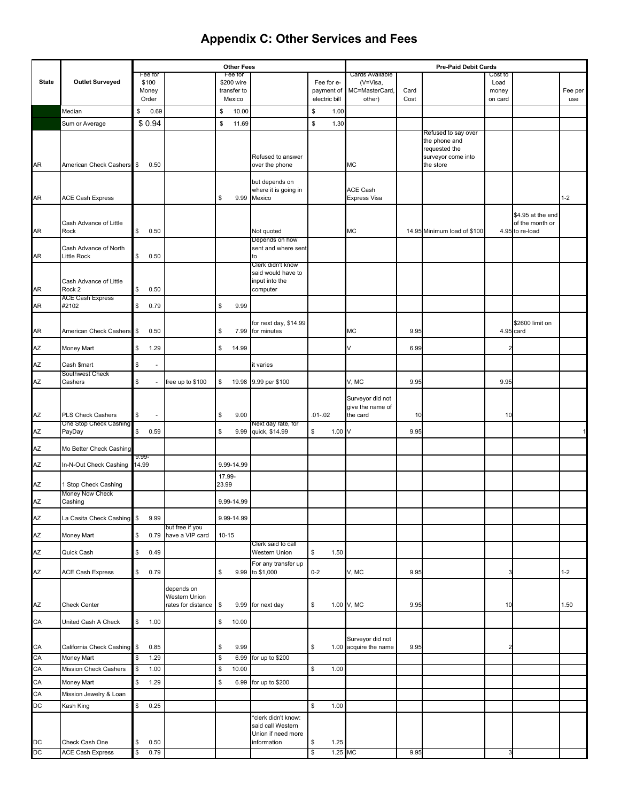|              |                                         |                |                  |                                    |         | <b>Other Fees</b>     |                                         |               |                  |                                           |      | <b>Pre-Paid Debit Cards</b>          |                 |                   |         |
|--------------|-----------------------------------------|----------------|------------------|------------------------------------|---------|-----------------------|-----------------------------------------|---------------|------------------|-------------------------------------------|------|--------------------------------------|-----------------|-------------------|---------|
| <b>State</b> | <b>Outlet Surveyed</b>                  |                | Fee for<br>\$100 |                                    |         | Fee for<br>\$200 wire |                                         | Fee for e-    |                  | Cards Available<br>(V=Visa,               |      |                                      | Cost to<br>Load |                   |         |
|              |                                         |                | Money            |                                    |         | transfer to           |                                         | payment of    |                  | MC=MasterCard,                            | Card |                                      | money           |                   | Fee per |
|              |                                         |                | Order            |                                    |         | Mexico                |                                         | electric bill |                  | other)                                    | Cost |                                      | on card         |                   | use     |
|              | Median                                  | \$             | 0.69             |                                    | \$      | 10.00                 |                                         | \$            | 1.00             |                                           |      |                                      |                 |                   |         |
|              | Sum or Average                          |                | \$0.94           |                                    | \$      | 11.69                 |                                         | \$            | 1.30             |                                           |      |                                      |                 |                   |         |
|              |                                         |                |                  |                                    |         |                       |                                         |               |                  |                                           |      | Refused to say over<br>the phone and |                 |                   |         |
|              |                                         |                |                  |                                    |         |                       |                                         |               |                  |                                           |      | requested the                        |                 |                   |         |
| AR           | American Check Cashers                  | $\mathbf{s}$   | 0.50             |                                    |         |                       | Refused to answer<br>over the phone     |               |                  | МC                                        |      | surveyor come into<br>the store      |                 |                   |         |
|              |                                         |                |                  |                                    |         |                       |                                         |               |                  |                                           |      |                                      |                 |                   |         |
|              |                                         |                |                  |                                    |         |                       | but depends on<br>where it is going in  |               |                  | ACE Cash                                  |      |                                      |                 |                   |         |
| AR           | <b>ACE Cash Express</b>                 |                |                  |                                    | \$      | 9.99                  | Mexico                                  |               |                  | Express Visa                              |      |                                      |                 |                   | $1 - 2$ |
|              |                                         |                |                  |                                    |         |                       |                                         |               |                  |                                           |      |                                      |                 | \$4.95 at the end |         |
|              | Cash Advance of Little                  |                |                  |                                    |         |                       |                                         |               |                  |                                           |      |                                      |                 | of the month or   |         |
| AR           | Rock                                    | \$             | 0.50             |                                    |         |                       | Not quoted<br>Depends on how            |               |                  | МC                                        |      | 14.95 Minimum load of \$100          |                 | 4.95 to re-load   |         |
|              | Cash Advance of North                   |                |                  |                                    |         |                       | sent and where sent                     |               |                  |                                           |      |                                      |                 |                   |         |
| AR           | <b>Little Rock</b>                      | \$             | 0.50             |                                    |         |                       | to<br>Clerk didn't know                 |               |                  |                                           |      |                                      |                 |                   |         |
|              |                                         |                |                  |                                    |         |                       | said would have to                      |               |                  |                                           |      |                                      |                 |                   |         |
|              | Cash Advance of Little<br>Rock 2        | \$             |                  |                                    |         |                       | input into the                          |               |                  |                                           |      |                                      |                 |                   |         |
| AR           | <b>ACE Cash Express</b>                 |                | 0.50             |                                    |         |                       | computer                                |               |                  |                                           |      |                                      |                 |                   |         |
| AR           | #2102                                   | \$             | 0.79             |                                    | \$      | 9.99                  |                                         |               |                  |                                           |      |                                      |                 |                   |         |
|              |                                         |                |                  |                                    |         |                       | for next day, \$14.99                   |               |                  |                                           |      |                                      |                 | \$2600 limit on   |         |
| AR           | American Check Cashers                  | \$             | 0.50             |                                    | \$      | 7.99                  | for minutes                             |               |                  | МC                                        | 9.95 |                                      |                 | 4.95 card         |         |
| AΖ           | <b>Money Mart</b>                       | \$             | 1.29             |                                    | \$      | 14.99                 |                                         |               |                  |                                           | 6.99 |                                      |                 |                   |         |
| AZ           | Cash \$mart                             | \$             | ä,               |                                    |         |                       | it varies                               |               |                  |                                           |      |                                      |                 |                   |         |
|              | Southwest Check                         |                |                  |                                    |         |                       |                                         |               |                  |                                           |      |                                      |                 |                   |         |
| AZ           | Cashers                                 | \$             |                  | free up to \$100                   | \$      |                       | 19.98 9.99 per \$100                    |               |                  | V, MC                                     | 9.95 |                                      | 9.95            |                   |         |
|              |                                         |                |                  |                                    |         |                       |                                         |               |                  | Surveyor did not                          |      |                                      |                 |                   |         |
| ΑZ           | <b>PLS Check Cashers</b>                | \$             |                  |                                    | \$      | 9.00                  |                                         | $.01 - .02$   |                  | give the name of<br>the card              | 10   |                                      | 10              |                   |         |
|              | One Stop Check Cashing                  |                |                  |                                    |         |                       | Next day rate, for                      |               |                  |                                           |      |                                      |                 |                   |         |
| AΖ           | PayDay                                  | \$             | 0.59             |                                    | \$      | 9.99                  | quick, \$14.99                          | \$            | $1.00\ \text{V}$ |                                           | 9.95 |                                      |                 |                   |         |
| AΖ           | Mo Better Check Cashing                 |                |                  |                                    |         |                       |                                         |               |                  |                                           |      |                                      |                 |                   |         |
| ΑZ           | In-N-Out Check Cashing                  | 9.99-<br>14.99 |                  |                                    |         | 9.99-14.99            |                                         |               |                  |                                           |      |                                      |                 |                   |         |
|              |                                         |                |                  |                                    | 17.99-  |                       |                                         |               |                  |                                           |      |                                      |                 |                   |         |
| ΑZ           | 1 Stop Check Cashing<br>Money Now Check |                |                  |                                    | 23.99   |                       |                                         |               |                  |                                           |      |                                      |                 |                   |         |
| ΑZ           | Cashing                                 |                |                  |                                    |         | 9.99-14.99            |                                         |               |                  |                                           |      |                                      |                 |                   |         |
| AZ           | La Casita Check Cashing \$              |                | 9.99             |                                    |         | 9.99-14.99            |                                         |               |                  |                                           |      |                                      |                 |                   |         |
| AZ           |                                         | \$             |                  | but free if you<br>have a VIP card |         |                       |                                         |               |                  |                                           |      |                                      |                 |                   |         |
|              | Money Mart                              |                | 0.79             |                                    | $10-15$ |                       | Clerk said to call                      |               |                  |                                           |      |                                      |                 |                   |         |
| AZ           | Quick Cash                              | \$             | 0.49             |                                    |         |                       | Western Union                           | \$            | 1.50             |                                           |      |                                      |                 |                   |         |
| AZ           | <b>ACE Cash Express</b>                 | \$             | 0.79             |                                    | \$      |                       | For any transfer up<br>9.99 to \$1,000  | $0 - 2$       |                  | V, MC                                     | 9.95 |                                      | 3               |                   | $1 - 2$ |
|              |                                         |                |                  |                                    |         |                       |                                         |               |                  |                                           |      |                                      |                 |                   |         |
|              |                                         |                |                  | depends on<br>Western Union        |         |                       |                                         |               |                  |                                           |      |                                      |                 |                   |         |
| AZ           | <b>Check Center</b>                     |                |                  | rates for distance                 | \$      |                       | 9.99 for next day                       | \$            |                  | 1.00 V, MC                                | 9.95 |                                      | 10              |                   | 1.50    |
| CA           | United Cash A Check                     | \$             | 1.00             |                                    | \$      | 10.00                 |                                         |               |                  |                                           |      |                                      |                 |                   |         |
|              |                                         |                |                  |                                    |         |                       |                                         |               |                  |                                           |      |                                      |                 |                   |         |
| CA           | California Check Cashing                | $\mathbb S$    | 0.85             |                                    | \$      | 9.99                  |                                         | \$            |                  | Surveyor did not<br>1.00 acquire the name | 9.95 |                                      | 2               |                   |         |
| CA           | Money Mart                              | \$             | 1.29             |                                    | \$      | 6.99                  | for up to \$200                         |               |                  |                                           |      |                                      |                 |                   |         |
| CA           | Mission Check Cashers                   | \$             | 1.00             |                                    | \$      | 10.00                 |                                         | \$            | 1.00             |                                           |      |                                      |                 |                   |         |
| CA           | Money Mart                              | \$             | 1.29             |                                    | \$      | 6.99                  | for up to \$200                         |               |                  |                                           |      |                                      |                 |                   |         |
| CA           | Mission Jewelry & Loan                  |                |                  |                                    |         |                       |                                         |               |                  |                                           |      |                                      |                 |                   |         |
| DC           | Kash King                               | \$             | 0.25             |                                    |         |                       |                                         | \$            | 1.00             |                                           |      |                                      |                 |                   |         |
|              |                                         |                |                  |                                    |         |                       | *clerk didn't know:                     |               |                  |                                           |      |                                      |                 |                   |         |
|              |                                         |                |                  |                                    |         |                       | said call Western<br>Union if need more |               |                  |                                           |      |                                      |                 |                   |         |
| DC           | Check Cash One                          | \$             | 0.50             |                                    |         |                       | information                             | \$            | 1.25             |                                           |      |                                      |                 |                   |         |
| DC           | <b>ACE Cash Express</b>                 | \$             | 0.79             |                                    |         |                       |                                         | \$            | 1.25 MC          |                                           | 9.95 |                                      | 3               |                   |         |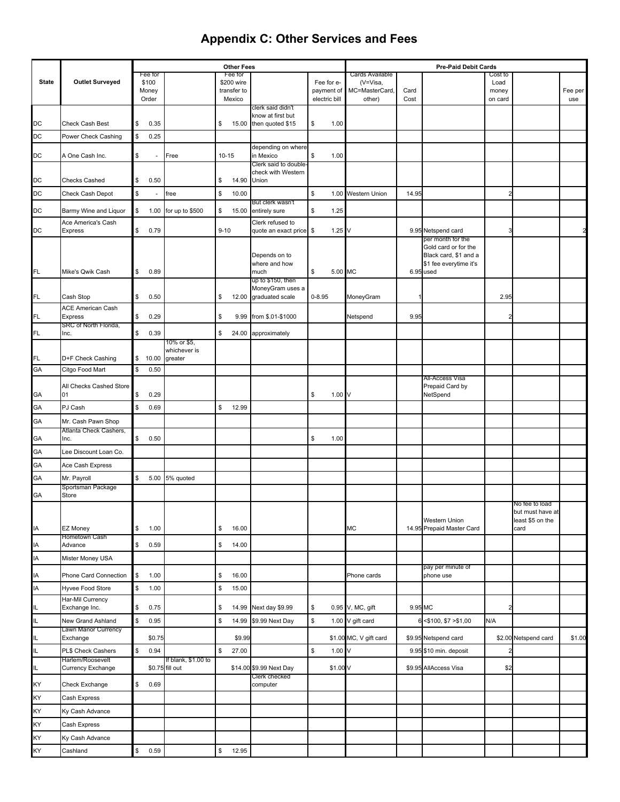|              |                                     |                                |                         |           | <b>Other Fees</b>     |                                             |            |                   |                             |         | <b>Pre-Paid Debit Cards</b>                   |                 |                          |         |
|--------------|-------------------------------------|--------------------------------|-------------------------|-----------|-----------------------|---------------------------------------------|------------|-------------------|-----------------------------|---------|-----------------------------------------------|-----------------|--------------------------|---------|
| <b>State</b> | <b>Outlet Surveyed</b>              | Fee for<br>\$100               |                         |           | Fee for<br>\$200 wire |                                             |            | Fee for e-        | Cards Available<br>(V=Visa, |         |                                               | Cost to<br>Load |                          |         |
|              |                                     | Money                          |                         |           | transfer to           |                                             |            | payment of        | MC=MasterCard,              | Card    |                                               | money           |                          | Fee per |
|              |                                     | Order                          |                         |           | Mexico                | clerk said didn't                           |            | electric bill     | other)                      | Cost    |                                               | on card         |                          | use     |
|              |                                     |                                |                         |           |                       | know at first but                           |            |                   |                             |         |                                               |                 |                          |         |
| DC           | <b>Check Cash Best</b>              | \$<br>0.35                     |                         | \$        | 15.00                 | then quoted \$15                            | \$         | 1.00              |                             |         |                                               |                 |                          |         |
| DC           | Power Check Cashing                 | \$<br>0.25                     |                         |           |                       | depending on where                          |            |                   |                             |         |                                               |                 |                          |         |
| DC           | A One Cash Inc.                     | \$<br>$\overline{\phantom{a}}$ | Free                    | $10 - 15$ |                       | in Mexico                                   | \$         | 1.00              |                             |         |                                               |                 |                          |         |
|              |                                     |                                |                         |           |                       | Clerk said to double-<br>check with Western |            |                   |                             |         |                                               |                 |                          |         |
| DC           | <b>Checks Cashed</b>                | \$<br>0.50                     |                         | \$        | 14.90                 | Union                                       |            |                   |                             |         |                                               |                 |                          |         |
| DC           | Check Cash Depot                    | \$                             | free                    | \$        | 10.00                 |                                             | \$         | 1.00              | <b>Western Union</b>        | 14.95   |                                               |                 |                          |         |
| DC           | Barmy Wine and Liquor               | \$<br>1.00                     | for up to \$500         | \$        |                       | But clerk wasn't<br>15.00 entirely sure     | \$         | 1.25              |                             |         |                                               |                 |                          |         |
|              | Ace America's Cash                  |                                |                         |           |                       | Clerk refused to                            |            |                   |                             |         |                                               |                 |                          |         |
| DC           | <b>Express</b>                      | \$<br>0.79                     |                         | $9 - 10$  |                       | quote an exact price \$                     |            | 1.25              | ν                           |         | 9.95 Netspend card<br>per month for the       |                 |                          |         |
|              |                                     |                                |                         |           |                       | Depends on to                               |            |                   |                             |         | Gold card or for the<br>Black card, \$1 and a |                 |                          |         |
|              |                                     |                                |                         |           |                       | where and how                               |            |                   |                             |         | \$1 fee everytime it's                        |                 |                          |         |
| FL.          | Mike's Qwik Cash                    | \$<br>0.89                     |                         |           |                       | much<br>up to \$150, then                   | \$         | 5.00 MC           |                             |         | 6.95 used                                     |                 |                          |         |
|              |                                     |                                |                         |           |                       | MoneyGram uses a                            |            |                   |                             |         |                                               |                 |                          |         |
| FL.          | Cash Stop                           | \$<br>0.50                     |                         | \$        | 12.00                 | graduated scale                             | $0 - 8.95$ |                   | MoneyGram                   |         |                                               | 2.95            |                          |         |
| FL.          | <b>ACE American Cash</b><br>Express | \$<br>0.29                     |                         | \$        | 9.99                  | from \$.01-\$1000                           |            |                   | Netspend                    | 9.95    |                                               |                 |                          |         |
| FL.          | SRC of North Florida,<br>Inc.       | \$<br>0.39                     |                         | \$        |                       | 24.00 approximately                         |            |                   |                             |         |                                               |                 |                          |         |
|              |                                     |                                | 10% or \$5,             |           |                       |                                             |            |                   |                             |         |                                               |                 |                          |         |
| FL           | D+F Check Cashing                   | \$<br>10.00                    | whichever is<br>greater |           |                       |                                             |            |                   |                             |         |                                               |                 |                          |         |
| GA           | Citgo Food Mart                     | \$<br>0.50                     |                         |           |                       |                                             |            |                   |                             |         |                                               |                 |                          |         |
|              | All Checks Cashed Store             |                                |                         |           |                       |                                             |            |                   |                             |         | All-Access Visa                               |                 |                          |         |
| GА           | 01                                  | \$<br>0.29                     |                         |           |                       |                                             | \$         | 1.00 <sub>V</sub> |                             |         | Prepaid Card by<br>NetSpend                   |                 |                          |         |
| GА           | PJ Cash                             | \$<br>0.69                     |                         | \$        | 12.99                 |                                             |            |                   |                             |         |                                               |                 |                          |         |
| GА           | Mr. Cash Pawn Shop                  |                                |                         |           |                       |                                             |            |                   |                             |         |                                               |                 |                          |         |
| GА           | Atlanta Check Cashers,<br>Inc.      | \$<br>0.50                     |                         |           |                       |                                             | \$         | 1.00              |                             |         |                                               |                 |                          |         |
| GА           | Lee Discount Loan Co.               |                                |                         |           |                       |                                             |            |                   |                             |         |                                               |                 |                          |         |
| GА           | Ace Cash Express                    |                                |                         |           |                       |                                             |            |                   |                             |         |                                               |                 |                          |         |
| GА           | Mr. Payroll                         | \$<br>5.00                     | 5% quoted               |           |                       |                                             |            |                   |                             |         |                                               |                 |                          |         |
|              | Sportsman Package                   |                                |                         |           |                       |                                             |            |                   |                             |         |                                               |                 |                          |         |
| GА           | Store                               |                                |                         |           |                       |                                             |            |                   |                             |         |                                               |                 | No fee to load           |         |
|              |                                     |                                |                         |           |                       |                                             |            |                   |                             |         |                                               |                 | but must have at         |         |
| IA           | EZ Money                            | \$<br>1.00                     |                         | \$        | 16.00                 |                                             |            |                   | MC                          |         | Western Union<br>14.95 Prepaid Master Card    |                 | least \$5 on the<br>card |         |
|              | Hometown Cash                       |                                |                         |           |                       |                                             |            |                   |                             |         |                                               |                 |                          |         |
| IA<br>ΙA     | Advance<br>Mister Money USA         | \$<br>0.59                     |                         | \$        | 14.00                 |                                             |            |                   |                             |         |                                               |                 |                          |         |
|              |                                     |                                |                         |           |                       |                                             |            |                   |                             |         | pay per minute of                             |                 |                          |         |
| IA           | Phone Card Connection               | \$<br>1.00                     |                         | \$        | 16.00                 |                                             |            |                   | Phone cards                 |         | phone use                                     |                 |                          |         |
| ΙA           | Hyvee Food Store                    | \$<br>1.00                     |                         | \$        | 15.00                 |                                             |            |                   |                             |         |                                               |                 |                          |         |
| IL           | Har-Mil Currency<br>Exchange Inc.   | \$<br>0.75                     |                         | \$        |                       | 14.99 Next day \$9.99                       | \$         |                   | 0.95 V, MC, gift            | 9.95 MC |                                               | 2               |                          |         |
| IL.          | New Grand Ashland                   | \$<br>0.95                     |                         | \$        | 14.99                 | \$9.99 Next Day                             | \$         |                   | 1.00 V gift card            |         | $<$ \$100, \$7 $>$ \$1,00                     | N/A             |                          |         |
| IL.          | Lawn Manor Currency<br>Exchange     | \$0.75                         |                         |           | \$9.99                |                                             |            |                   | \$1.00 MC, V gift card      |         | \$9.95 Netspend card                          |                 | \$2.00 Netspend card     | \$1.00  |
| IL           | <b>PL\$ Check Cashers</b>           | \$<br>0.94                     |                         | \$        | 27.00                 |                                             | \$         | 1.00              | V                           |         | 9.95 \$10 min. deposit                        |                 |                          |         |
|              | Harlem/Roosevelt                    |                                | If blank, \$1.00 to     |           |                       |                                             |            |                   |                             |         |                                               |                 |                          |         |
| IL.          | <b>Currency Exchange</b>            |                                | \$0.75 fill out         |           |                       | \$14.00 \$9.99 Next Day<br>Clerk checked    |            | \$1.00 V          |                             |         | \$9.95 AllAccess Visa                         | \$2             |                          |         |
| ΚY           | Check Exchange                      | \$<br>0.69                     |                         |           |                       | computer                                    |            |                   |                             |         |                                               |                 |                          |         |
| ΚY           | Cash Express                        |                                |                         |           |                       |                                             |            |                   |                             |         |                                               |                 |                          |         |
| ΚY           | Ky Cash Advance                     |                                |                         |           |                       |                                             |            |                   |                             |         |                                               |                 |                          |         |
| ΚY           | Cash Express                        |                                |                         |           |                       |                                             |            |                   |                             |         |                                               |                 |                          |         |
| ΚY           | Ky Cash Advance                     |                                |                         |           |                       |                                             |            |                   |                             |         |                                               |                 |                          |         |
| KY           | Cashland                            | \$<br>0.59                     |                         | \$        | 12.95                 |                                             |            |                   |                             |         |                                               |                 |                          |         |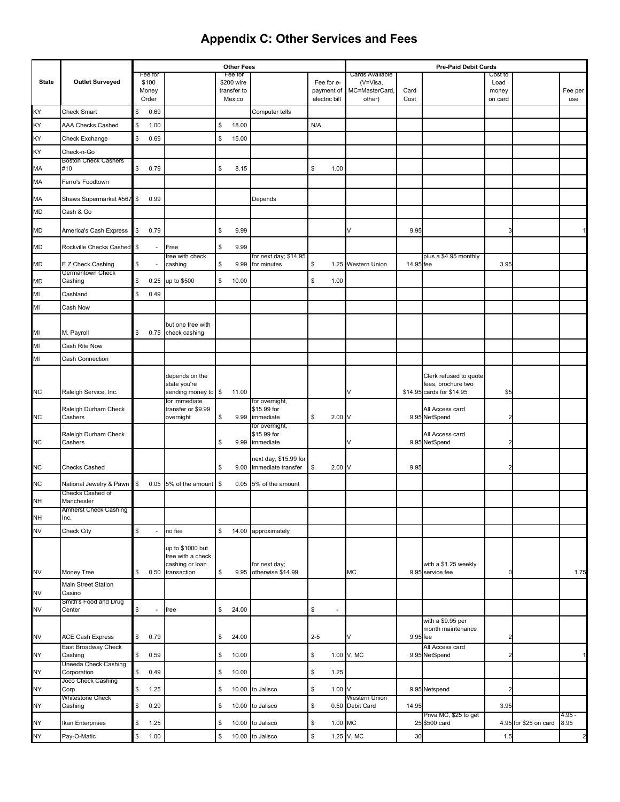|              |                                      |               |                  |                                      |             | <b>Other Fees</b>     |                                             |         |               |                             |           | <b>Pre-Paid Debit Cards</b>                     |                 |                       |                |
|--------------|--------------------------------------|---------------|------------------|--------------------------------------|-------------|-----------------------|---------------------------------------------|---------|---------------|-----------------------------|-----------|-------------------------------------------------|-----------------|-----------------------|----------------|
| <b>State</b> | <b>Outlet Surveyed</b>               |               | Fee for<br>\$100 |                                      |             | Fee for<br>\$200 wire |                                             |         | Fee for e-    | Cards Available<br>(V=Visa, |           |                                                 | Cost to<br>Load |                       |                |
|              |                                      |               | Money            |                                      |             | transfer to           |                                             |         | payment of    | MC=MasterCard,              | Card      |                                                 | money           |                       | Fee per        |
|              |                                      |               | Order            |                                      |             | Mexico                |                                             |         | electric bill | other)                      | Cost      |                                                 | on card         |                       | use            |
| KY           | <b>Check Smart</b>                   | S.            | 0.69             |                                      |             |                       | Computer tells                              |         |               |                             |           |                                                 |                 |                       |                |
| KY           | <b>AAA Checks Cashed</b>             | \$            | 1.00             |                                      | \$          | 18.00                 |                                             | N/A     |               |                             |           |                                                 |                 |                       |                |
| KY           | Check Exchange                       | \$            | 0.69             |                                      | \$          | 15.00                 |                                             |         |               |                             |           |                                                 |                 |                       |                |
| KY           | Check-n-Go                           |               |                  |                                      |             |                       |                                             |         |               |                             |           |                                                 |                 |                       |                |
| MA           | <b>Boston Check Cashers</b><br>#10   | \$            | 0.79             |                                      | \$          | 8.15                  |                                             | \$      | 1.00          |                             |           |                                                 |                 |                       |                |
| MA           | Ferro's Foodtown                     |               |                  |                                      |             |                       |                                             |         |               |                             |           |                                                 |                 |                       |                |
| MA           | Shaws Supermarket #567               | $\sqrt{3}$    | 0.99             |                                      |             |                       | Depends                                     |         |               |                             |           |                                                 |                 |                       |                |
| <b>MD</b>    | Cash & Go                            |               |                  |                                      |             |                       |                                             |         |               |                             |           |                                                 |                 |                       |                |
| MD           | America's Cash Express               | $\mathfrak s$ | 0.79             |                                      | \$          | 9.99                  |                                             |         |               |                             | 9.95      |                                                 |                 |                       |                |
| MD           | Rockville Checks Cashed              | $\frac{1}{2}$ |                  | Free                                 | \$          | 9.99                  |                                             |         |               |                             |           |                                                 |                 |                       |                |
| MD           | E Z Check Cashing                    | S             |                  | free with check<br>cashing           | \$          | 9.99                  | for next day; \$14.95<br>for minutes        | \$      |               | 1.25 Western Union          | 14.95 fee | plus a \$4.95 monthly                           | 3.95            |                       |                |
| <b>MD</b>    | Germantown Check<br>Cashing          | \$            | 0.25             | up to \$500                          | \$          | 10.00                 |                                             | \$      | 1.00          |                             |           |                                                 |                 |                       |                |
| MI           | Cashland                             | S.            | 0.49             |                                      |             |                       |                                             |         |               |                             |           |                                                 |                 |                       |                |
| MI           | Cash Now                             |               |                  |                                      |             |                       |                                             |         |               |                             |           |                                                 |                 |                       |                |
|              |                                      |               |                  | but one free with                    |             |                       |                                             |         |               |                             |           |                                                 |                 |                       |                |
| MI           | M. Payroll                           | \$            | 0.75             | check cashing                        |             |                       |                                             |         |               |                             |           |                                                 |                 |                       |                |
| MI           | Cash Rite Now                        |               |                  |                                      |             |                       |                                             |         |               |                             |           |                                                 |                 |                       |                |
| MI           | Cash Connection                      |               |                  |                                      |             |                       |                                             |         |               |                             |           |                                                 |                 |                       |                |
|              |                                      |               |                  | depends on the                       |             |                       |                                             |         |               |                             |           | Clerk refused to quote                          |                 |                       |                |
|              |                                      |               |                  | state you're                         |             | 11.00                 |                                             |         |               |                             |           | fees, brochure two<br>\$14.95 cards for \$14.95 | \$5             |                       |                |
| <b>NC</b>    | Raleigh Service, Inc.                |               |                  | sending money to \$<br>for immediate |             |                       | for overnight,                              |         |               |                             |           |                                                 |                 |                       |                |
| <b>NC</b>    | Raleigh Durham Check<br>Cashers      |               |                  | transfer or \$9.99<br>overnight      | \$          | 9.99                  | \$15.99 for<br>immediate                    | \$      | 2.00          |                             |           | All Access card<br>9.95 NetSpend                |                 |                       |                |
|              | Raleigh Durham Check                 |               |                  |                                      |             |                       | for overnight,<br>\$15.99 for               |         |               |                             |           | All Access card                                 |                 |                       |                |
| <b>NC</b>    | Cashers                              |               |                  |                                      | \$          | 9.99                  | immediate                                   |         |               |                             |           | 9.95 NetSpend                                   |                 |                       |                |
| <b>NC</b>    | <b>Checks Cashed</b>                 |               |                  |                                      | \$          | 9.00                  | next day, \$15.99 for<br>immediate transfer | \$      | 2.00V         |                             | 9.95      |                                                 |                 |                       |                |
| <b>NC</b>    | National Jewelry & Pawn              | $\sqrt{3}$    | 0.05             | 5% of the amount                     | $\sqrt{3}$  | 0.05                  | 5% of the amount                            |         |               |                             |           |                                                 |                 |                       |                |
| <b>NH</b>    | Checks Cashed of<br>Manchester       |               |                  |                                      |             |                       |                                             |         |               |                             |           |                                                 |                 |                       |                |
|              | <b>Amherst Check Cashing</b><br>Inc. |               |                  |                                      |             |                       |                                             |         |               |                             |           |                                                 |                 |                       |                |
| NH<br>NV     | Check City                           | \$            |                  | no fee                               | $\mathbb S$ | 14.00                 | approximately                               |         |               |                             |           |                                                 |                 |                       |                |
|              |                                      |               |                  | up to \$1000 but                     |             |                       |                                             |         |               |                             |           |                                                 |                 |                       |                |
|              |                                      |               |                  | free with a check                    |             |                       |                                             |         |               |                             |           |                                                 |                 |                       |                |
| <b>NV</b>    | Money Tree                           | \$            |                  | cashing or loan<br>0.50 transaction  | \$          | 9.95                  | for next day;<br>otherwise \$14.99          |         |               | МC                          |           | with a \$1.25 weekly<br>9.95 service fee        | 0               |                       | 1.75           |
| <b>NV</b>    | Main Street Station<br>Casino        |               |                  |                                      |             |                       |                                             |         |               |                             |           |                                                 |                 |                       |                |
|              | Smith's Food and Drug                |               |                  |                                      |             |                       |                                             |         |               |                             |           |                                                 |                 |                       |                |
| <b>NV</b>    | Center                               | $\mathfrak s$ |                  | free                                 | \$          | 24.00                 |                                             | \$      |               |                             |           | with a \$9.95 per                               |                 |                       |                |
| <b>NV</b>    | ACE Cash Express                     | \$            | 0.79             |                                      | \$          | 24.00                 |                                             | $2 - 5$ |               |                             | 9.95 fee  | month maintenance                               | 2               |                       |                |
| NY           | East Broadway Check<br>Cashing       | $\mathfrak s$ | 0.59             |                                      | \$          | 10.00                 |                                             | \$      |               | 1.00 V, MC                  |           | All Access card<br>9.95 NetSpend                | $\overline{2}$  |                       |                |
| <b>NY</b>    | Uneeda Check Cashing<br>Corporation  | \$            | 0.49             |                                      | \$          | 10.00                 |                                             | \$      | 1.25          |                             |           |                                                 |                 |                       |                |
| NY           | Joco Check Cashing<br>Corp.          | \$            | 1.25             |                                      | \$          | 10.00                 | to Jalisco                                  | \$      | 1.00V         |                             |           | 9.95 Netspend                                   | $\overline{2}$  |                       |                |
| NY           | <b>Whitestone Check</b><br>Cashing   | \$            | 0.29             |                                      | \$          |                       | 10.00 to Jalisco                            | \$      | 0.50          | Western Union<br>Debit Card | 14.95     |                                                 | 3.95            |                       |                |
| <b>NY</b>    | Ikan Enterprises                     | \$            | 1.25             |                                      | \$          | 10.00                 | to Jalisco                                  | \$      | 1.00 MC       |                             |           | Priva MC, \$25 to get<br>25 \$500 card          |                 | 4.95 for \$25 on card | 4.95 -<br>8.95 |
| NY           | Pay-O-Matic                          | $\mathbb{S}$  | 1.00             |                                      | \$          |                       | 10.00 to Jalisco                            | \$      |               | 1.25 V, MC                  | 30        |                                                 | 1.5             |                       | $\overline{c}$ |
|              |                                      |               |                  |                                      |             |                       |                                             |         |               |                             |           |                                                 |                 |                       |                |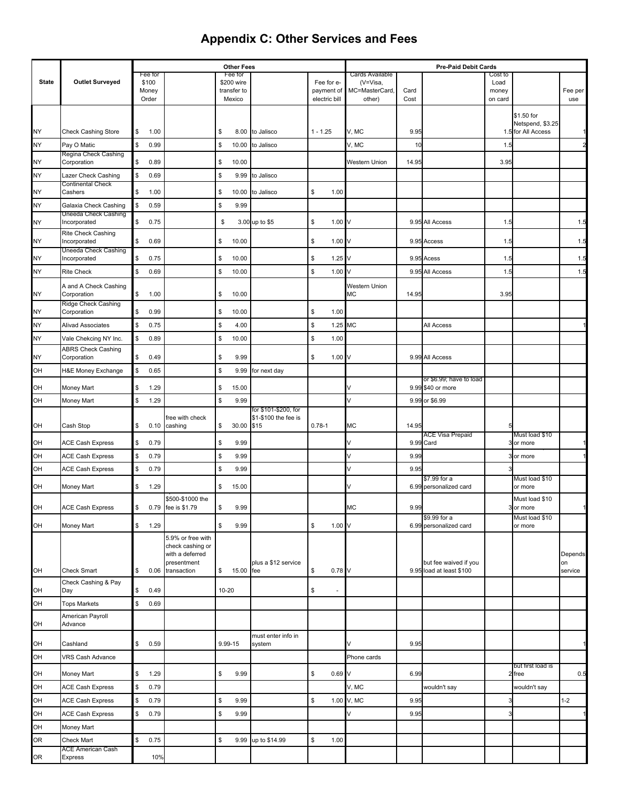|                 |                                               |          |                  |                                        |           | <b>Other Fees</b>     |                              |               |                          |                             |       | <b>Pre-Paid Debit Cards</b>            |                 |                                        |               |
|-----------------|-----------------------------------------------|----------|------------------|----------------------------------------|-----------|-----------------------|------------------------------|---------------|--------------------------|-----------------------------|-------|----------------------------------------|-----------------|----------------------------------------|---------------|
| <b>State</b>    | <b>Outlet Surveyed</b>                        |          | Fee for<br>\$100 |                                        |           | Fee for<br>\$200 wire |                              | Fee for e-    |                          | Cards Available<br>(V=Visa, |       |                                        | Cost to<br>Load |                                        |               |
|                 |                                               |          | Money            |                                        |           | transfer to           |                              | payment of    |                          | MC=MasterCard,              | Card  |                                        | money           |                                        | Fee per       |
|                 |                                               |          | Order            |                                        |           | Mexico                |                              | electric bill |                          | other)                      | Cost  |                                        | on card         |                                        | use           |
|                 |                                               |          |                  |                                        |           |                       |                              |               |                          |                             |       |                                        |                 | \$1.50 for                             |               |
| <b>NY</b>       | <b>Check Cashing Store</b>                    | \$       | 1.00             |                                        | \$        | 8.00                  | to Jalisco                   | $1 - 1.25$    |                          | V, MC                       | 9.95  |                                        |                 | Netspend, \$3.25<br>1.5 for All Access |               |
| NY              | Pay O Matic                                   | \$       | 0.99             |                                        | \$        | 10.00                 | to Jalisco                   |               |                          | V, MC                       | 10    |                                        | 1.5             |                                        |               |
|                 | Regina Check Cashing                          |          |                  |                                        |           |                       |                              |               |                          |                             |       |                                        |                 |                                        |               |
| NY<br><b>NY</b> | Corporation                                   | \$<br>\$ | 0.89<br>0.69     |                                        | \$<br>\$  | 10.00<br>9.99         |                              |               |                          | Western Union               | 14.95 |                                        | 3.95            |                                        |               |
|                 | Lazer Check Cashing<br>Continental Check      |          |                  |                                        |           |                       | to Jalisco                   |               |                          |                             |       |                                        |                 |                                        |               |
| <b>NY</b>       | Cashers                                       | \$       | 1.00             |                                        | \$        | 10.00                 | to Jalisco                   | \$            | 1.00                     |                             |       |                                        |                 |                                        |               |
| <b>NY</b>       | Galaxia Check Cashing<br>Uneeda Check Cashing | \$       | 0.59             |                                        | \$        | 9.99                  |                              |               |                          |                             |       |                                        |                 |                                        |               |
| <b>NY</b>       | Incorporated                                  | \$       | 0.75             |                                        | \$        |                       | 3.00 up to \$5               | \$            | 1.00                     |                             | 9.95  | All Access                             | 1.5             |                                        | 1.5           |
| <b>NY</b>       | Rite Check Cashing<br>Incorporated            | \$       | 0.69             |                                        | \$        | 10.00                 |                              | \$            | 1.00                     |                             |       | 9.95 Access                            | 1.5             |                                        | 1.5           |
| <b>NY</b>       | Uneeda Check Cashing<br>Incorporated          | \$       | 0.75             |                                        | \$        | 10.00                 |                              | \$            | 1.25                     |                             | 9.95  | Acess                                  | 1.5             |                                        | 1.5           |
| <b>NY</b>       | <b>Rite Check</b>                             | \$       | 0.69             |                                        | \$        | 10.00                 |                              | \$            | 1.00                     |                             |       | 9.95 All Access                        | 1.5             |                                        | 1.5           |
|                 | A and A Check Cashing                         |          |                  |                                        |           |                       |                              |               |                          | Western Union               |       |                                        |                 |                                        |               |
| NY              | Corporation                                   | \$       | 1.00             |                                        | \$        | 10.00                 |                              |               |                          | <b>MC</b>                   | 14.95 |                                        | 3.95            |                                        |               |
| <b>NY</b>       | Ridge Check Cashing<br>Corporation            | \$       | 0.99             |                                        | \$        | 10.00                 |                              | \$            | 1.00                     |                             |       |                                        |                 |                                        |               |
| <b>NY</b>       | <b>Alivad Associates</b>                      | \$       | 0.75             |                                        | \$        | 4.00                  |                              | \$            | 1.25                     | <b>MC</b>                   |       | All Access                             |                 |                                        |               |
| NY              | Vale Chekcing NY Inc.                         | \$       | 0.89             |                                        | \$        | 10.00                 |                              | \$            | 1.00                     |                             |       |                                        |                 |                                        |               |
| <b>NY</b>       | <b>ABRS Check Cashing</b><br>Corporation      | \$       | 0.49             |                                        | \$        | 9.99                  |                              | \$            | 1.00 <sub>V</sub>        |                             |       | 9.99 All Access                        |                 |                                        |               |
| OH              | H&E Money Exchange                            | \$       | 0.65             |                                        | \$        | 9.99                  | for next day                 |               |                          |                             |       |                                        |                 |                                        |               |
|                 |                                               |          |                  |                                        |           |                       |                              |               |                          |                             |       | or \$6.99; have to load                |                 |                                        |               |
| OH              | Money Mart                                    | \$       | 1.29             |                                        | \$        | 15.00                 |                              |               |                          |                             |       | 9.99 \$40 or more                      |                 |                                        |               |
| OH              | Money Mart                                    | \$       | 1.29             |                                        | \$        | 9.99                  | for \$101-\$200, for         |               |                          | V                           |       | 9.99 or \$6.99                         |                 |                                        |               |
| OН              | Cash Stop                                     | \$       | 0.10             | free with check<br>cashing             | \$        | 30.00                 | \$1-\$100 the fee is<br>\$15 | $0.78 - 1$    |                          | МC                          | 14.95 |                                        |                 |                                        |               |
|                 |                                               |          |                  |                                        |           |                       |                              |               |                          |                             |       | ACE Visa Prepaid                       |                 | Must load \$10                         |               |
| OН              | <b>ACE Cash Express</b>                       | \$       | 0.79             |                                        | \$        | 9.99                  |                              |               |                          |                             |       | 9.99 Card                              |                 | or more                                |               |
| OH              | <b>ACE Cash Express</b>                       | \$       | 0.79             |                                        | \$        | 9.99                  |                              |               |                          |                             | 9.99  |                                        |                 | or more                                |               |
| OН              | <b>ACE Cash Express</b>                       | \$       | 0.79             |                                        | \$        | 9.99                  |                              |               |                          |                             | 9.95  | \$7.99 for a                           |                 | Must load \$10                         |               |
| OН              | Money Mart                                    | \$       | 1.29             |                                        | \$        | 15.00                 |                              |               |                          |                             |       | 6.99 personalized card                 |                 | or more                                |               |
| OH              | <b>ACE Cash Express</b>                       | \$       |                  | \$500-\$1000 the<br>0.79 fee is \$1.79 | \$        | 9.99                  |                              |               |                          | МC                          | 9.99  |                                        |                 | Must load \$10<br>3 or more            |               |
| OH              | Money Mart                                    | \$       | 1.29             |                                        | \$        | 9.99                  |                              | \$            | 1.00V                    |                             |       | \$9.99 for a<br>6.99 personalized card |                 | Must load \$10<br>or more              |               |
|                 |                                               |          |                  | 5.9% or free with                      |           |                       |                              |               |                          |                             |       |                                        |                 |                                        |               |
|                 |                                               |          |                  | check cashing or                       |           |                       |                              |               |                          |                             |       |                                        |                 |                                        |               |
|                 |                                               |          |                  | with a deferred<br>presentment         |           |                       | plus a \$12 service          |               |                          |                             |       | but fee waived if you                  |                 |                                        | Depends<br>on |
| OH              | Check Smart                                   | \$       | 0.06             | transaction                            | \$        | 15.00                 | fee                          | \$            | $0.78$ V                 |                             |       | 9.95 load at least \$100               |                 |                                        | service       |
| OH              | Check Cashing & Pay<br>Day                    | \$       | 0.49             |                                        | $10 - 20$ |                       |                              | \$            | $\overline{\phantom{a}}$ |                             |       |                                        |                 |                                        |               |
| OH              | <b>Tops Markets</b>                           | \$       | 0.69             |                                        |           |                       |                              |               |                          |                             |       |                                        |                 |                                        |               |
|                 | American Payroll                              |          |                  |                                        |           |                       |                              |               |                          |                             |       |                                        |                 |                                        |               |
| OH              | Advance                                       |          |                  |                                        |           |                       | must enter info in           |               |                          |                             |       |                                        |                 |                                        |               |
| OH              | Cashland                                      | \$       | 0.59             |                                        | 9.99-15   |                       | system                       |               |                          |                             | 9.95  |                                        |                 |                                        |               |
| OH              | <b>VRS Cash Advance</b>                       |          |                  |                                        |           |                       |                              |               |                          | Phone cards                 |       |                                        |                 | but first load is                      |               |
| OH              | Money Mart                                    | \$       | 1.29             |                                        | \$        | 9.99                  |                              | \$            | $0.69$ V                 |                             | 6.99  |                                        |                 | 2 free                                 | 0.5           |
| OH              | <b>ACE Cash Express</b>                       | \$       | 0.79             |                                        |           |                       |                              |               |                          | V, MC                       |       | wouldn't say                           |                 | wouldn't say                           |               |
| OH              | <b>ACE Cash Express</b>                       | \$       | 0.79             |                                        | \$        | 9.99                  |                              | \$            |                          | 1.00 V, MC                  | 9.95  |                                        |                 |                                        | $1 - 2$       |
| OH              | <b>ACE Cash Express</b>                       | \$       | 0.79             |                                        | \$        | 9.99                  |                              |               |                          |                             | 9.95  |                                        |                 |                                        |               |
| OH              | Money Mart                                    |          |                  |                                        |           |                       |                              |               |                          |                             |       |                                        |                 |                                        |               |
| OR              | Check Mart<br><b>ACE American Cash</b>        | \$       | 0.75             |                                        | \$        | 9.99                  | up to \$14.99                | \$            | 1.00                     |                             |       |                                        |                 |                                        |               |
| 0R              | Express                                       |          | 10%              |                                        |           |                       |                              |               |                          |                             |       |                                        |                 |                                        |               |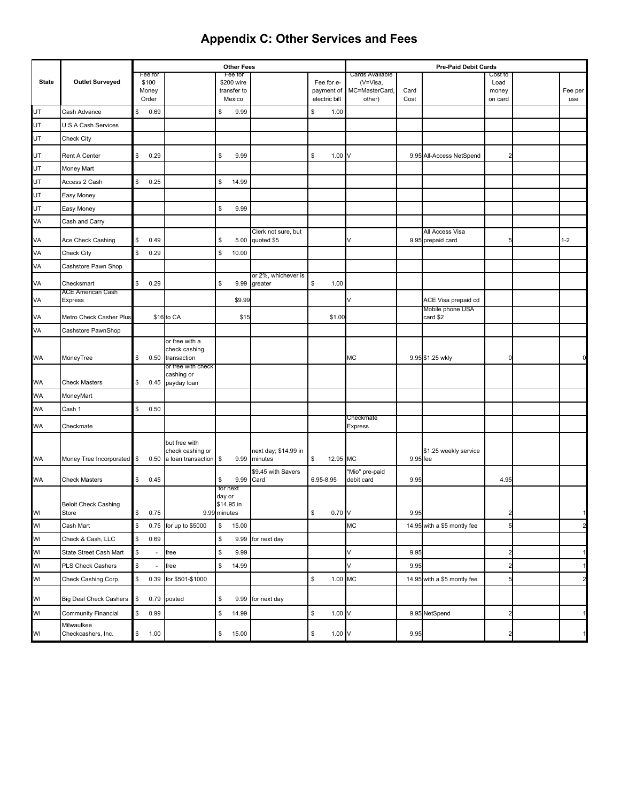|                         |                                  |            |                  |                                   |                    | <b>Other Fees</b>     |                                   |           |                   |                              |          | <b>Pre-Paid Debit Cards</b>             |                 |         |
|-------------------------|----------------------------------|------------|------------------|-----------------------------------|--------------------|-----------------------|-----------------------------------|-----------|-------------------|------------------------------|----------|-----------------------------------------|-----------------|---------|
| <b>State</b>            | <b>Outlet Surveyed</b>           |            | Fee for<br>\$100 |                                   |                    | Fee for<br>\$200 wire |                                   |           | Fee for e-        | Cards Available<br>(V=Visa,  |          |                                         | Cost to<br>Load |         |
|                         |                                  |            | Money            |                                   |                    | transfer to           |                                   |           | payment of        | MC=MasterCard,               | Card     |                                         | money           | Fee per |
|                         |                                  |            | Order            |                                   |                    | Mexico                |                                   |           | electric bill     | other)                       | Cost     |                                         | on card         | use     |
| UT                      | Cash Advance                     | \$         | 0.69             |                                   | \$                 | 9.99                  |                                   | \$        | 1.00              |                              |          |                                         |                 |         |
| UT                      | U.S.A Cash Services              |            |                  |                                   |                    |                       |                                   |           |                   |                              |          |                                         |                 |         |
| UT                      | Check City                       |            |                  |                                   |                    |                       |                                   |           |                   |                              |          |                                         |                 |         |
| UT                      | Rent A Center                    | \$         | 0.29             |                                   | \$                 | 9.99                  |                                   | \$        | 1.00 <sub>V</sub> |                              |          | 9.95 All-Access NetSpend                |                 |         |
| UT                      | Money Mart                       |            |                  |                                   |                    |                       |                                   |           |                   |                              |          |                                         |                 |         |
| UT                      | Access 2 Cash                    | \$         | 0.25             |                                   | \$                 | 14.99                 |                                   |           |                   |                              |          |                                         |                 |         |
| UT                      | Easy Money                       |            |                  |                                   |                    |                       |                                   |           |                   |                              |          |                                         |                 |         |
| UT                      | Easy Money                       |            |                  |                                   | \$                 | 9.99                  |                                   |           |                   |                              |          |                                         |                 |         |
| VA                      | Cash and Carry                   |            |                  |                                   |                    |                       |                                   |           |                   |                              |          |                                         |                 |         |
| VA                      | Ace Check Cashing                | \$         | 0.49             |                                   | \$                 | 5.00                  | Clerk not sure, but<br>quoted \$5 |           |                   |                              |          | All Access Visa<br>9.95 prepaid card    |                 | $1 - 2$ |
| VA                      | Check City                       | \$         | 0.29             |                                   | \$                 | 10.00                 |                                   |           |                   |                              |          |                                         |                 |         |
| VA                      | Cashstore Pawn Shop              |            |                  |                                   |                    |                       |                                   |           |                   |                              |          |                                         |                 |         |
| VA                      | Checksmart                       | \$         | 0.29             |                                   | \$                 | 9.99                  | or 2%, whichever is<br>greater    | \$        | 1.00              |                              |          |                                         |                 |         |
|                         | <b>ACE American Cash</b>         |            |                  |                                   |                    |                       |                                   |           |                   |                              |          |                                         |                 |         |
| VA                      | Express                          |            |                  |                                   |                    | \$9.99                |                                   |           |                   | V                            |          | ACE Visa prepaid cd<br>Mobile phone USA |                 |         |
| VA                      | Metro Check Casher Plus          |            |                  | \$16 to CA                        |                    | \$15                  |                                   |           | \$1.00            |                              |          | card \$2                                |                 |         |
| VA                      | Cashstore PawnShop               |            |                  |                                   |                    |                       |                                   |           |                   |                              |          |                                         |                 |         |
|                         |                                  |            |                  | or free with a<br>check cashing   |                    |                       |                                   |           |                   |                              |          |                                         |                 |         |
| WA                      | MoneyTree                        | \$         | 0.50             | transaction                       |                    |                       |                                   |           |                   | МC                           |          | 9.95 \$1.25 wkly                        |                 |         |
|                         |                                  |            |                  | or free with check<br>cashing or  |                    |                       |                                   |           |                   |                              |          |                                         |                 |         |
| WA                      | <b>Check Masters</b>             | \$         | 0.45             | payday loan                       |                    |                       |                                   |           |                   |                              |          |                                         |                 |         |
| <b>WA</b>               | MoneyMart                        |            |                  |                                   |                    |                       |                                   |           |                   |                              |          |                                         |                 |         |
| <b>WA</b>               | Cash 1                           | \$         | 0.50             |                                   |                    |                       |                                   |           |                   |                              |          |                                         |                 |         |
| WA                      | Checkmate                        |            |                  |                                   |                    |                       |                                   |           |                   | Checkmate<br>Express         |          |                                         |                 |         |
|                         |                                  |            |                  |                                   |                    |                       |                                   |           |                   |                              |          |                                         |                 |         |
|                         |                                  |            |                  | but free with<br>check cashing or |                    |                       | next day; \$14.99 in              |           |                   |                              |          | \$1.25 weekly service                   |                 |         |
| WA                      | Money Tree Incorporated \$       |            | 0.50             | a loan transaction                | \$                 | 9.99                  | minutes                           | \$        | 12.95 MC          |                              | 9.95 fee |                                         |                 |         |
| WA                      | <b>Check Masters</b>             | \$         | 0.45             |                                   | \$                 | 9.99                  | \$9.45 with Savers<br>Card        | 6.95-8.95 |                   | "Mio" pre-paid<br>debit card | 9.95     |                                         | 4.95            |         |
|                         |                                  |            |                  |                                   | for next<br>day or |                       |                                   |           |                   |                              |          |                                         |                 |         |
| .<br>Wl                 | <b>Beloit Check Cashing</b>      |            |                  |                                   | \$14.95 in         |                       |                                   |           |                   |                              |          |                                         |                 |         |
| $\overline{w}$          | Store                            |            | \$0.75           |                                   | 9.99 minutes       |                       |                                   | S         | $0.70$ V          |                              | 9.95     |                                         | $\mathcal{D}$   |         |
|                         | Cash Mart                        | \$         |                  | 0.75 for up to \$5000             | \$                 | 15.00                 |                                   |           |                   | МC                           |          | 14.95 with a \$5 montly fee             |                 |         |
| WI                      | Check & Cash, LLC                | \$         | 0.69             |                                   | \$                 | 9.99                  | for next day                      |           |                   |                              |          |                                         |                 |         |
| <b>I</b> W              | State Street Cash Mart           | $\$$       |                  | free                              | \$                 | 9.99                  |                                   |           |                   | V                            | 9.95     |                                         |                 |         |
| WI                      | PLS Check Cashers                | \$         |                  | free                              | \$                 | 14.99                 |                                   |           |                   | V                            | 9.95     |                                         |                 |         |
| $\overline{\mathsf{I}}$ | Check Cashing Corp.              | \$         | 0.39             | for \$501-\$1000                  |                    |                       |                                   | \$        | 1.00 MC           |                              |          | 14.95 with a \$5 montly fee             | 5               |         |
| WI                      | Big Deal Check Cashers \$        |            | 0.79             | posted                            | \$                 |                       | 9.99 for next day                 |           |                   |                              |          |                                         |                 |         |
| WI                      | <b>Community Financial</b>       | \$         | 0.99             |                                   | \$                 | 14.99                 |                                   | \$        | 1.00 <sub>V</sub> |                              |          | 9.95 NetSpend                           |                 |         |
| WI                      | Milwaulkee<br>Checkcashers, Inc. | $\sqrt{3}$ | 1.00             |                                   | \$                 | 15.00                 |                                   | \$        | 1.00V             |                              | 9.95     |                                         |                 |         |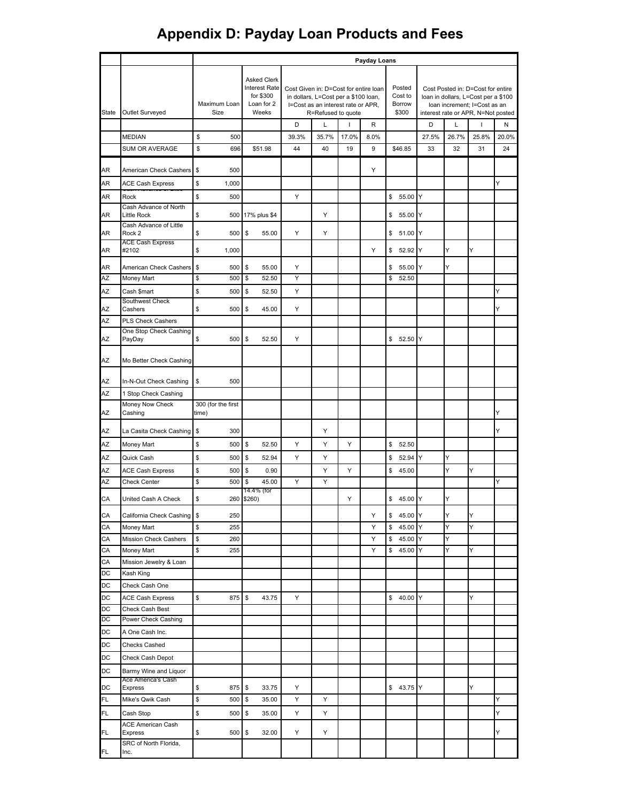|              |                                                                       | Payday Loans           |                                                                         |                                                                                                                                                          |       |       |                                      |                       |       |                                                                                                                                                |       |       |
|--------------|-----------------------------------------------------------------------|------------------------|-------------------------------------------------------------------------|----------------------------------------------------------------------------------------------------------------------------------------------------------|-------|-------|--------------------------------------|-----------------------|-------|------------------------------------------------------------------------------------------------------------------------------------------------|-------|-------|
| <b>State</b> | Outlet Surveyed                                                       | Maximum Loan<br>Size   | <b>Asked Clerk</b><br>Interest Rate<br>for \$300<br>Loan for 2<br>Weeks | Cost Given in: D=Cost for entire loan<br>in dollars, L=Cost per a \$100 loan,<br>I=Cost as an interest rate or APR,<br>R=Refused to quote<br>D<br>L<br>R |       |       | Posted<br>Cost to<br>Borrow<br>\$300 |                       |       | Cost Posted in: D=Cost for entire<br>loan in dollars, L=Cost per a \$100<br>loan increment; I=Cost as an<br>interest rate or APR, N=Not posted |       |       |
|              |                                                                       |                        |                                                                         |                                                                                                                                                          |       |       |                                      |                       | D     | L                                                                                                                                              | ı     | N     |
|              | <b>MEDIAN</b>                                                         | \$<br>500              |                                                                         | 39.3%                                                                                                                                                    | 35.7% | 17.0% | 8.0%                                 |                       | 27.5% | 26.7%                                                                                                                                          | 25.8% | 20.0% |
|              | SUM OR AVERAGE                                                        | \$<br>696              | \$51.98                                                                 | 44                                                                                                                                                       | 40    | 19    | 9                                    | \$46.85               | 33    | 32                                                                                                                                             | 31    | 24    |
| AR           | American Check Cashers                                                | S<br>500               |                                                                         |                                                                                                                                                          |       |       | Y                                    |                       |       |                                                                                                                                                |       |       |
| AR           | <b>ACE Cash Express</b>                                               | \$<br>1,000            |                                                                         |                                                                                                                                                          |       |       |                                      |                       |       |                                                                                                                                                |       | Ý     |
| AR           | Rock                                                                  | \$<br>500              |                                                                         | Υ                                                                                                                                                        |       |       |                                      | \$<br>55.00           | ΙY    |                                                                                                                                                |       |       |
| AR           | Cash Advance of North<br><b>Little Rock</b><br>Cash Advance of Little | \$<br>500              | 17% plus \$4                                                            |                                                                                                                                                          | Υ     |       |                                      | \$<br>55.00 Y         |       |                                                                                                                                                |       |       |
| AR           | Rock 2                                                                | \$<br>500              | \$<br>55.00                                                             | Υ                                                                                                                                                        | Υ     |       |                                      | \$51.00               | ΙY    |                                                                                                                                                |       |       |
| AR           | <b>ACE Cash Express</b><br>#2102                                      | \$<br>1,000            |                                                                         |                                                                                                                                                          |       |       | Y                                    | $\mathbb{S}$<br>52.92 | ΙY    | Y                                                                                                                                              | Y     |       |
|              |                                                                       |                        |                                                                         |                                                                                                                                                          |       |       |                                      |                       |       |                                                                                                                                                |       |       |
| AR           | American Check Cashers                                                | \$<br>500<br>\$<br>500 | \$<br>55.00                                                             | Υ<br>Y                                                                                                                                                   |       |       |                                      | \$<br>55.00           | Y     | Υ                                                                                                                                              |       |       |
| AZ           | Money Mart                                                            |                        | \$<br>52.50                                                             |                                                                                                                                                          |       |       |                                      | \$<br>52.50           |       |                                                                                                                                                |       |       |
| AZ           | Cash \$mart<br>Southwest Check                                        | \$<br>500              | \$<br>52.50                                                             | Υ                                                                                                                                                        |       |       |                                      |                       |       |                                                                                                                                                |       | Y     |
| AZ           | Cashers                                                               | \$<br>500              | \$<br>45.00                                                             | Y                                                                                                                                                        |       |       |                                      |                       |       |                                                                                                                                                |       | Y     |
| AZ           | <b>PLS Check Cashers</b>                                              |                        |                                                                         |                                                                                                                                                          |       |       |                                      |                       |       |                                                                                                                                                |       |       |
| AZ           | One Stop Check Cashing<br>PayDay                                      | \$<br>500              | \$<br>52.50                                                             | Υ                                                                                                                                                        |       |       |                                      | \$<br>52.50           | Y     |                                                                                                                                                |       |       |
| AZ           | Mo Better Check Cashing                                               |                        |                                                                         |                                                                                                                                                          |       |       |                                      |                       |       |                                                                                                                                                |       |       |
| AZ           | In-N-Out Check Cashing                                                | \$<br>500              |                                                                         |                                                                                                                                                          |       |       |                                      |                       |       |                                                                                                                                                |       |       |
| AZ           | 1 Stop Check Cashing                                                  |                        |                                                                         |                                                                                                                                                          |       |       |                                      |                       |       |                                                                                                                                                |       |       |
|              | Money Now Check                                                       | 300 (for the first     |                                                                         |                                                                                                                                                          |       |       |                                      |                       |       |                                                                                                                                                |       |       |
| AZ           | Cashing                                                               | time)                  |                                                                         |                                                                                                                                                          |       |       |                                      |                       |       |                                                                                                                                                |       | Y     |
| AZ           | La Casita Check Cashing                                               | \$<br>300              |                                                                         |                                                                                                                                                          | Y     |       |                                      |                       |       |                                                                                                                                                |       | Y     |
| ΑZ           | Money Mart                                                            | \$<br>500              | \$<br>52.50                                                             | Υ                                                                                                                                                        | Υ     | Υ     |                                      | \$<br>52.50           |       |                                                                                                                                                |       |       |
| AZ           | Quick Cash                                                            | \$<br>500              | \$<br>52.94                                                             | Y                                                                                                                                                        | Υ     |       |                                      | \$<br>52.94           | Y     | Y                                                                                                                                              |       |       |
| AZ           | <b>ACE Cash Express</b>                                               | \$<br>500              | \$<br>0.90                                                              |                                                                                                                                                          | Υ     | Υ     |                                      | \$<br>45.00           |       | Y                                                                                                                                              | Υ     |       |
| AZ           | <b>Check Center</b>                                                   | \$<br>500              | \$<br>45.00<br>14.4% (for                                               | Y                                                                                                                                                        | Y     |       |                                      |                       |       |                                                                                                                                                |       | Y     |
| CA           | United Cash A Check                                                   | \$                     | 260 \$260)                                                              |                                                                                                                                                          |       | Y     |                                      | \$ 45.00 Y            |       | Y                                                                                                                                              |       |       |
| СA           | California Check Cashing                                              | \$<br>250              |                                                                         |                                                                                                                                                          |       |       | Υ                                    | \$<br>45.00 Y         |       | Υ                                                                                                                                              | Υ     |       |
| CA           | Money Mart                                                            | \$<br>255              |                                                                         |                                                                                                                                                          |       |       | Υ                                    | \$<br>45.00           | Y     | Y                                                                                                                                              | Y     |       |
| CA           | Mission Check Cashers                                                 | \$<br>260              |                                                                         |                                                                                                                                                          |       |       | Y                                    | 45.00<br>\$           | Y     | Y                                                                                                                                              |       |       |
| СA           | Money Mart                                                            | \$<br>255              |                                                                         |                                                                                                                                                          |       |       | Υ                                    | \$<br>45.00           | Y     | Υ                                                                                                                                              | Υ     |       |
| CA           | Mission Jewelry & Loan                                                |                        |                                                                         |                                                                                                                                                          |       |       |                                      |                       |       |                                                                                                                                                |       |       |
| DC           | Kash King                                                             |                        |                                                                         |                                                                                                                                                          |       |       |                                      |                       |       |                                                                                                                                                |       |       |
| DC           | Check Cash One                                                        |                        |                                                                         |                                                                                                                                                          |       |       |                                      |                       |       |                                                                                                                                                |       |       |
| DC<br>DC     | <b>ACE Cash Express</b><br>Check Cash Best                            | \$<br>875              | \$<br>43.75                                                             | Υ                                                                                                                                                        |       |       |                                      | \$40.00 Y             |       |                                                                                                                                                | Y     |       |
| DC           | Power Check Cashing                                                   |                        |                                                                         |                                                                                                                                                          |       |       |                                      |                       |       |                                                                                                                                                |       |       |
| DC           | A One Cash Inc.                                                       |                        |                                                                         |                                                                                                                                                          |       |       |                                      |                       |       |                                                                                                                                                |       |       |
| DC           | Checks Cashed                                                         |                        |                                                                         |                                                                                                                                                          |       |       |                                      |                       |       |                                                                                                                                                |       |       |
| DC           | Check Cash Depot                                                      |                        |                                                                         |                                                                                                                                                          |       |       |                                      |                       |       |                                                                                                                                                |       |       |
| DC           | Barmy Wine and Liquor                                                 |                        |                                                                         |                                                                                                                                                          |       |       |                                      |                       |       |                                                                                                                                                |       |       |
| DC           | Ace America's Cash<br>Express                                         | \$<br>875              | \$<br>33.75                                                             | Y                                                                                                                                                        |       |       |                                      | \$43.75 Y             |       |                                                                                                                                                | Y     |       |
| FL           | Mike's Qwik Cash                                                      | \$<br>500              | \$<br>35.00                                                             | Y                                                                                                                                                        | Υ     |       |                                      |                       |       |                                                                                                                                                |       | Y     |
| FL           | Cash Stop                                                             | \$<br>500              | \$<br>35.00                                                             | Υ                                                                                                                                                        | Υ     |       |                                      |                       |       |                                                                                                                                                |       | Y     |
| FL           | <b>ACE American Cash</b><br>Express                                   | \$<br>500              | \$<br>32.00                                                             | Υ                                                                                                                                                        | Υ     |       |                                      |                       |       |                                                                                                                                                |       | Y     |
|              | SRC of North Florida,                                                 |                        |                                                                         |                                                                                                                                                          |       |       |                                      |                       |       |                                                                                                                                                |       |       |
| FL           | Inc.                                                                  |                        |                                                                         |                                                                                                                                                          |       |       |                                      |                       |       |                                                                                                                                                |       |       |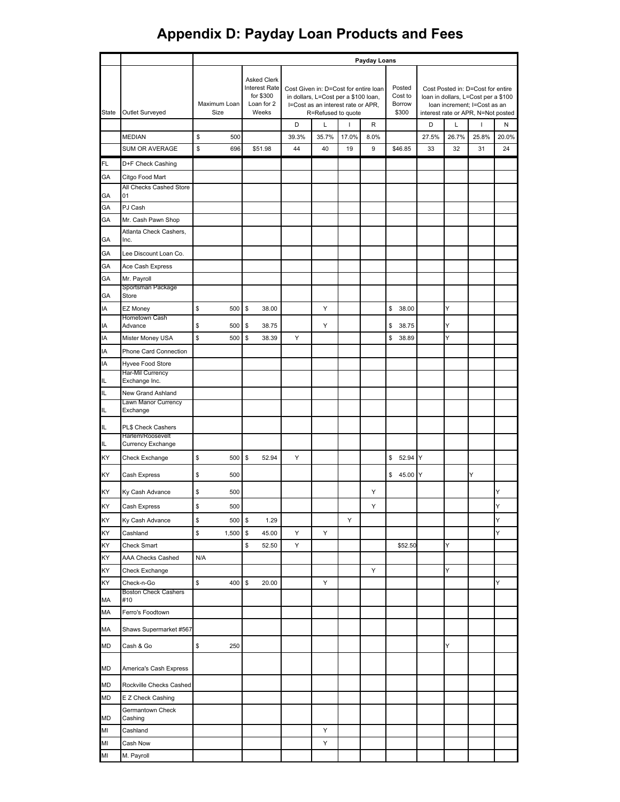|              |                                        | Payday Loans         |                                                                         |                                                                                                                                                          |       |       |                                      |             |       |                                                                                                                                                |       |       |
|--------------|----------------------------------------|----------------------|-------------------------------------------------------------------------|----------------------------------------------------------------------------------------------------------------------------------------------------------|-------|-------|--------------------------------------|-------------|-------|------------------------------------------------------------------------------------------------------------------------------------------------|-------|-------|
| <b>State</b> | Outlet Surveyed                        | Maximum Loan<br>Size | <b>Asked Clerk</b><br>Interest Rate<br>for \$300<br>Loan for 2<br>Weeks | Cost Given in: D=Cost for entire loan<br>in dollars, L=Cost per a \$100 loan,<br>I=Cost as an interest rate or APR,<br>R=Refused to quote<br>D<br>Г<br>R |       |       | Posted<br>Cost to<br>Borrow<br>\$300 |             |       | Cost Posted in: D=Cost for entire<br>loan in dollars, L=Cost per a \$100<br>Ioan increment; I=Cost as an<br>interest rate or APR, N=Not posted |       |       |
|              |                                        |                      |                                                                         |                                                                                                                                                          |       |       |                                      |             | D     | Г                                                                                                                                              | I     | Ν     |
|              | <b>MEDIAN</b>                          | \$<br>500            |                                                                         | 39.3%                                                                                                                                                    | 35.7% | 17.0% | 8.0%                                 |             | 27.5% | 26.7%                                                                                                                                          | 25.8% | 20.0% |
|              | SUM OR AVERAGE                         | \$<br>696            | \$51.98                                                                 | 44                                                                                                                                                       | 40    | 19    | 9                                    | \$46.85     | 33    | 32                                                                                                                                             | 31    | 24    |
| FL           | D+F Check Cashing                      |                      |                                                                         |                                                                                                                                                          |       |       |                                      |             |       |                                                                                                                                                |       |       |
| GА           | Citgo Food Mart                        |                      |                                                                         |                                                                                                                                                          |       |       |                                      |             |       |                                                                                                                                                |       |       |
| GА           | All Checks Cashed Store<br>01          |                      |                                                                         |                                                                                                                                                          |       |       |                                      |             |       |                                                                                                                                                |       |       |
| GА           | PJ Cash                                |                      |                                                                         |                                                                                                                                                          |       |       |                                      |             |       |                                                                                                                                                |       |       |
| GА           | Mr. Cash Pawn Shop                     |                      |                                                                         |                                                                                                                                                          |       |       |                                      |             |       |                                                                                                                                                |       |       |
|              | Atlanta Check Cashers,                 |                      |                                                                         |                                                                                                                                                          |       |       |                                      |             |       |                                                                                                                                                |       |       |
| GA           | Inc.                                   |                      |                                                                         |                                                                                                                                                          |       |       |                                      |             |       |                                                                                                                                                |       |       |
| GА           | Lee Discount Loan Co.                  |                      |                                                                         |                                                                                                                                                          |       |       |                                      |             |       |                                                                                                                                                |       |       |
| GА<br>GА     | Ace Cash Express<br>Mr. Payroll        |                      |                                                                         |                                                                                                                                                          |       |       |                                      |             |       |                                                                                                                                                |       |       |
|              | Sportsman Package                      |                      |                                                                         |                                                                                                                                                          |       |       |                                      |             |       |                                                                                                                                                |       |       |
| GА           | Store                                  |                      |                                                                         |                                                                                                                                                          |       |       |                                      |             |       |                                                                                                                                                |       |       |
| IA           | <b>EZ Money</b><br>Hometown Cash       | \$<br>500            | \$<br>38.00                                                             |                                                                                                                                                          | Υ     |       |                                      | \$<br>38.00 |       | Y                                                                                                                                              |       |       |
| IA           | Advance                                | \$<br>500            | \$<br>38.75                                                             |                                                                                                                                                          | Υ     |       |                                      | \$<br>38.75 |       | Y                                                                                                                                              |       |       |
| ΙA           | Mister Money USA                       | \$<br>500            | \$<br>38.39                                                             | Υ                                                                                                                                                        |       |       |                                      | \$<br>38.89 |       | Y                                                                                                                                              |       |       |
| ΙA           | Phone Card Connection                  |                      |                                                                         |                                                                                                                                                          |       |       |                                      |             |       |                                                                                                                                                |       |       |
| IA           | Hyvee Food Store                       |                      |                                                                         |                                                                                                                                                          |       |       |                                      |             |       |                                                                                                                                                |       |       |
| IL.          | Har-Mil Currency<br>Exchange Inc.      |                      |                                                                         |                                                                                                                                                          |       |       |                                      |             |       |                                                                                                                                                |       |       |
| IL           | New Grand Ashland                      |                      |                                                                         |                                                                                                                                                          |       |       |                                      |             |       |                                                                                                                                                |       |       |
| IL           | Lawn Manor Currency<br>Exchange        |                      |                                                                         |                                                                                                                                                          |       |       |                                      |             |       |                                                                                                                                                |       |       |
|              |                                        |                      |                                                                         |                                                                                                                                                          |       |       |                                      |             |       |                                                                                                                                                |       |       |
| IL.          | PL\$ Check Cashers<br>Harlem/Roosevelt |                      |                                                                         |                                                                                                                                                          |       |       |                                      |             |       |                                                                                                                                                |       |       |
| IL.          | Currency Exchange                      |                      |                                                                         |                                                                                                                                                          |       |       |                                      |             |       |                                                                                                                                                |       |       |
| KY           | Check Exchange                         | \$<br>500            | \$<br>52.94                                                             | Υ                                                                                                                                                        |       |       |                                      | \$<br>52.94 | Y     |                                                                                                                                                |       |       |
| KY           | Cash Express                           | \$<br>500            |                                                                         |                                                                                                                                                          |       |       |                                      | \$ 45.00 Y  |       |                                                                                                                                                | Y     |       |
| ΚY           | Ky Cash Advance                        | \$<br>500            |                                                                         |                                                                                                                                                          |       |       | Y                                    |             |       |                                                                                                                                                |       | Y     |
| KY           | Cash Express                           | \$<br>500            |                                                                         |                                                                                                                                                          |       |       | Y                                    |             |       |                                                                                                                                                |       | Y     |
| KY           | Ky Cash Advance                        | \$<br>500            | \$<br>1.29                                                              |                                                                                                                                                          |       | Υ     |                                      |             |       |                                                                                                                                                |       | Y     |
| ΚY           | Cashland                               | \$<br>1,500          | \$<br>45.00                                                             | Υ                                                                                                                                                        | Υ     |       |                                      |             |       |                                                                                                                                                |       | Y     |
| ΚY           | Check Smart                            |                      | \$<br>52.50                                                             | Υ                                                                                                                                                        |       |       |                                      | \$52.50     |       | Υ                                                                                                                                              |       |       |
| KY           | AAA Checks Cashed                      | N/A                  |                                                                         |                                                                                                                                                          |       |       |                                      |             |       |                                                                                                                                                |       |       |
| ΚY           | Check Exchange                         |                      |                                                                         |                                                                                                                                                          |       |       | Υ                                    |             |       | Y                                                                                                                                              |       |       |
| ΚY           | Check-n-Go                             | \$<br>400            | \$<br>20.00                                                             |                                                                                                                                                          | Υ     |       |                                      |             |       |                                                                                                                                                |       | Y     |
| MA           | <b>Boston Check Cashers</b><br>#10     |                      |                                                                         |                                                                                                                                                          |       |       |                                      |             |       |                                                                                                                                                |       |       |
| MA           | Ferro's Foodtown                       |                      |                                                                         |                                                                                                                                                          |       |       |                                      |             |       |                                                                                                                                                |       |       |
| MA           | Shaws Supermarket #567                 |                      |                                                                         |                                                                                                                                                          |       |       |                                      |             |       |                                                                                                                                                |       |       |
| MD           | Cash & Go                              | \$<br>250            |                                                                         |                                                                                                                                                          |       |       |                                      |             |       | Y                                                                                                                                              |       |       |
| MD           | America's Cash Express                 |                      |                                                                         |                                                                                                                                                          |       |       |                                      |             |       |                                                                                                                                                |       |       |
| MD           | Rockville Checks Cashed                |                      |                                                                         |                                                                                                                                                          |       |       |                                      |             |       |                                                                                                                                                |       |       |
| MD           | E Z Check Cashing                      |                      |                                                                         |                                                                                                                                                          |       |       |                                      |             |       |                                                                                                                                                |       |       |
| MD           | Germantown Check<br>Cashing            |                      |                                                                         |                                                                                                                                                          |       |       |                                      |             |       |                                                                                                                                                |       |       |
| MI           | Cashland                               |                      |                                                                         |                                                                                                                                                          | Υ     |       |                                      |             |       |                                                                                                                                                |       |       |
| MI           | Cash Now                               |                      |                                                                         |                                                                                                                                                          | Υ     |       |                                      |             |       |                                                                                                                                                |       |       |
| MI           | M. Payroll                             |                      |                                                                         |                                                                                                                                                          |       |       |                                      |             |       |                                                                                                                                                |       |       |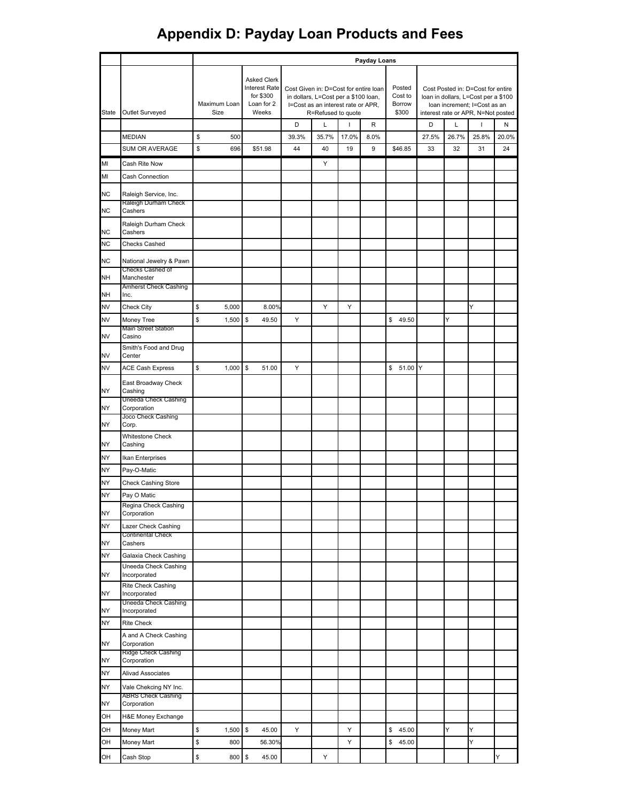|              |                                                 | Payday Loans         |                                                                         |                                                                                                                                           |       |       |                                      |                       |       |                                                                                                                                                |       |       |
|--------------|-------------------------------------------------|----------------------|-------------------------------------------------------------------------|-------------------------------------------------------------------------------------------------------------------------------------------|-------|-------|--------------------------------------|-----------------------|-------|------------------------------------------------------------------------------------------------------------------------------------------------|-------|-------|
| <b>State</b> | Outlet Surveyed                                 | Maximum Loan<br>Size | <b>Asked Clerk</b><br>Interest Rate<br>for \$300<br>Loan for 2<br>Weeks | Cost Given in: D=Cost for entire loan<br>in dollars, L=Cost per a \$100 loan,<br>I=Cost as an interest rate or APR,<br>R=Refused to quote |       |       | Posted<br>Cost to<br>Borrow<br>\$300 |                       |       | Cost Posted in: D=Cost for entire<br>loan in dollars, L=Cost per a \$100<br>loan increment; I=Cost as an<br>interest rate or APR, N=Not posted |       |       |
|              |                                                 |                      |                                                                         | D                                                                                                                                         | Г     |       | R                                    |                       | D     | L                                                                                                                                              | ı     | Ν     |
|              | <b>MEDIAN</b>                                   | \$<br>500            |                                                                         | 39.3%                                                                                                                                     | 35.7% | 17.0% | 8.0%                                 |                       | 27.5% | 26.7%                                                                                                                                          | 25.8% | 20.0% |
|              | SUM OR AVERAGE                                  | \$<br>696            | \$51.98                                                                 | 44                                                                                                                                        | 40    | 19    | 9                                    | \$46.85               | 33    | 32                                                                                                                                             | 31    | 24    |
| MI           | Cash Rite Now                                   |                      |                                                                         |                                                                                                                                           | Υ     |       |                                      |                       |       |                                                                                                                                                |       |       |
| MI           | Cash Connection                                 |                      |                                                                         |                                                                                                                                           |       |       |                                      |                       |       |                                                                                                                                                |       |       |
| NC           | Raleigh Service, Inc.                           |                      |                                                                         |                                                                                                                                           |       |       |                                      |                       |       |                                                                                                                                                |       |       |
| NC           | Raleigh Durham Check<br>Cashers                 |                      |                                                                         |                                                                                                                                           |       |       |                                      |                       |       |                                                                                                                                                |       |       |
| NC           | Raleigh Durham Check<br>Cashers                 |                      |                                                                         |                                                                                                                                           |       |       |                                      |                       |       |                                                                                                                                                |       |       |
| ΝC           | Checks Cashed                                   |                      |                                                                         |                                                                                                                                           |       |       |                                      |                       |       |                                                                                                                                                |       |       |
| ΝC           | National Jewelry & Pawn                         |                      |                                                                         |                                                                                                                                           |       |       |                                      |                       |       |                                                                                                                                                |       |       |
| NH           | Checks Cashed of<br>Manchester                  |                      |                                                                         |                                                                                                                                           |       |       |                                      |                       |       |                                                                                                                                                |       |       |
| <b>NH</b>    | <b>Amherst Check Cashing</b><br>Inc.            |                      |                                                                         |                                                                                                                                           |       |       |                                      |                       |       |                                                                                                                                                |       |       |
| NV           | Check City                                      | \$<br>5,000          | 8.00%                                                                   |                                                                                                                                           | Υ     | Υ     |                                      |                       |       |                                                                                                                                                | Y     |       |
| NV           | Money Tree                                      | \$<br>1,500          | \$<br>49.50                                                             | Y                                                                                                                                         |       |       |                                      | 49.50<br>$\mathsf{s}$ |       | Υ                                                                                                                                              |       |       |
| NV           | Main Street Station<br>Casino                   |                      |                                                                         |                                                                                                                                           |       |       |                                      |                       |       |                                                                                                                                                |       |       |
| NV           | Smith's Food and Drug<br>Center                 |                      |                                                                         |                                                                                                                                           |       |       |                                      |                       |       |                                                                                                                                                |       |       |
| NV           | <b>ACE Cash Express</b>                         | \$<br>1,000          | 51.00<br>\$                                                             | Υ                                                                                                                                         |       |       |                                      | \$ 51.00 Y            |       |                                                                                                                                                |       |       |
|              | East Broadway Check                             |                      |                                                                         |                                                                                                                                           |       |       |                                      |                       |       |                                                                                                                                                |       |       |
| NY           | Cashing<br>Uneeda Check Cashing                 |                      |                                                                         |                                                                                                                                           |       |       |                                      |                       |       |                                                                                                                                                |       |       |
| NΥ           | Corporation                                     |                      |                                                                         |                                                                                                                                           |       |       |                                      |                       |       |                                                                                                                                                |       |       |
| NY           | Joco Check Cashing<br>Corp.                     |                      |                                                                         |                                                                                                                                           |       |       |                                      |                       |       |                                                                                                                                                |       |       |
| NY           | <b>Whitestone Check</b><br>Cashing              |                      |                                                                         |                                                                                                                                           |       |       |                                      |                       |       |                                                                                                                                                |       |       |
| NY           | Ikan Enterprises                                |                      |                                                                         |                                                                                                                                           |       |       |                                      |                       |       |                                                                                                                                                |       |       |
| NΥ           | Pay-O-Matic                                     |                      |                                                                         |                                                                                                                                           |       |       |                                      |                       |       |                                                                                                                                                |       |       |
| NΥ           | <b>Check Cashing Store</b>                      |                      |                                                                         |                                                                                                                                           |       |       |                                      |                       |       |                                                                                                                                                |       |       |
| NΥ           | Pay O Matic<br>Regina Check Cashing             |                      |                                                                         |                                                                                                                                           |       |       |                                      |                       |       |                                                                                                                                                |       |       |
| NY           | Corporation                                     |                      |                                                                         |                                                                                                                                           |       |       |                                      |                       |       |                                                                                                                                                |       |       |
| NY           | Lazer Check Cashing<br><b>Continental Check</b> |                      |                                                                         |                                                                                                                                           |       |       |                                      |                       |       |                                                                                                                                                |       |       |
| NY           | Cashers                                         |                      |                                                                         |                                                                                                                                           |       |       |                                      |                       |       |                                                                                                                                                |       |       |
| NY           | Galaxia Check Cashing                           |                      |                                                                         |                                                                                                                                           |       |       |                                      |                       |       |                                                                                                                                                |       |       |
| NY           | Uneeda Check Cashing<br>Incorporated            |                      |                                                                         |                                                                                                                                           |       |       |                                      |                       |       |                                                                                                                                                |       |       |
| NY           | Rite Check Cashing<br>Incorporated              |                      |                                                                         |                                                                                                                                           |       |       |                                      |                       |       |                                                                                                                                                |       |       |
| NΥ           | Uneeda Check Cashing<br>Incorporated            |                      |                                                                         |                                                                                                                                           |       |       |                                      |                       |       |                                                                                                                                                |       |       |
| NΥ           | <b>Rite Check</b>                               |                      |                                                                         |                                                                                                                                           |       |       |                                      |                       |       |                                                                                                                                                |       |       |
| NY           | A and A Check Cashing<br>Corporation            |                      |                                                                         |                                                                                                                                           |       |       |                                      |                       |       |                                                                                                                                                |       |       |
| NΥ           | Ridge Check Cashing<br>Corporation              |                      |                                                                         |                                                                                                                                           |       |       |                                      |                       |       |                                                                                                                                                |       |       |
| NY           | <b>Alivad Associates</b>                        |                      |                                                                         |                                                                                                                                           |       |       |                                      |                       |       |                                                                                                                                                |       |       |
| NΥ           | Vale Chekcing NY Inc.                           |                      |                                                                         |                                                                                                                                           |       |       |                                      |                       |       |                                                                                                                                                |       |       |
| NY           | <b>ABRS Check Cashing</b><br>Corporation        |                      |                                                                         |                                                                                                                                           |       |       |                                      |                       |       |                                                                                                                                                |       |       |
| OН           | H&E Money Exchange                              |                      |                                                                         |                                                                                                                                           |       |       |                                      |                       |       |                                                                                                                                                |       |       |
| OН           | Money Mart                                      | \$<br>1,500          | $\frac{3}{2}$<br>45.00                                                  | Υ                                                                                                                                         |       | Y     |                                      | \$<br>45.00           |       | Y                                                                                                                                              | Y     |       |
| OН           | Money Mart                                      | \$<br>800            | 56.30%                                                                  |                                                                                                                                           |       | Υ     |                                      | \$<br>45.00           |       |                                                                                                                                                | Y     |       |
| OH           | Cash Stop                                       | \$<br>800            | \$<br>45.00                                                             |                                                                                                                                           | Υ     |       |                                      |                       |       |                                                                                                                                                |       | Y     |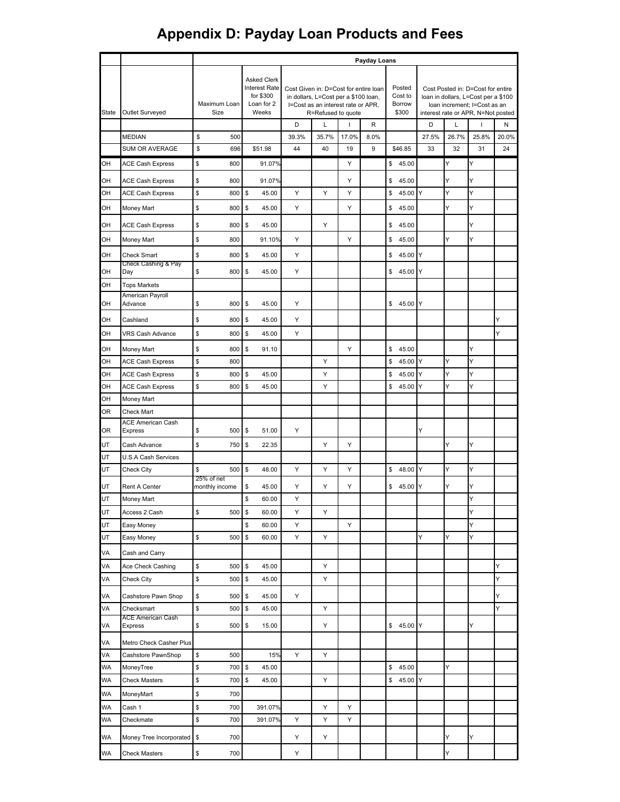|              |                                            | Payday Loans                 |                                                                                |                                                                                                                                                          |       |       |      |                                      |       |       |                                                                                                                                                |       |
|--------------|--------------------------------------------|------------------------------|--------------------------------------------------------------------------------|----------------------------------------------------------------------------------------------------------------------------------------------------------|-------|-------|------|--------------------------------------|-------|-------|------------------------------------------------------------------------------------------------------------------------------------------------|-------|
| <b>State</b> | Outlet Surveyed                            | Maximum Loan<br>Size         | <b>Asked Clerk</b><br><b>Interest Rate</b><br>for \$300<br>Loan for 2<br>Weeks | Cost Given in: D=Cost for entire loan<br>in dollars, L=Cost per a \$100 loan,<br>I=Cost as an interest rate or APR,<br>R=Refused to quote<br>D<br>L<br>R |       |       |      | Posted<br>Cost to<br>Borrow<br>\$300 |       |       | Cost Posted in: D=Cost for entire<br>loan in dollars, L=Cost per a \$100<br>loan increment; I=Cost as an<br>interest rate or APR, N=Not posted |       |
|              |                                            |                              |                                                                                |                                                                                                                                                          |       |       |      |                                      | D     | L     | ı                                                                                                                                              | N     |
|              | <b>MEDIAN</b>                              | \$<br>500                    |                                                                                | 39.3%                                                                                                                                                    | 35.7% | 17.0% | 8.0% |                                      | 27.5% | 26.7% | 25.8%                                                                                                                                          | 20.0% |
|              | SUM OR AVERAGE                             | \$<br>696                    | \$51.98                                                                        | 44                                                                                                                                                       | 40    | 19    | 9    | \$46.85                              | 33    | 32    | 31                                                                                                                                             | 24    |
| OH           | <b>ACE Cash Express</b>                    | \$<br>800                    | 91.07%                                                                         |                                                                                                                                                          |       | Υ     |      | \$45.00                              |       | Y     | Y                                                                                                                                              |       |
| OН           | <b>ACE Cash Express</b>                    | \$<br>800                    | 91.07%                                                                         |                                                                                                                                                          |       | Υ     |      | \$<br>45.00                          |       | Y     | Y                                                                                                                                              |       |
| OH           | <b>ACE Cash Express</b>                    | \$<br>800                    | \$<br>45.00                                                                    | Y                                                                                                                                                        | Y     | Y     |      | \$<br>45.00                          | Y     | Ý     | Y                                                                                                                                              |       |
| OH           | Money Mart                                 | \$<br>800                    | \$<br>45.00                                                                    | Υ                                                                                                                                                        |       | Υ     |      | \$<br>45.00                          |       | Y     | Y                                                                                                                                              |       |
| OH           | <b>ACE Cash Express</b>                    | \$<br>800                    | \$<br>45.00                                                                    |                                                                                                                                                          | Y     |       |      | \$<br>45.00                          |       |       | Y                                                                                                                                              |       |
| OH           | Money Mart                                 | \$<br>800                    | 91.10%                                                                         | Υ                                                                                                                                                        |       | Υ     |      | \$<br>45.00                          |       | Y     | Y                                                                                                                                              |       |
| OH           | <b>Check Smart</b>                         | \$<br>800                    | \$<br>45.00                                                                    | Y                                                                                                                                                        |       |       |      | \$<br>45.00                          | Y     |       |                                                                                                                                                |       |
| OH           | Check Cashing & Pay<br>Day                 | \$<br>800                    | \$<br>45.00                                                                    | Υ                                                                                                                                                        |       |       |      | \$<br>45.00                          | Υ     |       |                                                                                                                                                |       |
| OH           | <b>Tops Markets</b>                        |                              |                                                                                |                                                                                                                                                          |       |       |      |                                      |       |       |                                                                                                                                                |       |
| OН           | American Payroll<br>Advance                | \$<br>800                    | \$<br>45.00                                                                    | Υ                                                                                                                                                        |       |       |      | \$<br>45.00                          |       |       |                                                                                                                                                |       |
| OН           | Cashland                                   | \$<br>800                    | \$<br>45.00                                                                    | Υ                                                                                                                                                        |       |       |      |                                      |       |       |                                                                                                                                                | Y     |
| OH           | <b>VRS Cash Advance</b>                    | \$<br>800                    | \$<br>45.00                                                                    | Y                                                                                                                                                        |       |       |      |                                      |       |       |                                                                                                                                                | Ý     |
| OH           | Money Mart                                 | \$<br>800                    | \$<br>91.10                                                                    |                                                                                                                                                          |       | Υ     |      | \$<br>45.00                          |       |       | Y                                                                                                                                              |       |
| OH           | <b>ACE Cash Express</b>                    | \$<br>800                    |                                                                                |                                                                                                                                                          | Υ     |       |      | \$<br>45.00                          | ΙY    | Y     | Y                                                                                                                                              |       |
| OH           | <b>ACE Cash Express</b>                    | \$<br>800                    | \$<br>45.00                                                                    |                                                                                                                                                          | Y     |       |      | 45.00<br>\$                          | Y     | Y     | Y                                                                                                                                              |       |
| OH           | <b>ACE Cash Express</b>                    | \$<br>800                    | \$<br>45.00                                                                    |                                                                                                                                                          | Υ     |       |      | 45.00<br>\$                          | Y     | Y     | Y                                                                                                                                              |       |
| OН           | Money Mart                                 |                              |                                                                                |                                                                                                                                                          |       |       |      |                                      |       |       |                                                                                                                                                |       |
| <b>OR</b>    | <b>Check Mart</b>                          |                              |                                                                                |                                                                                                                                                          |       |       |      |                                      |       |       |                                                                                                                                                |       |
| OR           | <b>ACE American Cash</b><br><b>Express</b> | \$<br>500                    | \$<br>51.00                                                                    | Y                                                                                                                                                        |       |       |      |                                      | Y     |       |                                                                                                                                                |       |
| UT           | Cash Advance                               | \$<br>750                    | \$<br>22.35                                                                    |                                                                                                                                                          | Υ     | Υ     |      |                                      |       | Ý     | Y                                                                                                                                              |       |
| UT           | <b>U.S.A Cash Services</b>                 |                              |                                                                                |                                                                                                                                                          |       |       |      |                                      |       |       |                                                                                                                                                |       |
| UT           | Check City                                 | \$<br>500                    | \$<br>48.00                                                                    | Y                                                                                                                                                        | Y     | Y     |      | \$<br>48.00                          | Y     | Y     | Y                                                                                                                                              |       |
| UT           | Rent A Center                              | 25% of net<br>monthly income | \$<br>45.00                                                                    | Υ                                                                                                                                                        | Y     | Υ     |      | \$45.00 Y                            |       | Y     | Y                                                                                                                                              |       |
| UT           | Money Mart                                 |                              | \$<br>60.00                                                                    | Υ                                                                                                                                                        |       |       |      |                                      |       |       | Y                                                                                                                                              |       |
| UT           | Access 2 Cash                              | \$<br>500                    | $\frac{3}{2}$<br>60.00                                                         | Υ                                                                                                                                                        | Υ     |       |      |                                      |       |       | Υ                                                                                                                                              |       |
| UT           | Easy Money                                 |                              | \$<br>60.00                                                                    | Υ                                                                                                                                                        |       | Υ     |      |                                      |       |       | Y                                                                                                                                              |       |
| UT           | Easy Money                                 | \$<br>500                    | \$<br>60.00                                                                    | Υ                                                                                                                                                        | Υ     |       |      |                                      | Y     | Y     | Υ                                                                                                                                              |       |
| VA           | Cash and Carry                             |                              |                                                                                |                                                                                                                                                          |       |       |      |                                      |       |       |                                                                                                                                                |       |
| VA           | Ace Check Cashing                          | \$<br>500                    | \$<br>45.00                                                                    |                                                                                                                                                          | Υ     |       |      |                                      |       |       |                                                                                                                                                | Y     |
| VA           | Check City                                 | \$<br>500                    | \$<br>45.00                                                                    |                                                                                                                                                          | Υ     |       |      |                                      |       |       |                                                                                                                                                | Y     |
| VA           | Cashstore Pawn Shop                        | \$<br>500                    | \$<br>45.00                                                                    | Υ                                                                                                                                                        |       |       |      |                                      |       |       |                                                                                                                                                | Y     |
| VA           | Checksmart                                 | \$<br>500                    | \$<br>45.00                                                                    |                                                                                                                                                          | Υ     |       |      |                                      |       |       |                                                                                                                                                | Y     |
| VA           | <b>ACE American Cash</b><br>Express        | \$<br>500                    | \$<br>15.00                                                                    |                                                                                                                                                          | Υ     |       |      | \$45.00                              | Y     |       | Y                                                                                                                                              |       |
| VA           | Metro Check Casher Plus                    |                              |                                                                                |                                                                                                                                                          |       |       |      |                                      |       |       |                                                                                                                                                |       |
| VA           | Cashstore PawnShop                         | \$<br>500                    | 15%                                                                            | Υ                                                                                                                                                        | Υ     |       |      |                                      |       |       |                                                                                                                                                |       |
| <b>WA</b>    | MoneyTree                                  | \$<br>700                    | \$<br>45.00                                                                    |                                                                                                                                                          |       |       |      | \$<br>45.00                          |       | Υ     |                                                                                                                                                |       |
| WA           | <b>Check Masters</b>                       | \$<br>700                    | \$<br>45.00                                                                    |                                                                                                                                                          | Υ     |       |      | 45.00<br>\$                          | Υ     |       |                                                                                                                                                |       |
| <b>WA</b>    | MoneyMart                                  | \$<br>700                    |                                                                                |                                                                                                                                                          |       |       |      |                                      |       |       |                                                                                                                                                |       |
| <b>WA</b>    | Cash 1                                     | \$<br>700                    | 391.07%                                                                        |                                                                                                                                                          | Υ     | Υ     |      |                                      |       |       |                                                                                                                                                |       |
| WA           | Checkmate                                  | \$<br>700                    | 391.07%                                                                        | Υ                                                                                                                                                        | Υ     | Υ     |      |                                      |       |       |                                                                                                                                                |       |
| <b>WA</b>    | Money Tree Incorporated                    | \$<br>700                    |                                                                                | Υ                                                                                                                                                        | Υ     |       |      |                                      |       | Y     | Y                                                                                                                                              |       |
| WA           | <b>Check Masters</b>                       | \$<br>700                    |                                                                                | Υ                                                                                                                                                        |       |       |      |                                      |       | Υ     |                                                                                                                                                |       |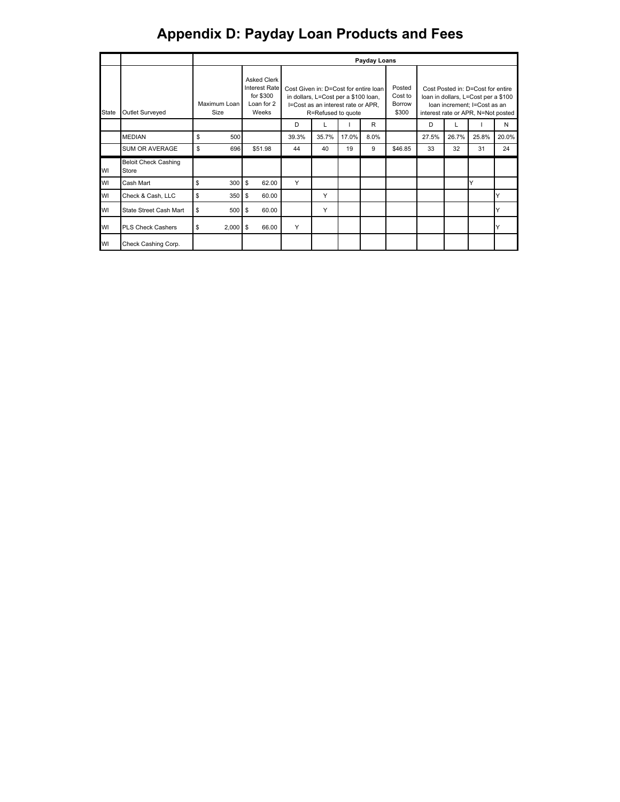|       |                                      |    |                      |                                                                                |       |                                                                                                                                                          |       | Payday Loans |                                      |       |       |                                                                                                                                                |       |
|-------|--------------------------------------|----|----------------------|--------------------------------------------------------------------------------|-------|----------------------------------------------------------------------------------------------------------------------------------------------------------|-------|--------------|--------------------------------------|-------|-------|------------------------------------------------------------------------------------------------------------------------------------------------|-------|
| State | Outlet Surveyed                      |    | Maximum Loan<br>Size | <b>Asked Clerk</b><br><b>Interest Rate</b><br>for \$300<br>Loan for 2<br>Weeks |       | Cost Given in: D=Cost for entire loan<br>in dollars, L=Cost per a \$100 loan,<br>I=Cost as an interest rate or APR,<br>R=Refused to quote<br>R<br>D<br>L |       |              | Posted<br>Cost to<br>Borrow<br>\$300 |       |       | Cost Posted in: D=Cost for entire<br>loan in dollars, L=Cost per a \$100<br>loan increment: I=Cost as an<br>interest rate or APR, N=Not posted |       |
|       |                                      |    |                      |                                                                                |       |                                                                                                                                                          |       |              |                                      | D     |       |                                                                                                                                                | N     |
|       | <b>MEDIAN</b>                        | \$ | 500                  |                                                                                | 39.3% | 35.7%                                                                                                                                                    | 17.0% | 8.0%         |                                      | 27.5% | 26.7% | 25.8%                                                                                                                                          | 20.0% |
|       | <b>SUM OR AVERAGE</b>                | \$ | 696                  | \$51.98                                                                        | 44    | 40                                                                                                                                                       | 19    | 9            | \$46.85                              | 33    | 32    | 31                                                                                                                                             | 24    |
| WI    | <b>Beloit Check Cashing</b><br>Store |    |                      |                                                                                |       |                                                                                                                                                          |       |              |                                      |       |       |                                                                                                                                                |       |
| WI    | Cash Mart                            | S  | 300                  | \$<br>62.00                                                                    | Υ     |                                                                                                                                                          |       |              |                                      |       |       | v                                                                                                                                              |       |
| WI    | Check & Cash, LLC                    | S  | 350                  | \$<br>60.00                                                                    |       | Y                                                                                                                                                        |       |              |                                      |       |       |                                                                                                                                                |       |
| WI    | State Street Cash Mart               | S  | 500                  | 60.00<br>\$                                                                    |       | Υ                                                                                                                                                        |       |              |                                      |       |       |                                                                                                                                                |       |
| WI    | <b>PLS Check Cashers</b>             | \$ | 2,000                | 66.00<br>\$                                                                    | Υ     |                                                                                                                                                          |       |              |                                      |       |       |                                                                                                                                                |       |
| WI    | Check Cashing Corp.                  |    |                      |                                                                                |       |                                                                                                                                                          |       |              |                                      |       |       |                                                                                                                                                |       |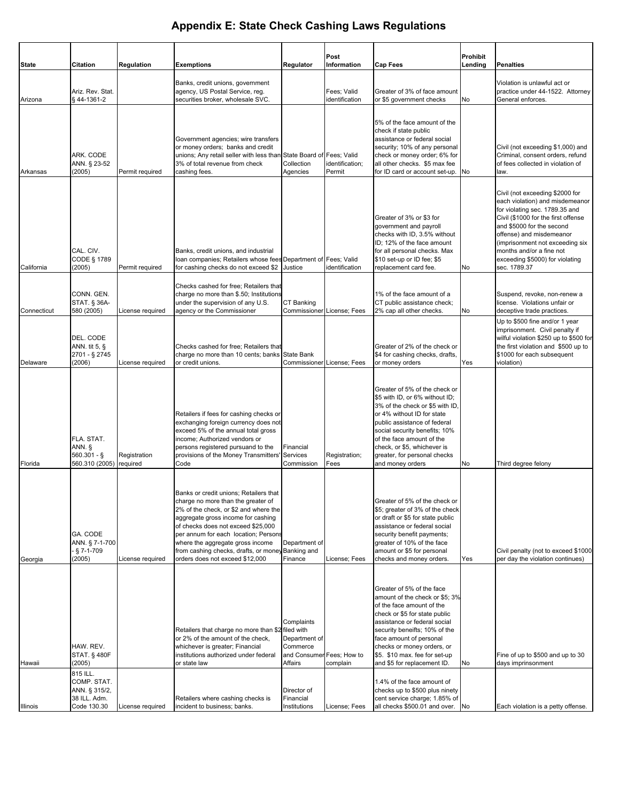|              |                                                                         |                          |                                                                                                                                                                                                                                                                                                                                                                       |                                                                                 | Post                          |                                                                                                                                                                                                                                                                                                                     | <b>Prohibit</b> |                                                                                                                                                                                                                                                                                                                        |
|--------------|-------------------------------------------------------------------------|--------------------------|-----------------------------------------------------------------------------------------------------------------------------------------------------------------------------------------------------------------------------------------------------------------------------------------------------------------------------------------------------------------------|---------------------------------------------------------------------------------|-------------------------------|---------------------------------------------------------------------------------------------------------------------------------------------------------------------------------------------------------------------------------------------------------------------------------------------------------------------|-----------------|------------------------------------------------------------------------------------------------------------------------------------------------------------------------------------------------------------------------------------------------------------------------------------------------------------------------|
| <b>State</b> | <b>Citation</b>                                                         | <b>Regulation</b>        | <b>Exemptions</b>                                                                                                                                                                                                                                                                                                                                                     | <b>Regulator</b>                                                                | Information                   | <b>Cap Fees</b>                                                                                                                                                                                                                                                                                                     | Lending         | <b>Penalties</b>                                                                                                                                                                                                                                                                                                       |
| Arizona      | Ariz. Rev. Stat.<br>§44-1361-2                                          |                          | Banks, credit unions, government<br>agency, US Postal Service, reg.<br>securities broker, wholesale SVC.                                                                                                                                                                                                                                                              |                                                                                 | Fees: Valid<br>identification | Greater of 3% of face amount<br>or \$5 government checks                                                                                                                                                                                                                                                            | No              | Violation is unlawful act or<br>practice under 44-1522. Attorney<br>General enforces.                                                                                                                                                                                                                                  |
| Arkansas     | ARK. CODE<br>ANN. § 23-52<br>(2005)                                     | Permit required          | Government agencies; wire transfers<br>or money orders; banks and credit<br>unions; Any retail seller with less than State Board of Fees; Valid<br>3% of total revenue from check<br>cashing fees.                                                                                                                                                                    | Collection<br>Agencies                                                          | identification;<br>Permit     | 5% of the face amount of the<br>check if state public<br>assistance or federal social<br>security; 10% of any personal<br>check or money order; 6% for<br>all other checks. \$5 max fee<br>for ID card or account set-up.                                                                                           | No              | Civil (not exceeding \$1,000) and<br>Criminal, consent orders, refund<br>of fees collected in violation of<br>law.                                                                                                                                                                                                     |
| California   | CAL. CIV.<br>CODE § 1789<br>(2005)                                      | Permit required          | Banks, credit unions, and industrial<br>Ioan companies; Retailers whose fees Department of Fees; Valid<br>for cashing checks do not exceed \$2                                                                                                                                                                                                                        | Justice                                                                         | identification                | Greater of 3% or \$3 for<br>government and payroll<br>checks with ID, 3.5% without<br>ID; 12% of the face amount<br>for all personal checks. Max<br>\$10 set-up or ID fee; \$5<br>replacement card fee.                                                                                                             | No              | Civil (not exceeding \$2000 for<br>each violation) and misdemeanor<br>for violating sec. 1789.35 and<br>Civil (\$1000 for the first offense<br>and \$5000 for the second<br>offense) and misdemeanor<br>(imprisonment not exceeding six<br>months and/or a fine not<br>exceeding \$5000) for violating<br>sec. 1789.37 |
| Connecticut  | CONN. GEN.<br>STAT. § 36A-<br>580 (2005)                                | License required         | Checks cashed for free; Retailers that<br>charge no more than \$.50; Institutions<br>under the supervision of any U.S.<br>agency or the Commissioner                                                                                                                                                                                                                  | CT Banking                                                                      | Commissioner License; Fees    | 1% of the face amount of a<br>CT public assistance check;<br>2% cap all other checks.                                                                                                                                                                                                                               | No              | Suspend, revoke, non-renew a<br>license. Violations unfair or<br>deceptive trade practices.                                                                                                                                                                                                                            |
| Delaware     | DEL. CODE<br>ANN. tit 5, $\S$<br>2701 - § 2745<br>(2006)                | License required         | Checks cashed for free; Retailers that<br>charge no more than 10 cents; banks State Bank<br>or credit unions.                                                                                                                                                                                                                                                         |                                                                                 | Commissioner License; Fees    | Greater of 2% of the check or<br>\$4 for cashing checks, drafts,<br>or money orders                                                                                                                                                                                                                                 | Yes             | Up to \$500 fine and/or 1 year<br>imprisonment. Civil penalty if<br>wilful violation \$250 up to \$500 for<br>the first violation and \$500 up to<br>\$1000 for each subsequent<br>violation)                                                                                                                          |
| Florida      | FLA. STAT.<br>ANN. §<br>$560.301 -$ §<br>560.310 (2005)                 | Registration<br>required | Retailers if fees for cashing checks or<br>exchanging foreign currency does not<br>exceed 5% of the annual total gross<br>income; Authorized vendors or<br>persons registered pursuand to the<br>provisions of the Money Transmitters'<br>Code                                                                                                                        | Financial<br>Services<br>Commission                                             | Registration;<br>Fees         | Greater of 5% of the check or<br>\$5 with ID, or 6% without ID;<br>3% of the check or \$5 with ID.<br>or 4% without ID for state<br>public assistance of federal<br>social security benefits; 10%<br>of the face amount of the<br>check, or \$5, whichever is<br>greater, for personal checks<br>and money orders   | No              | Third degree felony                                                                                                                                                                                                                                                                                                    |
| Georgia      | GA. CODE<br>ANN. § 7-1-700<br>$\frac{5}{9}$ 7-1-709<br>(2005)           | License required         | Banks or credit unions; Retailers that<br>charge no more than the greater of<br>2% of the check, or \$2 and where the<br>aggregate gross income for cashing<br>of checks does not exceed \$25,000<br>per annum for each location; Persons<br>where the aggregate gross income<br>from cashing checks, drafts, or money Banking and<br>orders does not exceed \$12,000 | Department of<br>Finance                                                        | License; Fees                 | Greater of 5% of the check or<br>\$5; greater of 3% of the check<br>or draft or \$5 for state public<br>assistance or federal social<br>security benefit payments;<br>greater of 10% of the face<br>amount or \$5 for personal<br>checks and money orders.                                                          | Yes             | Civil penalty (not to exceed \$1000<br>per day the violation continues)                                                                                                                                                                                                                                                |
| Hawaii       | HAW. REV.<br><b>STAT. § 480F</b><br>(2005)                              |                          | Retailers that charge no more than \$2 filed with<br>or 2% of the amount of the check,<br>whichever is greater; Financial<br>institutions authorized under federal<br>or state law                                                                                                                                                                                    | Complaints<br>Department of<br>Commerce<br>and Consumer Fees; How to<br>Affairs | complain                      | Greater of 5% of the face<br>amount of the check or \$5; 3%<br>of the face amount of the<br>check or \$5 for state public<br>assistance or federal social<br>security beneifts; 10% of the<br>face amount of personal<br>checks or money orders, or<br>\$5. \$10 max. fee for set-up<br>and \$5 for replacement ID. | No              | Fine of up to \$500 and up to 30<br>days imprinsonment                                                                                                                                                                                                                                                                 |
| Illinois     | 815 ILL.<br>COMP. STAT.<br>ANN. § 315/2,<br>38 ILL. Adm.<br>Code 130.30 | License required         | Retailers where cashing checks is<br>incident to business; banks.                                                                                                                                                                                                                                                                                                     | Director of<br>Financial<br>Institutions                                        | License; Fees                 | 1.4% of the face amount of<br>checks up to \$500 plus ninety<br>cent service charge; 1.85% of<br>all checks \$500.01 and over. No                                                                                                                                                                                   |                 | Each violation is a petty offense.                                                                                                                                                                                                                                                                                     |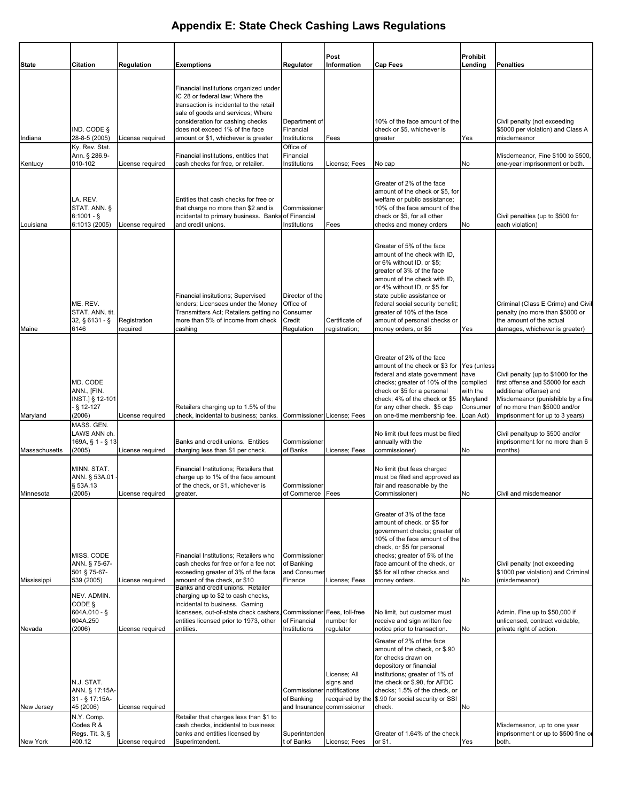|               |                                                                  |                          |                                                                                                                                                                                                                                                                        |                                                                        | Post                                          |                                                                                                                                                                                                                                                                                                                                             | <b>Prohibit</b>                                           |                                                                                                                                                                                                              |
|---------------|------------------------------------------------------------------|--------------------------|------------------------------------------------------------------------------------------------------------------------------------------------------------------------------------------------------------------------------------------------------------------------|------------------------------------------------------------------------|-----------------------------------------------|---------------------------------------------------------------------------------------------------------------------------------------------------------------------------------------------------------------------------------------------------------------------------------------------------------------------------------------------|-----------------------------------------------------------|--------------------------------------------------------------------------------------------------------------------------------------------------------------------------------------------------------------|
| <b>State</b>  | Citation                                                         | <b>Regulation</b>        | <b>Exemptions</b>                                                                                                                                                                                                                                                      | Regulator                                                              | Information                                   | <b>Cap Fees</b>                                                                                                                                                                                                                                                                                                                             | Lending                                                   | <b>Penalties</b>                                                                                                                                                                                             |
| Indiana       | IND. CODE §<br>28-8-5 (2005)                                     | License required         | Financial institutions organized under<br>IC 28 or federal law; Where the<br>transaction is incidental to the retail<br>sale of goods and services; Where<br>consideration for cashing checks<br>does not exceed 1% of the face<br>amount or \$1, whichever is greater | Department of<br>Financial<br>Institutions                             | Fees                                          | 10% of the face amount of the<br>check or \$5, whichever is<br>greater                                                                                                                                                                                                                                                                      | Yes                                                       | Civil penalty (not exceeding<br>\$5000 per violation) and Class A<br>misdemeanor                                                                                                                             |
|               | Ky. Rev. Stat.<br>Ann. § 286.9-                                  |                          | Financial institutions, entities that                                                                                                                                                                                                                                  | Office of<br>Financial                                                 |                                               |                                                                                                                                                                                                                                                                                                                                             |                                                           | Misdemeanor, Fine \$100 to \$500,                                                                                                                                                                            |
| Kentucy       | 010-102                                                          | License required         | cash checks for free, or retailer.                                                                                                                                                                                                                                     | Institutions                                                           | License; Fees                                 | No cap                                                                                                                                                                                                                                                                                                                                      | No                                                        | one-year imprisonment or both.                                                                                                                                                                               |
| Louisiana     | LA. REV.<br>STAT. ANN. §<br>$6:1001 -$<br>6:1013 (2005)          | License required         | Entities that cash checks for free or<br>that charge no more than \$2 and is<br>incidental to primary business. Banks of Financial<br>and credit unions.                                                                                                               | Commissioner<br>Institutions                                           | Fees                                          | Greater of 2% of the face<br>amount of the check or \$5, for<br>welfare or public assistance;<br>10% of the face amount of the<br>check or \$5, for all other<br>checks and money orders                                                                                                                                                    | No                                                        | Civil penalties (up to \$500 for<br>each violation)                                                                                                                                                          |
| Maine         | ME. REV.<br>STAT. ANN. tit.<br>32, § 6131 - §<br>6146            | Registration<br>required | Financial insitutions; Supervised<br>lenders; Licensees under the Money<br>Transmitters Act; Retailers getting no<br>more than 5% of income from check<br>cashing                                                                                                      | Director of the<br>Office of<br>Consumer<br>Credit<br>Regulation       | Certificate of<br>registration;               | Greater of 5% of the face<br>amount of the check with ID,<br>or 6% without ID, or \$5:<br>greater of 3% of the face<br>amount of the check with ID,<br>or 4% without ID, or \$5 for<br>state public assistance or<br>federal social security benefit;<br>greater of 10% of the face<br>amount of personal checks or<br>money orders, or \$5 | Yes                                                       | Criminal (Class E Crime) and Civil<br>penalty (no more than \$5000 or<br>the amount of the actual<br>damages, whichever is greater)                                                                          |
| Maryland      | MD. CODE<br>ANN., [FIN.<br>INST.] § 12-101<br>§ 12-127<br>(2006) | License required         | Retailers charging up to 1.5% of the<br>check, incidental to business; banks.                                                                                                                                                                                          | Commissioner License; Fees                                             |                                               | Greater of 2% of the face<br>amount of the check or \$3 for Yes (unless<br>federal and state government have<br>checks; greater of 10% of the<br>check or \$5 for a personal<br>check; 4% of the check or \$5<br>for any other check. \$5 cap<br>on one-time membership fee.                                                                | complied<br>with the<br>Maryland<br>Consumer<br>Loan Act) | Civil penalty (up to \$1000 for the<br>first offense and \$5000 for each<br>additional offense) and<br>Misdemeanor (punishible by a fine<br>of no more than \$5000 and/or<br>imprisonment for up to 3 years) |
|               | MASS. GEN.                                                       |                          |                                                                                                                                                                                                                                                                        |                                                                        |                                               |                                                                                                                                                                                                                                                                                                                                             |                                                           |                                                                                                                                                                                                              |
| Massachusetts | LAWS ANN ch.<br>169A, § 1 - § 13<br>(2005)                       | License required         | Banks and credit unions. Entities<br>charging less than \$1 per check.                                                                                                                                                                                                 | Commissioner<br>of Banks                                               | License; Fees                                 | No limit (but fees must be filed<br>annually with the<br>commissioner)                                                                                                                                                                                                                                                                      | No                                                        | Civil penaltyup to \$500 and/or<br>imprisonment for no more than 6<br>months)                                                                                                                                |
| Minnesota     | MINN. STAT.<br>ANN. § 53A.01<br>§ 53A.13<br>(2005)               | License required         | Financial Institutions: Retailers that<br>charge up to 1% of the face amount<br>of the check, or \$1, whichever is<br>greater.                                                                                                                                         | Commissioner<br>of Commerce   Fees                                     |                                               | No limit (but fees charged<br>must be filed and approved as<br>fair and reasonable by the<br>Commissioner)                                                                                                                                                                                                                                  | No                                                        | Civil and misdemeanor                                                                                                                                                                                        |
| Mississippi   | MISS. CODE<br>ANN. § 75-67-<br>501 § 75-67-<br>539 (2005)        | License required         | Financial Institutions; Retailers who<br>cash checks for free or for a fee not<br>exceeding greater of 3% of the face<br>amount of the check, or \$10<br>Banks and credit unions. Retailer                                                                             | Commissioner<br>of Banking<br>and Consumer<br>Finance                  | License; Fees                                 | Greater of 3% of the face<br>amount of check, or \$5 for<br>government checks; greater of<br>10% of the face amount of the<br>check, or \$5 for personal<br>checks; greater of 5% of the<br>face amount of the check, or<br>\$5 for all other checks and<br>money orders.                                                                   | No                                                        | Civil penalty (not exceeding<br>\$1000 per violation) and Criminal<br>(misdemeanor)                                                                                                                          |
| Nevada        | NEV. ADMIN.<br>CODE §<br>$604A.010 - $$<br>604A.250<br>(2006)    | License required         | charging up to \$2 to cash checks,<br>incidental to business. Gaming<br>licensees, out-of-state check cashers, Commissioner Fees, toll-free<br>entities licensed prior to 1973, other<br>entities.                                                                     | of Financial<br>Institutions                                           | number for<br>regulator                       | No limit, but customer must<br>receive and sign written fee<br>notice prior to transaction.                                                                                                                                                                                                                                                 | No                                                        | Admin. Fine up to \$50,000 if<br>unlicensed, contract voidable,<br>private right of action.                                                                                                                  |
| New Jersey    | N.J. STAT.<br>ANN. § 17:15A-<br>31 - § 17:15A-<br>45 (2006)      | License required         |                                                                                                                                                                                                                                                                        | Commissioner notifications<br>of Banking<br>and Insurance commissioner | License; All<br>signs and<br>recquired by the | Greater of 2% of the face<br>amount of the check, or \$.90<br>for checks drawn on<br>depository or financial<br>institutions; greater of 1% of<br>the check or \$.90, for AFDC<br>checks; 1.5% of the check, or<br>\$.90 for social security or SSI<br>check.                                                                               | No                                                        |                                                                                                                                                                                                              |
|               | N.Y. Comp.<br>Codes R &<br>Regs. Tit. 3, §                       |                          | Retailer that charges less than \$1 to<br>cash checks, incidental to business;<br>banks and entities licensed by                                                                                                                                                       | Superintenden                                                          |                                               | Greater of 1.64% of the check                                                                                                                                                                                                                                                                                                               |                                                           | Misdemeanor, up to one year<br>imprisonment or up to \$500 fine or                                                                                                                                           |
| New York      | 400.12                                                           | License required         | Superintendent.                                                                                                                                                                                                                                                        | t of Banks                                                             | License; Fees                                 | or \$1.                                                                                                                                                                                                                                                                                                                                     | Yes                                                       | both.                                                                                                                                                                                                        |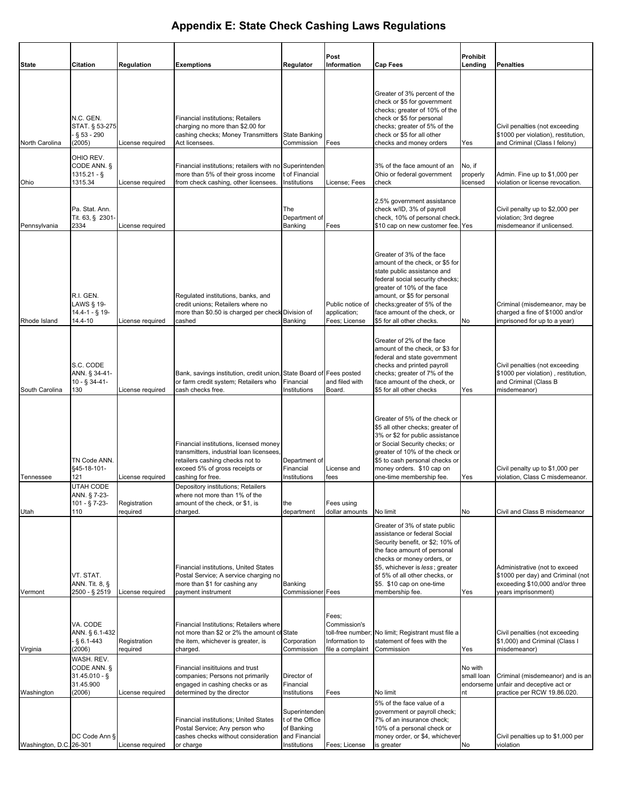|                         |                                                                     |                          |                                                                                                                                                                                                                   |                                                                                 | Post                                                                             |                                                                                                                                                                                                                                                                                          | <b>Prohibit</b>                          |                                                                                                                              |
|-------------------------|---------------------------------------------------------------------|--------------------------|-------------------------------------------------------------------------------------------------------------------------------------------------------------------------------------------------------------------|---------------------------------------------------------------------------------|----------------------------------------------------------------------------------|------------------------------------------------------------------------------------------------------------------------------------------------------------------------------------------------------------------------------------------------------------------------------------------|------------------------------------------|------------------------------------------------------------------------------------------------------------------------------|
| <b>State</b>            | <b>Citation</b>                                                     | Regulation               | <b>Exemptions</b>                                                                                                                                                                                                 | Regulator                                                                       | Information                                                                      | <b>Cap Fees</b>                                                                                                                                                                                                                                                                          | Lending                                  | <b>Penalties</b>                                                                                                             |
| North Carolina          | N.C. GEN.<br>STAT. § 53-275<br>$§ 53 - 290$<br>(2005)<br>OHIO REV.  | License required         | <b>Financial institutions; Retailers</b><br>charging no more than \$2.00 for<br>cashing checks; Money Transmitters<br>Act licensees.                                                                              | <b>State Banking</b><br>Commission                                              | Fees                                                                             | Greater of 3% percent of the<br>check or \$5 for government<br>checks; greater of 10% of the<br>check or \$5 for personal<br>checks; greater of 5% of the<br>check or \$5 for all other<br>checks and money orders                                                                       | Yes                                      | Civil penalties (not exceeding<br>\$1000 per violation), restitution,<br>and Criminal (Class I felony)                       |
| Ohio                    | CODE ANN. §<br>1315.21 - §<br>1315.34                               | License required         | Financial institutions; retailers with no<br>more than 5% of their gross income<br>from check cashing, other licensees.                                                                                           | Superintenden<br>of Financial<br>Institutions                                   | License; Fees                                                                    | 3% of the face amount of an<br>Ohio or federal government<br>check                                                                                                                                                                                                                       | No, if<br>properly<br>licensed           | Admin. Fine up to \$1,000 per<br>violation or license revocation.                                                            |
| Pennsylvania            | Pa. Stat. Ann.<br>Tit. 63, § 2301-<br>2334                          | License required         |                                                                                                                                                                                                                   | The<br>Department of<br>Banking                                                 | Fees                                                                             | 2.5% government assistance<br>check w/ID, 3% of payroll<br>check, 10% of personal check.<br>\$10 cap on new customer fee. Yes                                                                                                                                                            |                                          | Civil penalty up to \$2,000 per<br>violation; 3rd degree<br>misdemeanor if unlicensed.                                       |
| Rhode Island            | R.I. GEN.<br>LAWS § 19-<br>$14.4 - 1 -$ § 19-<br>14.4-10            | License required         | Regulated institutions, banks, and<br>credit unions; Retailers where no<br>more than \$0.50 is charged per check Division of<br>cashed                                                                            | Banking                                                                         | Public notice of<br>application;<br>Fees; License                                | Greater of 3% of the face<br>amount of the check, or \$5 for<br>state public assistance and<br>federal social security checks;<br>greater of 10% of the face<br>amount, or \$5 for personal<br>checks; greater of 5% of the<br>face amount of the check, or<br>\$5 for all other checks. | No                                       | Criminal (misdemeanor, may be<br>charged a fine of \$1000 and/or<br>imprisoned for up to a year)                             |
| South Carolina          | S.C. CODE<br>ANN. § 34-41-<br>10 - § 34-41-<br>130                  | License required         | Bank, savings institution, credit union<br>or farm credit system; Retailers who<br>cash checks free.                                                                                                              | State Board of Fees posted<br>Financial<br>Institutions                         | and filed with<br>Board.                                                         | Greater of 2% of the face<br>amount of the check, or \$3 for<br>federal and state government<br>checks and printed payroll<br>checks; greater of 7% of the<br>face amount of the check, or<br>\$5 for all other checks                                                                   | Yes                                      | Civil penalties (not exceeding<br>\$1000 per violation), restitution,<br>and Criminal (Class B<br>misdemeanor)               |
| Tennessee               | TN Code ANN.<br>§45-18-101-<br>121<br>UTAH CODE                     | License required         | Financial institutions, licensed money<br>transmitters, industrial loan licensees<br>retailers cashing checks not to<br>exceed 5% of gross receipts or<br>cashing for free.<br>Depository institutions; Retailers | Department of<br>Financial<br>Institutions                                      | License and<br>fees                                                              | Greater of 5% of the check or<br>\$5 all other checks; greater of<br>3% or \$2 for public assistance<br>or Social Security checks; or<br>greater of 10% of the check or<br>\$5 to cash personal checks or<br>money orders. \$10 cap on<br>one-time membership fee.                       | Yes                                      | Civil penalty up to \$1,000 per<br>violation, Class C misdemeanor.                                                           |
| Utah                    | ANN. § 7-23-<br>101 - § 7-23-<br>110                                | Registration<br>required | where not more than 1% of the<br>amount of the check, or \$1, is<br>charged.                                                                                                                                      | the<br>department                                                               | Fees using<br>dollar amounts                                                     | No limit                                                                                                                                                                                                                                                                                 | No                                       | Civil and Class B misdemeanor                                                                                                |
| Vermont                 | VT. STAT.<br>ANN. Tit. 8, §<br>2500 - § 2519                        | License required         | Financial institutions, United States<br>Postal Service; A service charging no<br>more than \$1 for cashing any<br>payment instrument                                                                             | Banking<br><b>Commissioner</b> Fees                                             |                                                                                  | Greater of 3% of state public<br>assistance or federal Social<br>Security benefit, or \$2; 10% of<br>the face amount of personal<br>checks or money orders, or<br>\$5, whichever is less; greater<br>of 5% of all other checks, or<br>\$5. \$10 cap on one-time<br>membership fee.       | Yes                                      | Administrative (not to exceed<br>\$1000 per day) and Criminal (not<br>exceeding \$10,000 and/or three<br>years imprisonment) |
| Virginia                | VA. CODE<br>ANN. § 6.1-432<br>$\frac{5}{9}$ 6.1-443<br>(2006)       | Registration<br>required | Financial Institutions: Retailers where<br>not more than \$2 or 2% the amount of State<br>the item, whichever is greater, is<br>charged.                                                                          | Corporation<br>Commission                                                       | Fees;<br>Commission's<br>toll-free number;<br>Information to<br>file a complaint | No limit; Registrant must file a<br>statement of fees with the<br>Commission                                                                                                                                                                                                             | Yes                                      | Civil penalties (not exceeding<br>\$1,000) and Criminal (Class I<br>misdemeanor)                                             |
| Washington              | WASH. REV.<br>CODE ANN. §<br>$31.45.010 - $$<br>31.45.900<br>(2006) | License required         | Financial insitituions and trust<br>companies; Persons not primarily<br>engaged in cashing checks or as<br>determined by the director                                                                             | Director of<br>Financial<br>Institutions                                        | Fees                                                                             | No limit                                                                                                                                                                                                                                                                                 | No with<br>small loan<br>endorseme<br>nt | Criminal (misdemeanor) and is an<br>unfair and deceptive act or<br>practice per RCW 19.86.020.                               |
| Washington, D.C. 26-301 | DC Code Ann §                                                       | License required         | Financial institutions; United States<br>Postal Service; Any person who<br>cashes checks without consideration<br>or charge                                                                                       | Superintenden<br>t of the Office<br>of Banking<br>and Financial<br>Institutions | Fees; License                                                                    | 5% of the face value of a<br>government or payroll check;<br>7% of an insurance check;<br>10% of a personal check or<br>money order, or \$4, whichever<br>is greater                                                                                                                     | No                                       | Civil penalties up to \$1,000 per<br>violation                                                                               |